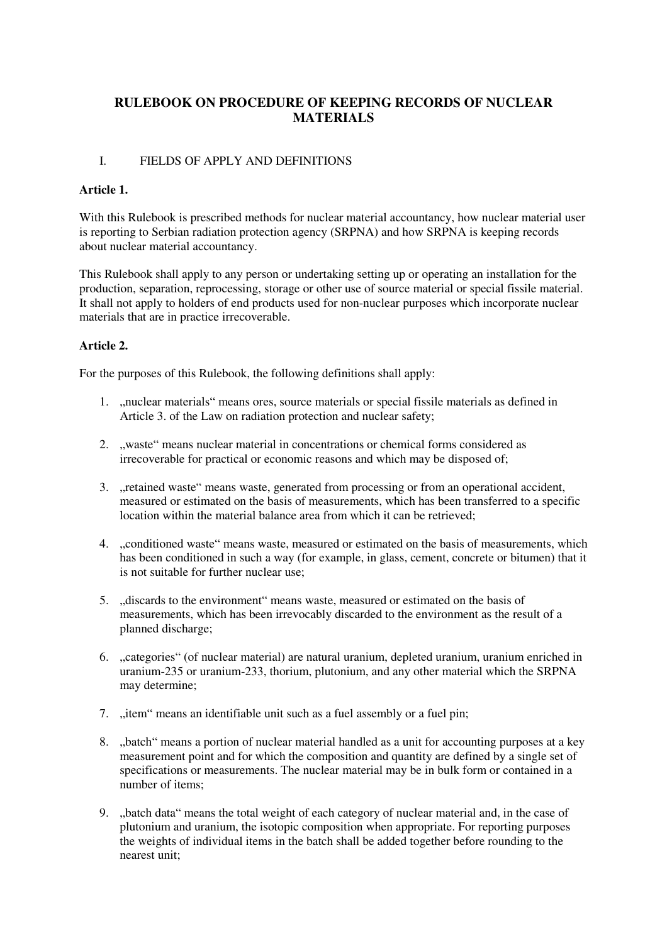# **RULEBOOK ON PROCEDURE OF KEEPING RECORDS OF NUCLEAR MATERIALS**

## I. FIELDS OF APPLY AND DEFINITIONS

## **Article 1.**

With this Rulebook is prescribed methods for nuclear material accountancy, how nuclear material user is reporting to Serbian radiation protection agency (SRPNA) and how SRPNA is keeping records about nuclear material accountancy.

This Rulebook shall apply to any person or undertaking setting up or operating an installation for the production, separation, reprocessing, storage or other use of source material or special fissile material. It shall not apply to holders of end products used for non-nuclear purposes which incorporate nuclear materials that are in practice irrecoverable.

# **Article 2.**

For the purposes of this Rulebook, the following definitions shall apply:

- 1. "nuclear materials" means ores, source materials or special fissile materials as defined in Article 3. of the Law on radiation protection and nuclear safety;
- 2. "waste" means nuclear material in concentrations or chemical forms considered as irrecoverable for practical or economic reasons and which may be disposed of;
- 3. "retained waste" means waste, generated from processing or from an operational accident, measured or estimated on the basis of measurements, which has been transferred to a specific location within the material balance area from which it can be retrieved;
- 4. "conditioned waste" means waste, measured or estimated on the basis of measurements, which has been conditioned in such a way (for example, in glass, cement, concrete or bitumen) that it is not suitable for further nuclear use;
- 5. "discards to the environment" means waste, measured or estimated on the basis of measurements, which has been irrevocably discarded to the environment as the result of a planned discharge;
- 6. "categories" (of nuclear material) are natural uranium, depleted uranium, uranium enriched in uranium-235 or uranium-233, thorium, plutonium, and any other material which the SRPNA may determine;
- 7. "item" means an identifiable unit such as a fuel assembly or a fuel pin;
- 8. "batch" means a portion of nuclear material handled as a unit for accounting purposes at a key measurement point and for which the composition and quantity are defined by a single set of specifications or measurements. The nuclear material may be in bulk form or contained in a number of items;
- 9. "batch data" means the total weight of each category of nuclear material and, in the case of plutonium and uranium, the isotopic composition when appropriate. For reporting purposes the weights of individual items in the batch shall be added together before rounding to the nearest unit;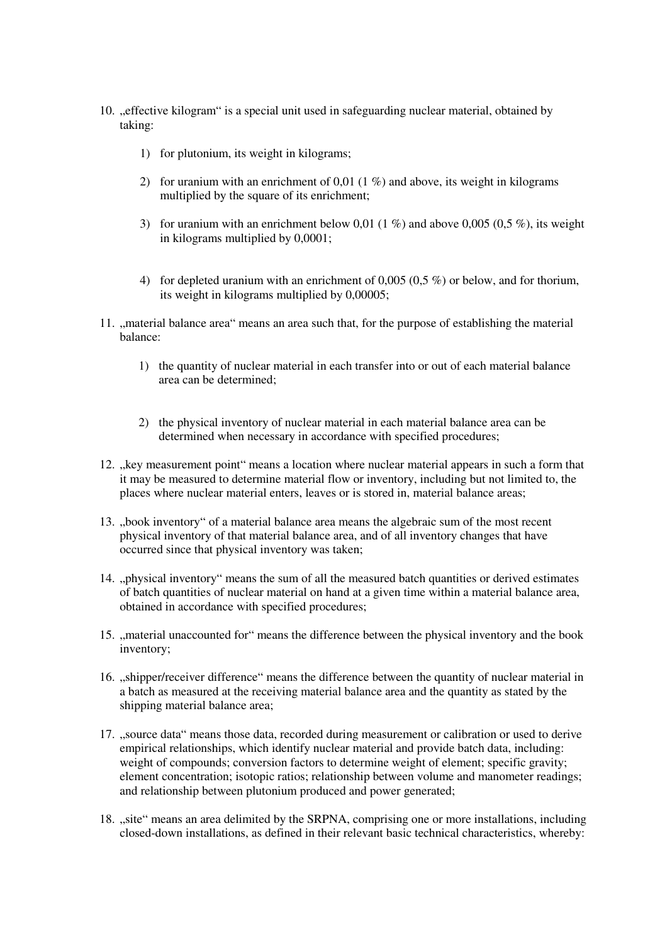- 10. "effective kilogram" is a special unit used in safeguarding nuclear material, obtained by taking:
	- 1) for plutonium, its weight in kilograms;
	- 2) for uranium with an enrichment of 0,01 (1  $\%$ ) and above, its weight in kilograms multiplied by the square of its enrichment;
	- 3) for uranium with an enrichment below 0,01 (1 %) and above 0,005 (0,5 %), its weight in kilograms multiplied by 0,0001;
	- 4) for depleted uranium with an enrichment of 0,005 (0,5 %) or below, and for thorium, its weight in kilograms multiplied by 0,00005;
- 11. "material balance area" means an area such that, for the purpose of establishing the material balance:
	- 1) the quantity of nuclear material in each transfer into or out of each material balance area can be determined;
	- 2) the physical inventory of nuclear material in each material balance area can be determined when necessary in accordance with specified procedures;
- 12. "key measurement point" means a location where nuclear material appears in such a form that it may be measured to determine material flow or inventory, including but not limited to, the places where nuclear material enters, leaves or is stored in, material balance areas;
- 13. "book inventory" of a material balance area means the algebraic sum of the most recent physical inventory of that material balance area, and of all inventory changes that have occurred since that physical inventory was taken;
- 14. "physical inventory" means the sum of all the measured batch quantities or derived estimates of batch quantities of nuclear material on hand at a given time within a material balance area, obtained in accordance with specified procedures;
- 15. "material unaccounted for" means the difference between the physical inventory and the book inventory;
- 16. "shipper/receiver difference" means the difference between the quantity of nuclear material in a batch as measured at the receiving material balance area and the quantity as stated by the shipping material balance area;
- 17. "source data" means those data, recorded during measurement or calibration or used to derive empirical relationships, which identify nuclear material and provide batch data, including: weight of compounds; conversion factors to determine weight of element; specific gravity; element concentration; isotopic ratios; relationship between volume and manometer readings; and relationship between plutonium produced and power generated;
- 18. "site" means an area delimited by the SRPNA, comprising one or more installations, including closed-down installations, as defined in their relevant basic technical characteristics, whereby: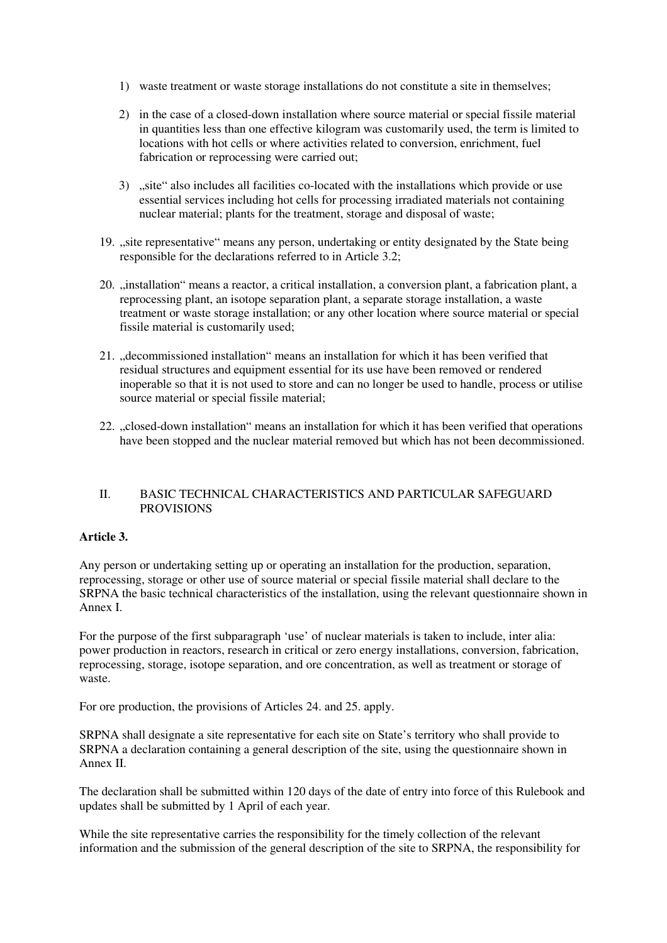- 1) waste treatment or waste storage installations do not constitute a site in themselves;
- 2) in the case of a closed-down installation where source material or special fissile material in quantities less than one effective kilogram was customarily used, the term is limited to locations with hot cells or where activities related to conversion, enrichment, fuel fabrication or reprocessing were carried out;
- 3) site also includes all facilities co-located with the installations which provide or use essential services including hot cells for processing irradiated materials not containing nuclear material; plants for the treatment, storage and disposal of waste;
- 19. "site representative" means any person, undertaking or entity designated by the State being responsible for the declarations referred to in Article 3.2;
- 20. "installation" means a reactor, a critical installation, a conversion plant, a fabrication plant, a reprocessing plant, an isotope separation plant, a separate storage installation, a waste treatment or waste storage installation; or any other location where source material or special fissile material is customarily used;
- 21. ..decommissioned installation "means an installation for which it has been verified that residual structures and equipment essential for its use have been removed or rendered inoperable so that it is not used to store and can no longer be used to handle, process or utilise source material or special fissile material;
- 22. "closed-down installation" means an installation for which it has been verified that operations have been stopped and the nuclear material removed but which has not been decommissioned.

#### II. BASIC TECHNICAL CHARACTERISTICS AND PARTICULAR SAFEGUARD PROVISIONS

#### **Article 3.**

Any person or undertaking setting up or operating an installation for the production, separation, reprocessing, storage or other use of source material or special fissile material shall declare to the SRPNA the basic technical characteristics of the installation, using the relevant questionnaire shown in Annex I.

For the purpose of the first subparagraph 'use' of nuclear materials is taken to include, inter alia: power production in reactors, research in critical or zero energy installations, conversion, fabrication, reprocessing, storage, isotope separation, and ore concentration, as well as treatment or storage of waste.

For ore production, the provisions of Articles 24. and 25. apply.

SRPNA shall designate a site representative for each site on State's territory who shall provide to SRPNA a declaration containing a general description of the site, using the questionnaire shown in Annex II.

The declaration shall be submitted within 120 days of the date of entry into force of this Rulebook and updates shall be submitted by 1 April of each year.

While the site representative carries the responsibility for the timely collection of the relevant information and the submission of the general description of the site to SRPNA, the responsibility for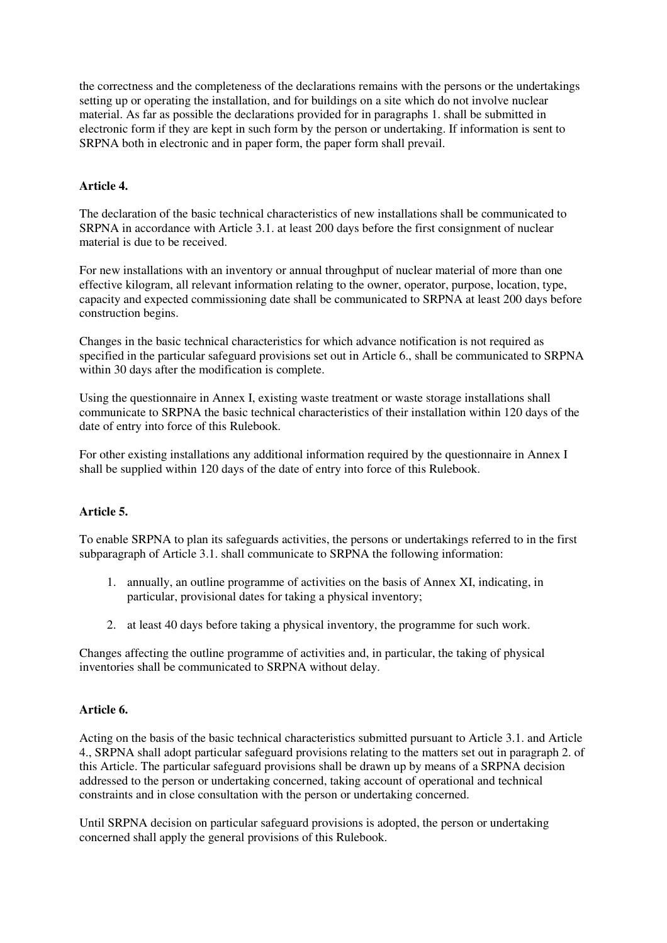the correctness and the completeness of the declarations remains with the persons or the undertakings setting up or operating the installation, and for buildings on a site which do not involve nuclear material. As far as possible the declarations provided for in paragraphs 1. shall be submitted in electronic form if they are kept in such form by the person or undertaking. If information is sent to SRPNA both in electronic and in paper form, the paper form shall prevail.

# **Article 4.**

The declaration of the basic technical characteristics of new installations shall be communicated to SRPNA in accordance with Article 3.1. at least 200 days before the first consignment of nuclear material is due to be received.

For new installations with an inventory or annual throughput of nuclear material of more than one effective kilogram, all relevant information relating to the owner, operator, purpose, location, type, capacity and expected commissioning date shall be communicated to SRPNA at least 200 days before construction begins.

Changes in the basic technical characteristics for which advance notification is not required as specified in the particular safeguard provisions set out in Article 6., shall be communicated to SRPNA within 30 days after the modification is complete.

Using the questionnaire in Annex I, existing waste treatment or waste storage installations shall communicate to SRPNA the basic technical characteristics of their installation within 120 days of the date of entry into force of this Rulebook.

For other existing installations any additional information required by the questionnaire in Annex I shall be supplied within 120 days of the date of entry into force of this Rulebook.

## **Article 5.**

To enable SRPNA to plan its safeguards activities, the persons or undertakings referred to in the first subparagraph of Article 3.1. shall communicate to SRPNA the following information:

- 1. annually, an outline programme of activities on the basis of Annex XI, indicating, in particular, provisional dates for taking a physical inventory;
- 2. at least 40 days before taking a physical inventory, the programme for such work.

Changes affecting the outline programme of activities and, in particular, the taking of physical inventories shall be communicated to SRPNA without delay.

## **Article 6.**

Acting on the basis of the basic technical characteristics submitted pursuant to Article 3.1. and Article 4., SRPNA shall adopt particular safeguard provisions relating to the matters set out in paragraph 2. of this Article. The particular safeguard provisions shall be drawn up by means of a SRPNA decision addressed to the person or undertaking concerned, taking account of operational and technical constraints and in close consultation with the person or undertaking concerned.

Until SRPNA decision on particular safeguard provisions is adopted, the person or undertaking concerned shall apply the general provisions of this Rulebook.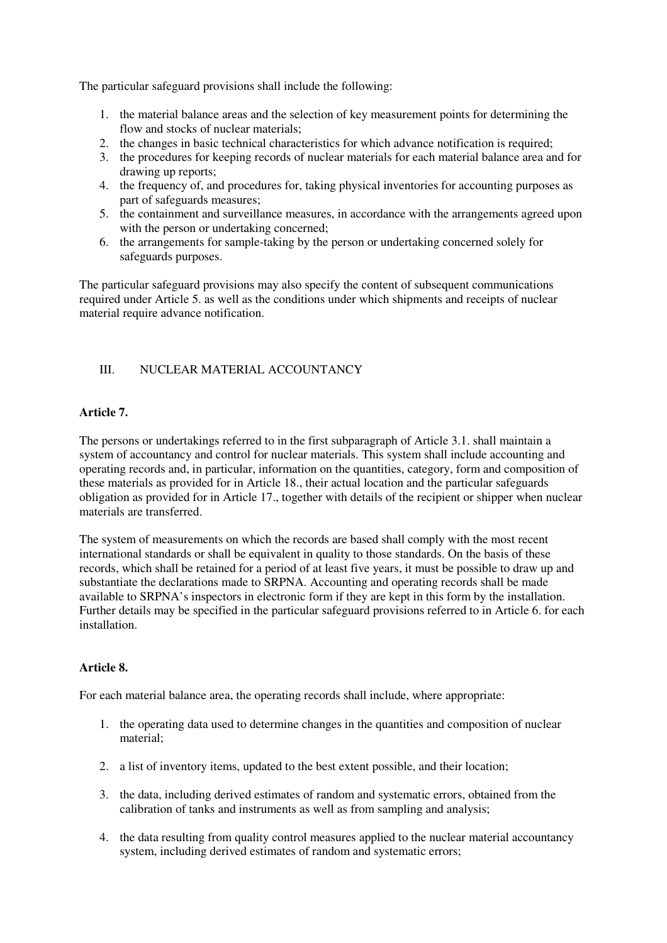The particular safeguard provisions shall include the following:

- 1. the material balance areas and the selection of key measurement points for determining the flow and stocks of nuclear materials;
- 2. the changes in basic technical characteristics for which advance notification is required;
- 3. the procedures for keeping records of nuclear materials for each material balance area and for drawing up reports;
- 4. the frequency of, and procedures for, taking physical inventories for accounting purposes as part of safeguards measures;
- 5. the containment and surveillance measures, in accordance with the arrangements agreed upon with the person or undertaking concerned:
- 6. the arrangements for sample-taking by the person or undertaking concerned solely for safeguards purposes.

The particular safeguard provisions may also specify the content of subsequent communications required under Article 5. as well as the conditions under which shipments and receipts of nuclear material require advance notification.

# III. NUCLEAR MATERIAL ACCOUNTANCY

## **Article 7.**

The persons or undertakings referred to in the first subparagraph of Article 3.1. shall maintain a system of accountancy and control for nuclear materials. This system shall include accounting and operating records and, in particular, information on the quantities, category, form and composition of these materials as provided for in Article 18., their actual location and the particular safeguards obligation as provided for in Article 17., together with details of the recipient or shipper when nuclear materials are transferred.

The system of measurements on which the records are based shall comply with the most recent international standards or shall be equivalent in quality to those standards. On the basis of these records, which shall be retained for a period of at least five years, it must be possible to draw up and substantiate the declarations made to SRPNA. Accounting and operating records shall be made available to SRPNA's inspectors in electronic form if they are kept in this form by the installation. Further details may be specified in the particular safeguard provisions referred to in Article 6. for each installation.

#### **Article 8.**

For each material balance area, the operating records shall include, where appropriate:

- 1. the operating data used to determine changes in the quantities and composition of nuclear material;
- 2. a list of inventory items, updated to the best extent possible, and their location;
- 3. the data, including derived estimates of random and systematic errors, obtained from the calibration of tanks and instruments as well as from sampling and analysis;
- 4. the data resulting from quality control measures applied to the nuclear material accountancy system, including derived estimates of random and systematic errors;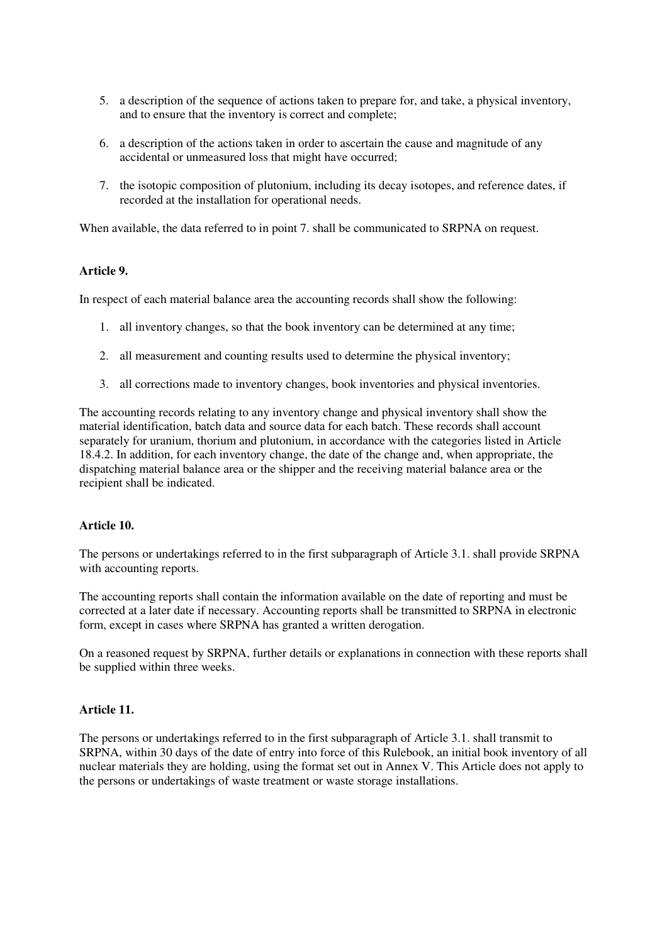- 5. a description of the sequence of actions taken to prepare for, and take, a physical inventory, and to ensure that the inventory is correct and complete;
- 6. a description of the actions taken in order to ascertain the cause and magnitude of any accidental or unmeasured loss that might have occurred;
- 7. the isotopic composition of plutonium, including its decay isotopes, and reference dates, if recorded at the installation for operational needs.

When available, the data referred to in point 7. shall be communicated to SRPNA on request.

#### **Article 9.**

In respect of each material balance area the accounting records shall show the following:

- 1. all inventory changes, so that the book inventory can be determined at any time;
- 2. all measurement and counting results used to determine the physical inventory;
- 3. all corrections made to inventory changes, book inventories and physical inventories.

The accounting records relating to any inventory change and physical inventory shall show the material identification, batch data and source data for each batch. These records shall account separately for uranium, thorium and plutonium, in accordance with the categories listed in Article 18.4.2. In addition, for each inventory change, the date of the change and, when appropriate, the dispatching material balance area or the shipper and the receiving material balance area or the recipient shall be indicated.

#### **Article 10.**

The persons or undertakings referred to in the first subparagraph of Article 3.1. shall provide SRPNA with accounting reports.

The accounting reports shall contain the information available on the date of reporting and must be corrected at a later date if necessary. Accounting reports shall be transmitted to SRPNA in electronic form, except in cases where SRPNA has granted a written derogation.

On a reasoned request by SRPNA, further details or explanations in connection with these reports shall be supplied within three weeks.

#### **Article 11.**

The persons or undertakings referred to in the first subparagraph of Article 3.1. shall transmit to SRPNA, within 30 days of the date of entry into force of this Rulebook, an initial book inventory of all nuclear materials they are holding, using the format set out in Annex V. This Article does not apply to the persons or undertakings of waste treatment or waste storage installations.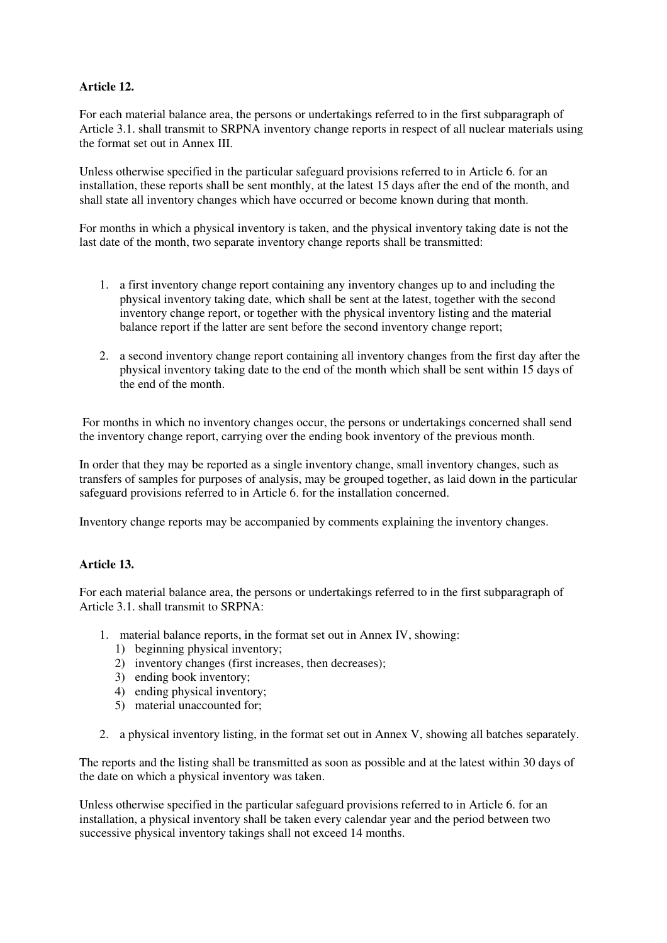# **Article 12.**

For each material balance area, the persons or undertakings referred to in the first subparagraph of Article 3.1. shall transmit to SRPNA inventory change reports in respect of all nuclear materials using the format set out in Annex III.

Unless otherwise specified in the particular safeguard provisions referred to in Article 6. for an installation, these reports shall be sent monthly, at the latest 15 days after the end of the month, and shall state all inventory changes which have occurred or become known during that month.

For months in which a physical inventory is taken, and the physical inventory taking date is not the last date of the month, two separate inventory change reports shall be transmitted:

- 1. a first inventory change report containing any inventory changes up to and including the physical inventory taking date, which shall be sent at the latest, together with the second inventory change report, or together with the physical inventory listing and the material balance report if the latter are sent before the second inventory change report;
- 2. a second inventory change report containing all inventory changes from the first day after the physical inventory taking date to the end of the month which shall be sent within 15 days of the end of the month.

 For months in which no inventory changes occur, the persons or undertakings concerned shall send the inventory change report, carrying over the ending book inventory of the previous month.

In order that they may be reported as a single inventory change, small inventory changes, such as transfers of samples for purposes of analysis, may be grouped together, as laid down in the particular safeguard provisions referred to in Article 6. for the installation concerned.

Inventory change reports may be accompanied by comments explaining the inventory changes.

## **Article 13.**

For each material balance area, the persons or undertakings referred to in the first subparagraph of Article 3.1. shall transmit to SRPNA:

- 1. material balance reports, in the format set out in Annex IV, showing:
	- 1) beginning physical inventory;
	- 2) inventory changes (first increases, then decreases);
	- 3) ending book inventory;
	- 4) ending physical inventory;
	- 5) material unaccounted for;
- 2. a physical inventory listing, in the format set out in Annex V, showing all batches separately.

The reports and the listing shall be transmitted as soon as possible and at the latest within 30 days of the date on which a physical inventory was taken.

Unless otherwise specified in the particular safeguard provisions referred to in Article 6. for an installation, a physical inventory shall be taken every calendar year and the period between two successive physical inventory takings shall not exceed 14 months.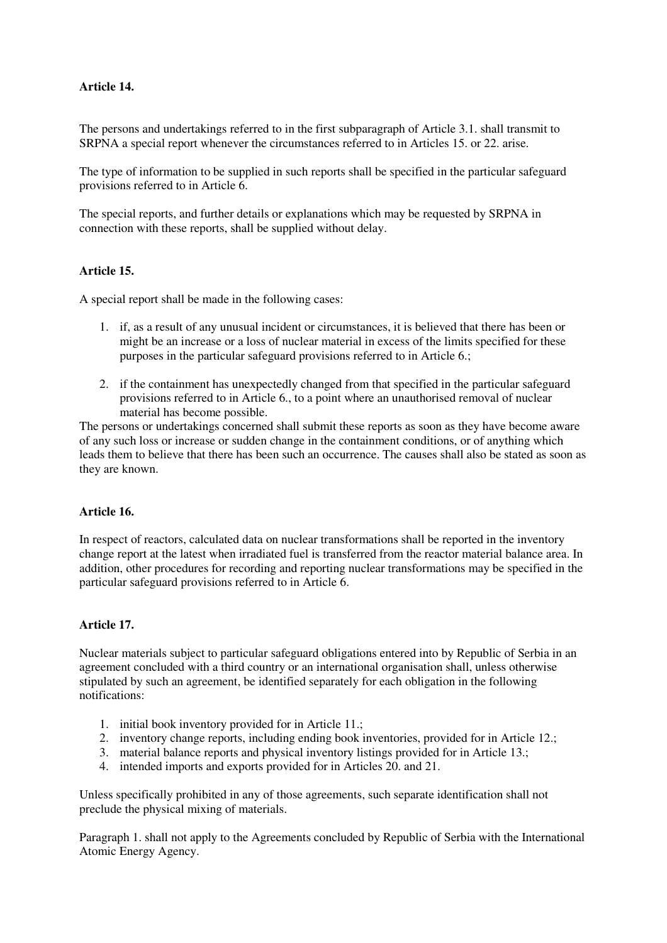## **Article 14.**

The persons and undertakings referred to in the first subparagraph of Article 3.1. shall transmit to SRPNA a special report whenever the circumstances referred to in Articles 15. or 22. arise.

The type of information to be supplied in such reports shall be specified in the particular safeguard provisions referred to in Article 6.

The special reports, and further details or explanations which may be requested by SRPNA in connection with these reports, shall be supplied without delay.

#### **Article 15.**

A special report shall be made in the following cases:

- 1. if, as a result of any unusual incident or circumstances, it is believed that there has been or might be an increase or a loss of nuclear material in excess of the limits specified for these purposes in the particular safeguard provisions referred to in Article 6.;
- 2. if the containment has unexpectedly changed from that specified in the particular safeguard provisions referred to in Article 6., to a point where an unauthorised removal of nuclear material has become possible.

The persons or undertakings concerned shall submit these reports as soon as they have become aware of any such loss or increase or sudden change in the containment conditions, or of anything which leads them to believe that there has been such an occurrence. The causes shall also be stated as soon as they are known.

#### **Article 16.**

In respect of reactors, calculated data on nuclear transformations shall be reported in the inventory change report at the latest when irradiated fuel is transferred from the reactor material balance area. In addition, other procedures for recording and reporting nuclear transformations may be specified in the particular safeguard provisions referred to in Article 6.

#### **Article 17.**

Nuclear materials subject to particular safeguard obligations entered into by Republic of Serbia in an agreement concluded with a third country or an international organisation shall, unless otherwise stipulated by such an agreement, be identified separately for each obligation in the following notifications:

- 1. initial book inventory provided for in Article 11.;
- 2. inventory change reports, including ending book inventories, provided for in Article 12.;
- 3. material balance reports and physical inventory listings provided for in Article 13.;
- 4. intended imports and exports provided for in Articles 20. and 21.

Unless specifically prohibited in any of those agreements, such separate identification shall not preclude the physical mixing of materials.

Paragraph 1. shall not apply to the Agreements concluded by Republic of Serbia with the International Atomic Energy Agency.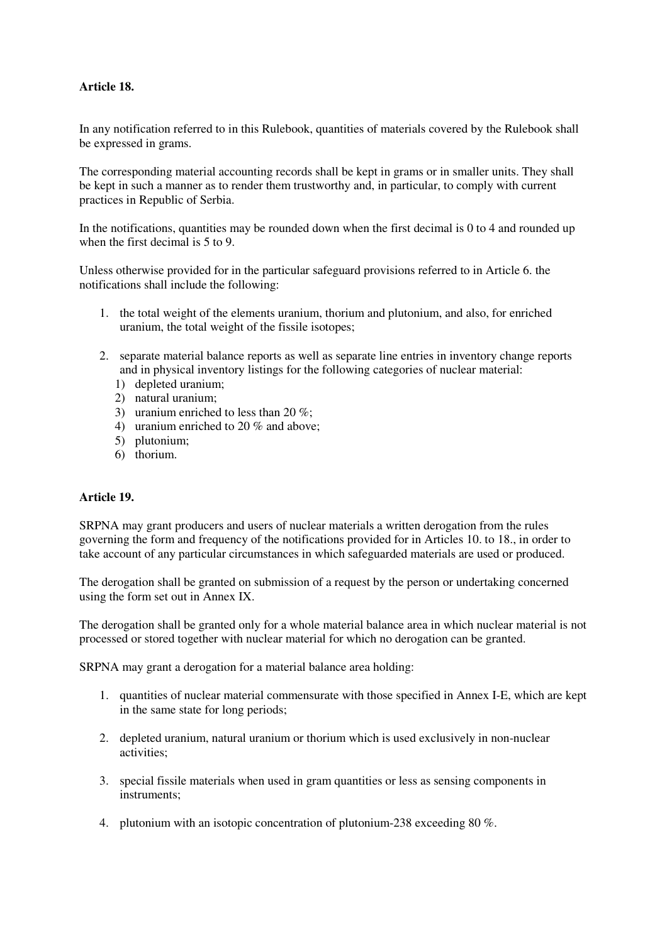## **Article 18.**

In any notification referred to in this Rulebook, quantities of materials covered by the Rulebook shall be expressed in grams.

The corresponding material accounting records shall be kept in grams or in smaller units. They shall be kept in such a manner as to render them trustworthy and, in particular, to comply with current practices in Republic of Serbia.

In the notifications, quantities may be rounded down when the first decimal is 0 to 4 and rounded up when the first decimal is 5 to 9.

Unless otherwise provided for in the particular safeguard provisions referred to in Article 6. the notifications shall include the following:

- 1. the total weight of the elements uranium, thorium and plutonium, and also, for enriched uranium, the total weight of the fissile isotopes;
- 2. separate material balance reports as well as separate line entries in inventory change reports and in physical inventory listings for the following categories of nuclear material:
	- 1) depleted uranium;
	- 2) natural uranium;
	- 3) uranium enriched to less than 20  $\%$
	- 4) uranium enriched to 20 % and above;
	- 5) plutonium;
	- 6) thorium.

#### **Article 19.**

SRPNA may grant producers and users of nuclear materials a written derogation from the rules governing the form and frequency of the notifications provided for in Articles 10. to 18., in order to take account of any particular circumstances in which safeguarded materials are used or produced.

The derogation shall be granted on submission of a request by the person or undertaking concerned using the form set out in Annex IX.

The derogation shall be granted only for a whole material balance area in which nuclear material is not processed or stored together with nuclear material for which no derogation can be granted.

SRPNA may grant a derogation for a material balance area holding:

- 1. quantities of nuclear material commensurate with those specified in Annex I-E, which are kept in the same state for long periods;
- 2. depleted uranium, natural uranium or thorium which is used exclusively in non-nuclear activities;
- 3. special fissile materials when used in gram quantities or less as sensing components in instruments;
- 4. plutonium with an isotopic concentration of plutonium-238 exceeding 80 %.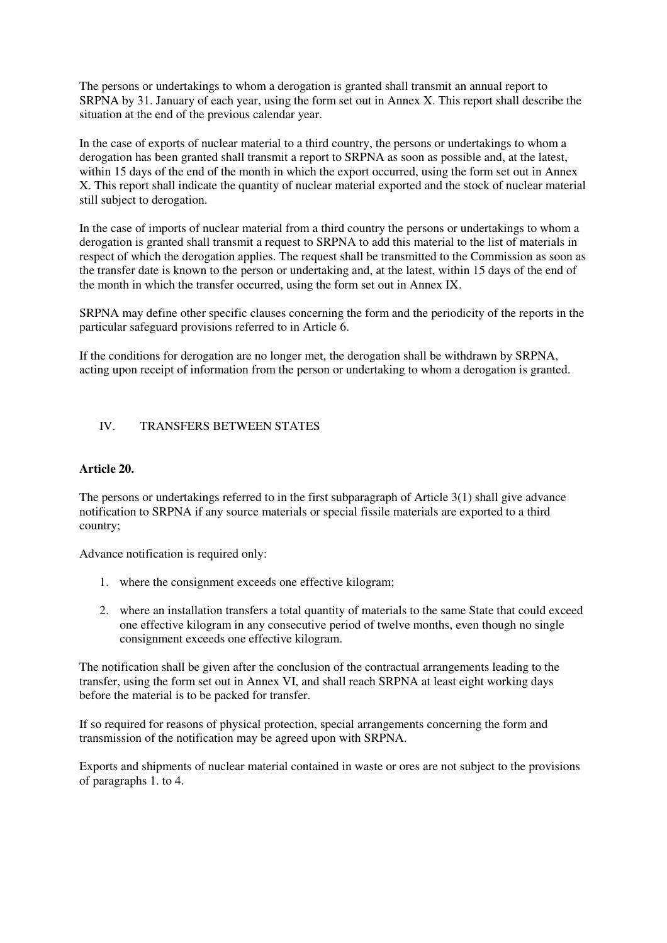The persons or undertakings to whom a derogation is granted shall transmit an annual report to SRPNA by 31. January of each year, using the form set out in Annex X. This report shall describe the situation at the end of the previous calendar year.

In the case of exports of nuclear material to a third country, the persons or undertakings to whom a derogation has been granted shall transmit a report to SRPNA as soon as possible and, at the latest, within 15 days of the end of the month in which the export occurred, using the form set out in Annex X. This report shall indicate the quantity of nuclear material exported and the stock of nuclear material still subject to derogation.

In the case of imports of nuclear material from a third country the persons or undertakings to whom a derogation is granted shall transmit a request to SRPNA to add this material to the list of materials in respect of which the derogation applies. The request shall be transmitted to the Commission as soon as the transfer date is known to the person or undertaking and, at the latest, within 15 days of the end of the month in which the transfer occurred, using the form set out in Annex IX.

SRPNA may define other specific clauses concerning the form and the periodicity of the reports in the particular safeguard provisions referred to in Article 6.

If the conditions for derogation are no longer met, the derogation shall be withdrawn by SRPNA, acting upon receipt of information from the person or undertaking to whom a derogation is granted.

## IV. TRANSFERS BETWEEN STATES

#### **Article 20.**

The persons or undertakings referred to in the first subparagraph of Article 3(1) shall give advance notification to SRPNA if any source materials or special fissile materials are exported to a third country;

Advance notification is required only:

- 1. where the consignment exceeds one effective kilogram;
- 2. where an installation transfers a total quantity of materials to the same State that could exceed one effective kilogram in any consecutive period of twelve months, even though no single consignment exceeds one effective kilogram.

The notification shall be given after the conclusion of the contractual arrangements leading to the transfer, using the form set out in Annex VI, and shall reach SRPNA at least eight working days before the material is to be packed for transfer.

If so required for reasons of physical protection, special arrangements concerning the form and transmission of the notification may be agreed upon with SRPNA.

Exports and shipments of nuclear material contained in waste or ores are not subject to the provisions of paragraphs 1. to 4.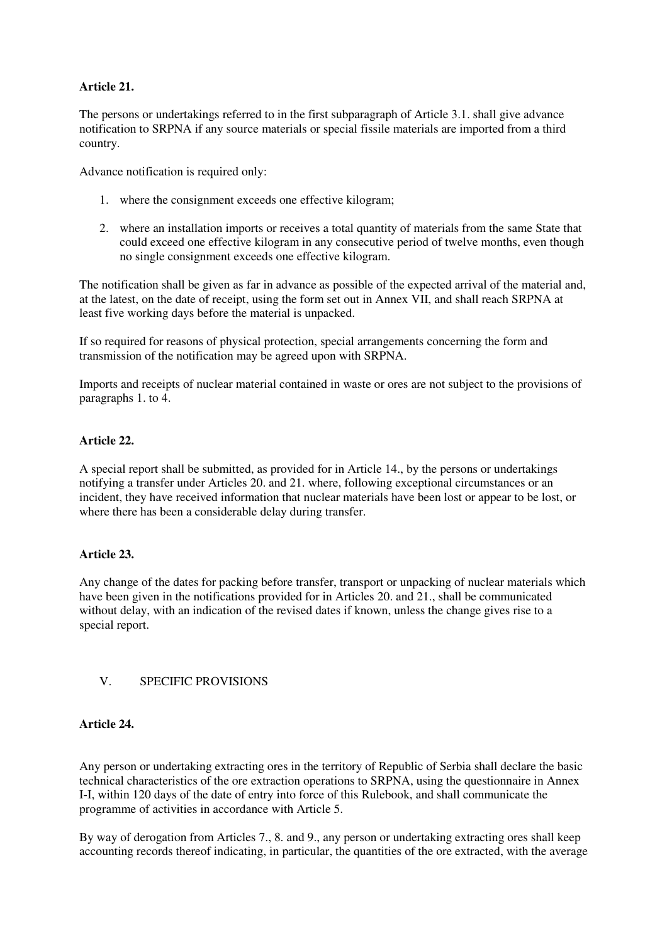## **Article 21.**

The persons or undertakings referred to in the first subparagraph of Article 3.1. shall give advance notification to SRPNA if any source materials or special fissile materials are imported from a third country.

Advance notification is required only:

- 1. where the consignment exceeds one effective kilogram;
- 2. where an installation imports or receives a total quantity of materials from the same State that could exceed one effective kilogram in any consecutive period of twelve months, even though no single consignment exceeds one effective kilogram.

The notification shall be given as far in advance as possible of the expected arrival of the material and, at the latest, on the date of receipt, using the form set out in Annex VII, and shall reach SRPNA at least five working days before the material is unpacked.

If so required for reasons of physical protection, special arrangements concerning the form and transmission of the notification may be agreed upon with SRPNA.

Imports and receipts of nuclear material contained in waste or ores are not subject to the provisions of paragraphs 1. to 4.

# **Article 22.**

A special report shall be submitted, as provided for in Article 14., by the persons or undertakings notifying a transfer under Articles 20. and 21. where, following exceptional circumstances or an incident, they have received information that nuclear materials have been lost or appear to be lost, or where there has been a considerable delay during transfer.

## **Article 23.**

Any change of the dates for packing before transfer, transport or unpacking of nuclear materials which have been given in the notifications provided for in Articles 20. and 21., shall be communicated without delay, with an indication of the revised dates if known, unless the change gives rise to a special report.

## V. SPECIFIC PROVISIONS

#### **Article 24.**

Any person or undertaking extracting ores in the territory of Republic of Serbia shall declare the basic technical characteristics of the ore extraction operations to SRPNA, using the questionnaire in Annex I-I, within 120 days of the date of entry into force of this Rulebook, and shall communicate the programme of activities in accordance with Article 5.

By way of derogation from Articles 7., 8. and 9., any person or undertaking extracting ores shall keep accounting records thereof indicating, in particular, the quantities of the ore extracted, with the average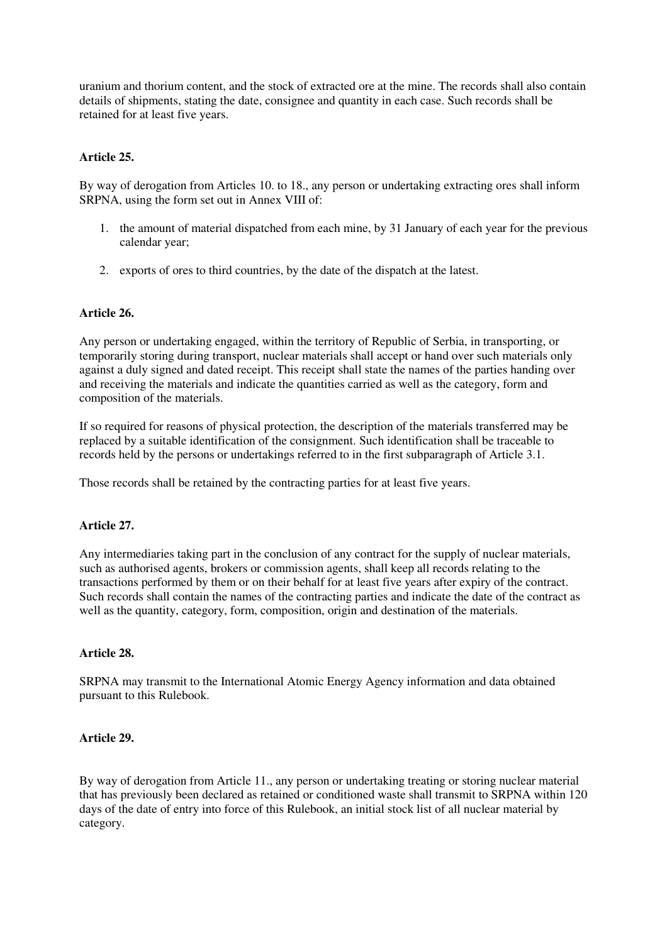uranium and thorium content, and the stock of extracted ore at the mine. The records shall also contain details of shipments, stating the date, consignee and quantity in each case. Such records shall be retained for at least five years.

## **Article 25.**

By way of derogation from Articles 10. to 18., any person or undertaking extracting ores shall inform SRPNA, using the form set out in Annex VIII of:

- 1. the amount of material dispatched from each mine, by 31 January of each year for the previous calendar year;
- 2. exports of ores to third countries, by the date of the dispatch at the latest.

## **Article 26.**

Any person or undertaking engaged, within the territory of Republic of Serbia, in transporting, or temporarily storing during transport, nuclear materials shall accept or hand over such materials only against a duly signed and dated receipt. This receipt shall state the names of the parties handing over and receiving the materials and indicate the quantities carried as well as the category, form and composition of the materials.

If so required for reasons of physical protection, the description of the materials transferred may be replaced by a suitable identification of the consignment. Such identification shall be traceable to records held by the persons or undertakings referred to in the first subparagraph of Article 3.1.

Those records shall be retained by the contracting parties for at least five years.

#### **Article 27.**

Any intermediaries taking part in the conclusion of any contract for the supply of nuclear materials, such as authorised agents, brokers or commission agents, shall keep all records relating to the transactions performed by them or on their behalf for at least five years after expiry of the contract. Such records shall contain the names of the contracting parties and indicate the date of the contract as well as the quantity, category, form, composition, origin and destination of the materials.

#### **Article 28.**

SRPNA may transmit to the International Atomic Energy Agency information and data obtained pursuant to this Rulebook.

#### **Article 29.**

By way of derogation from Article 11., any person or undertaking treating or storing nuclear material that has previously been declared as retained or conditioned waste shall transmit to SRPNA within 120 days of the date of entry into force of this Rulebook, an initial stock list of all nuclear material by category.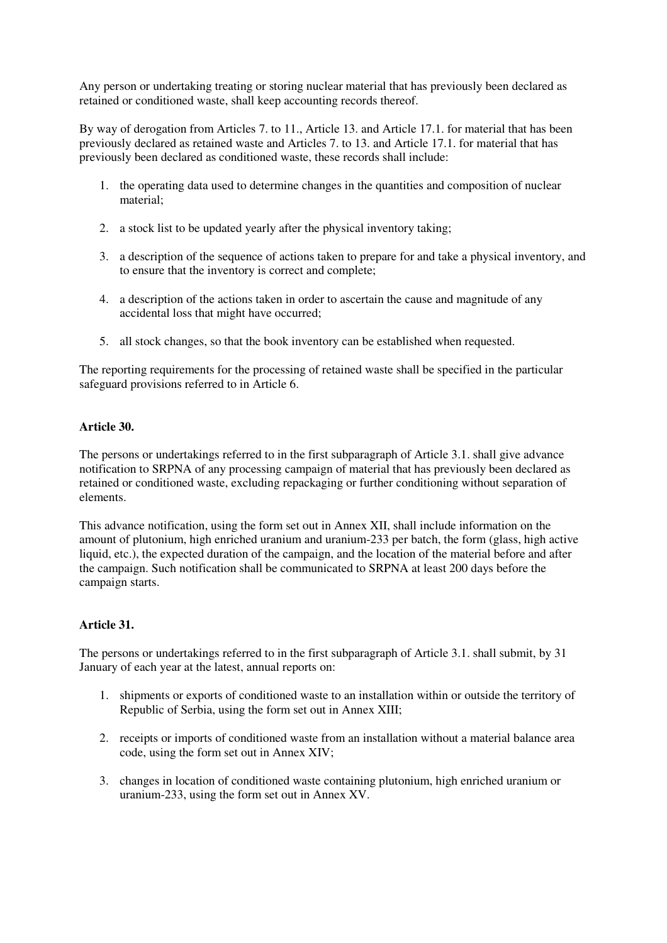Any person or undertaking treating or storing nuclear material that has previously been declared as retained or conditioned waste, shall keep accounting records thereof.

By way of derogation from Articles 7. to 11., Article 13. and Article 17.1. for material that has been previously declared as retained waste and Articles 7. to 13. and Article 17.1. for material that has previously been declared as conditioned waste, these records shall include:

- 1. the operating data used to determine changes in the quantities and composition of nuclear material;
- 2. a stock list to be updated yearly after the physical inventory taking;
- 3. a description of the sequence of actions taken to prepare for and take a physical inventory, and to ensure that the inventory is correct and complete;
- 4. a description of the actions taken in order to ascertain the cause and magnitude of any accidental loss that might have occurred;
- 5. all stock changes, so that the book inventory can be established when requested.

The reporting requirements for the processing of retained waste shall be specified in the particular safeguard provisions referred to in Article 6.

## **Article 30.**

The persons or undertakings referred to in the first subparagraph of Article 3.1. shall give advance notification to SRPNA of any processing campaign of material that has previously been declared as retained or conditioned waste, excluding repackaging or further conditioning without separation of elements.

This advance notification, using the form set out in Annex XII, shall include information on the amount of plutonium, high enriched uranium and uranium-233 per batch, the form (glass, high active liquid, etc.), the expected duration of the campaign, and the location of the material before and after the campaign. Such notification shall be communicated to SRPNA at least 200 days before the campaign starts.

## **Article 31.**

The persons or undertakings referred to in the first subparagraph of Article 3.1. shall submit, by 31 January of each year at the latest, annual reports on:

- 1. shipments or exports of conditioned waste to an installation within or outside the territory of Republic of Serbia, using the form set out in Annex XIII;
- 2. receipts or imports of conditioned waste from an installation without a material balance area code, using the form set out in Annex XIV;
- 3. changes in location of conditioned waste containing plutonium, high enriched uranium or uranium-233, using the form set out in Annex XV.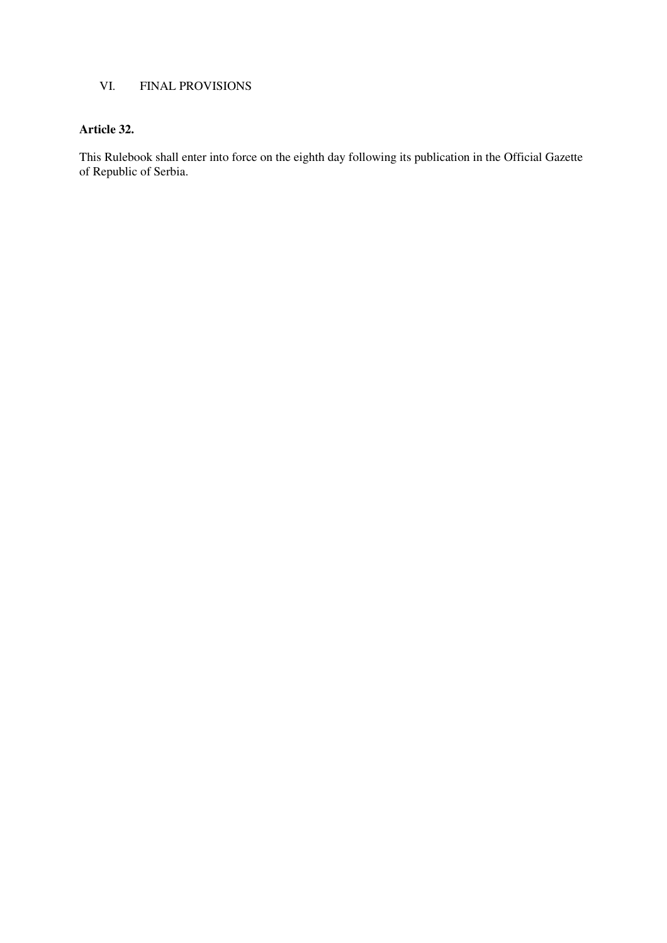# VI. FINAL PROVISIONS

# **Article 32.**

This Rulebook shall enter into force on the eighth day following its publication in the Official Gazette of Republic of Serbia.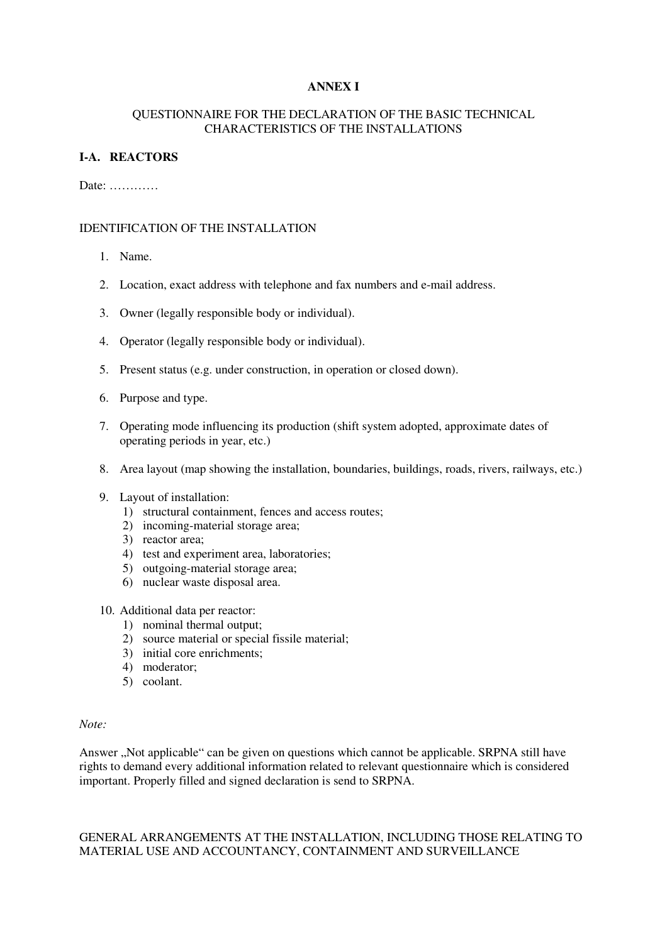## **ANNEX I**

#### QUESTIONNAIRE FOR THE DECLARATION OF THE BASIC TECHNICAL CHARACTERISTICS OF THE INSTALLATIONS

## **I-A. REACTORS**

#### Date: …………

## IDENTIFICATION OF THE INSTALLATION

- 1. Name.
- 2. Location, exact address with telephone and fax numbers and e-mail address.
- 3. Owner (legally responsible body or individual).
- 4. Operator (legally responsible body or individual).
- 5. Present status (e.g. under construction, in operation or closed down).
- 6. Purpose and type.
- 7. Operating mode influencing its production (shift system adopted, approximate dates of operating periods in year, etc.)
- 8. Area layout (map showing the installation, boundaries, buildings, roads, rivers, railways, etc.)
- 9. Layout of installation:
	- 1) structural containment, fences and access routes;
	- 2) incoming-material storage area;
	- 3) reactor area;
	- 4) test and experiment area, laboratories;
	- 5) outgoing-material storage area;
	- 6) nuclear waste disposal area.

## 10. Additional data per reactor:

- 1) nominal thermal output;
- 2) source material or special fissile material;
- 3) initial core enrichments;
- 4) moderator;
- 5) coolant.

#### *Note:*

Answer "Not applicable" can be given on questions which cannot be applicable. SRPNA still have rights to demand every additional information related to relevant questionnaire which is considered important. Properly filled and signed declaration is send to SRPNA.

## GENERAL ARRANGEMENTS AT THE INSTALLATION, INCLUDING THOSE RELATING TO MATERIAL USE AND ACCOUNTANCY, CONTAINMENT AND SURVEILLANCE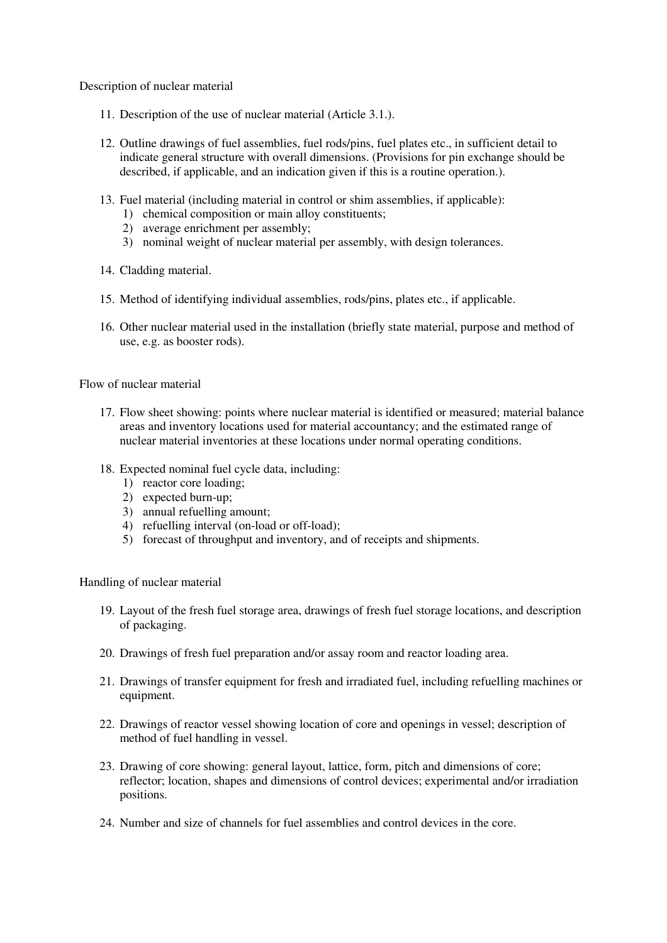Description of nuclear material

- 11. Description of the use of nuclear material (Article 3.1.).
- 12. Outline drawings of fuel assemblies, fuel rods/pins, fuel plates etc., in sufficient detail to indicate general structure with overall dimensions. (Provisions for pin exchange should be described, if applicable, and an indication given if this is a routine operation.).
- 13. Fuel material (including material in control or shim assemblies, if applicable):
	- 1) chemical composition or main alloy constituents;
	- 2) average enrichment per assembly;
	- 3) nominal weight of nuclear material per assembly, with design tolerances.
- 14. Cladding material.
- 15. Method of identifying individual assemblies, rods/pins, plates etc., if applicable.
- 16. Other nuclear material used in the installation (briefly state material, purpose and method of use, e.g. as booster rods).

Flow of nuclear material

- 17. Flow sheet showing: points where nuclear material is identified or measured; material balance areas and inventory locations used for material accountancy; and the estimated range of nuclear material inventories at these locations under normal operating conditions.
- 18. Expected nominal fuel cycle data, including:
	- 1) reactor core loading;
	- 2) expected burn-up;
	- 3) annual refuelling amount;
	- 4) refuelling interval (on-load or off-load);
	- 5) forecast of throughput and inventory, and of receipts and shipments.

Handling of nuclear material

- 19. Layout of the fresh fuel storage area, drawings of fresh fuel storage locations, and description of packaging.
- 20. Drawings of fresh fuel preparation and/or assay room and reactor loading area.
- 21. Drawings of transfer equipment for fresh and irradiated fuel, including refuelling machines or equipment.
- 22. Drawings of reactor vessel showing location of core and openings in vessel; description of method of fuel handling in vessel.
- 23. Drawing of core showing: general layout, lattice, form, pitch and dimensions of core; reflector; location, shapes and dimensions of control devices; experimental and/or irradiation positions.
- 24. Number and size of channels for fuel assemblies and control devices in the core.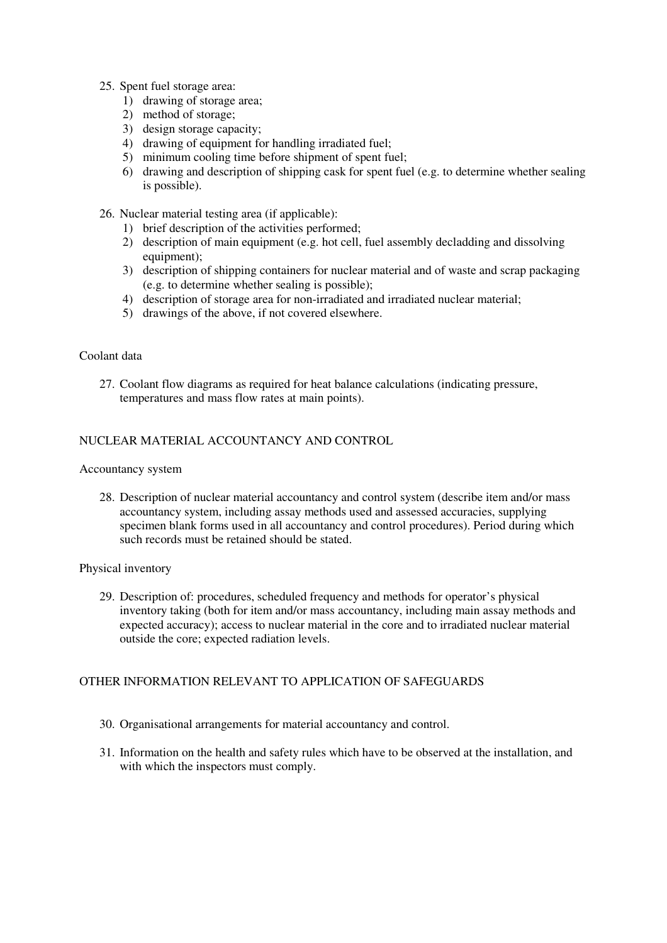#### 25. Spent fuel storage area:

- 1) drawing of storage area;
- 2) method of storage;
- 3) design storage capacity;
- 4) drawing of equipment for handling irradiated fuel;
- 5) minimum cooling time before shipment of spent fuel;
- 6) drawing and description of shipping cask for spent fuel (e.g. to determine whether sealing is possible).
- 26. Nuclear material testing area (if applicable):
	- 1) brief description of the activities performed;
	- 2) description of main equipment (e.g. hot cell, fuel assembly decladding and dissolving equipment);
	- 3) description of shipping containers for nuclear material and of waste and scrap packaging (e.g. to determine whether sealing is possible);
	- 4) description of storage area for non-irradiated and irradiated nuclear material;
	- 5) drawings of the above, if not covered elsewhere.

#### Coolant data

27. Coolant flow diagrams as required for heat balance calculations (indicating pressure, temperatures and mass flow rates at main points).

## NUCLEAR MATERIAL ACCOUNTANCY AND CONTROL

#### Accountancy system

28. Description of nuclear material accountancy and control system (describe item and/or mass accountancy system, including assay methods used and assessed accuracies, supplying specimen blank forms used in all accountancy and control procedures). Period during which such records must be retained should be stated.

#### Physical inventory

29. Description of: procedures, scheduled frequency and methods for operator's physical inventory taking (both for item and/or mass accountancy, including main assay methods and expected accuracy); access to nuclear material in the core and to irradiated nuclear material outside the core; expected radiation levels.

## OTHER INFORMATION RELEVANT TO APPLICATION OF SAFEGUARDS

- 30. Organisational arrangements for material accountancy and control.
- 31. Information on the health and safety rules which have to be observed at the installation, and with which the inspectors must comply.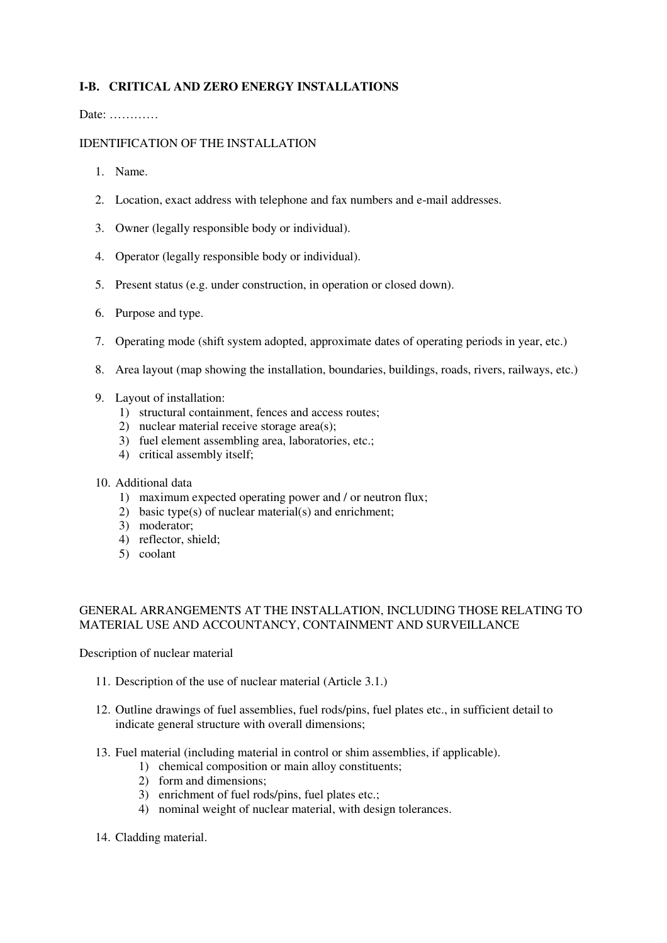# **I-B. CRITICAL AND ZERO ENERGY INSTALLATIONS**

Date: …………

#### IDENTIFICATION OF THE INSTALLATION

- 1. Name.
- 2. Location, exact address with telephone and fax numbers and e-mail addresses.
- 3. Owner (legally responsible body or individual).
- 4. Operator (legally responsible body or individual).
- 5. Present status (e.g. under construction, in operation or closed down).
- 6. Purpose and type.
- 7. Operating mode (shift system adopted, approximate dates of operating periods in year, etc.)
- 8. Area layout (map showing the installation, boundaries, buildings, roads, rivers, railways, etc.)
- 9. Layout of installation:
	- 1) structural containment, fences and access routes;
	- 2) nuclear material receive storage area(s);
	- 3) fuel element assembling area, laboratories, etc.;
	- 4) critical assembly itself;

## 10. Additional data

- 1) maximum expected operating power and / or neutron flux;
- 2) basic type(s) of nuclear material(s) and enrichment;
- 3) moderator;
- 4) reflector, shield;
- 5) coolant

#### GENERAL ARRANGEMENTS AT THE INSTALLATION, INCLUDING THOSE RELATING TO MATERIAL USE AND ACCOUNTANCY, CONTAINMENT AND SURVEILLANCE

Description of nuclear material

- 11. Description of the use of nuclear material (Article 3.1.)
- 12. Outline drawings of fuel assemblies, fuel rods/pins, fuel plates etc., in sufficient detail to indicate general structure with overall dimensions;
- 13. Fuel material (including material in control or shim assemblies, if applicable).
	- 1) chemical composition or main alloy constituents;
	- 2) form and dimensions;
	- 3) enrichment of fuel rods/pins, fuel plates etc.;
	- 4) nominal weight of nuclear material, with design tolerances.
- 14. Cladding material.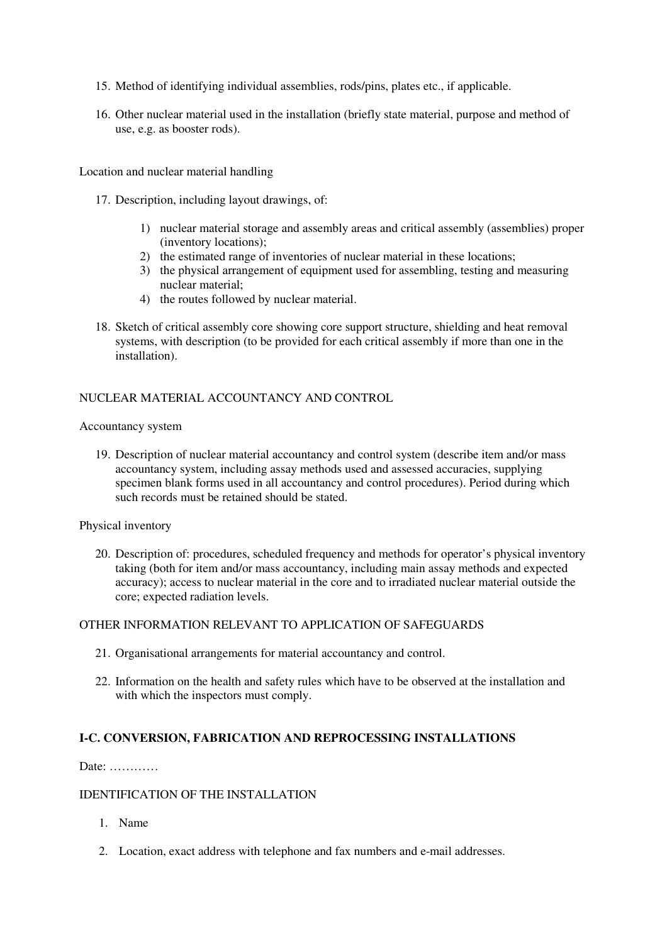- 15. Method of identifying individual assemblies, rods/pins, plates etc., if applicable.
- 16. Other nuclear material used in the installation (briefly state material, purpose and method of use, e.g. as booster rods).

Location and nuclear material handling

- 17. Description, including layout drawings, of:
	- 1) nuclear material storage and assembly areas and critical assembly (assemblies) proper (inventory locations);
	- 2) the estimated range of inventories of nuclear material in these locations;
	- 3) the physical arrangement of equipment used for assembling, testing and measuring nuclear material;
	- 4) the routes followed by nuclear material.
- 18. Sketch of critical assembly core showing core support structure, shielding and heat removal systems, with description (to be provided for each critical assembly if more than one in the installation).

## NUCLEAR MATERIAL ACCOUNTANCY AND CONTROL

#### Accountancy system

19. Description of nuclear material accountancy and control system (describe item and/or mass accountancy system, including assay methods used and assessed accuracies, supplying specimen blank forms used in all accountancy and control procedures). Period during which such records must be retained should be stated.

Physical inventory

20. Description of: procedures, scheduled frequency and methods for operator's physical inventory taking (both for item and/or mass accountancy, including main assay methods and expected accuracy); access to nuclear material in the core and to irradiated nuclear material outside the core; expected radiation levels.

#### OTHER INFORMATION RELEVANT TO APPLICATION OF SAFEGUARDS

- 21. Organisational arrangements for material accountancy and control.
- 22. Information on the health and safety rules which have to be observed at the installation and with which the inspectors must comply.

#### **I-C. CONVERSION, FABRICATION AND REPROCESSING INSTALLATIONS**

Date: …………

## IDENTIFICATION OF THE INSTALLATION

- 1. Name
- 2. Location, exact address with telephone and fax numbers and e-mail addresses.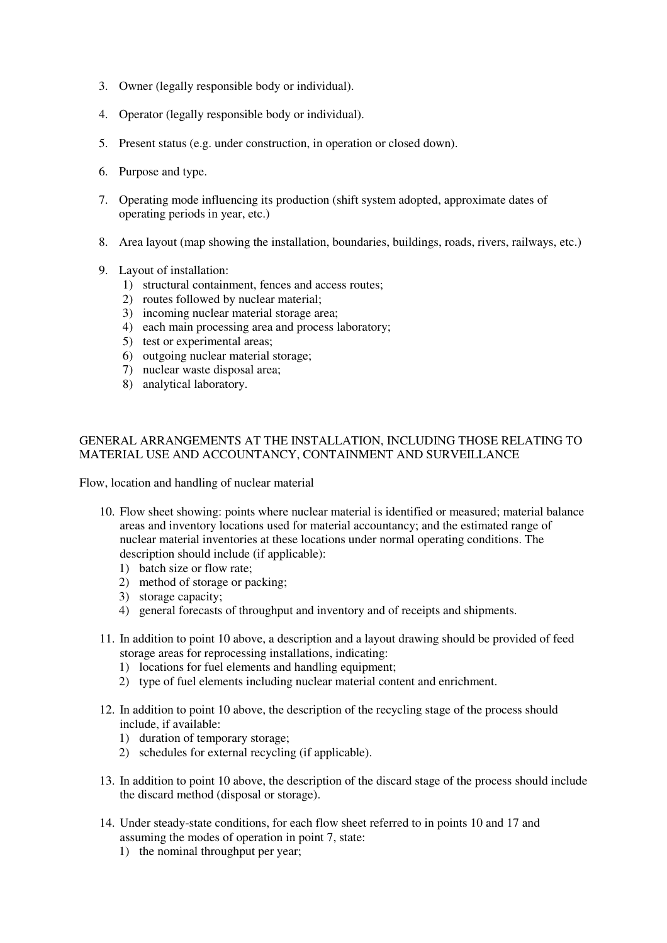- 3. Owner (legally responsible body or individual).
- 4. Operator (legally responsible body or individual).
- 5. Present status (e.g. under construction, in operation or closed down).
- 6. Purpose and type.
- 7. Operating mode influencing its production (shift system adopted, approximate dates of operating periods in year, etc.)
- 8. Area layout (map showing the installation, boundaries, buildings, roads, rivers, railways, etc.)
- 9. Layout of installation:
	- 1) structural containment, fences and access routes;
	- 2) routes followed by nuclear material;
	- 3) incoming nuclear material storage area;
	- 4) each main processing area and process laboratory;
	- 5) test or experimental areas;
	- 6) outgoing nuclear material storage;
	- 7) nuclear waste disposal area;
	- 8) analytical laboratory.

#### GENERAL ARRANGEMENTS AT THE INSTALLATION, INCLUDING THOSE RELATING TO MATERIAL USE AND ACCOUNTANCY, CONTAINMENT AND SURVEILLANCE

Flow, location and handling of nuclear material

- 10. Flow sheet showing: points where nuclear material is identified or measured; material balance areas and inventory locations used for material accountancy; and the estimated range of nuclear material inventories at these locations under normal operating conditions. The description should include (if applicable):
	- 1) batch size or flow rate;
	- 2) method of storage or packing;
	- 3) storage capacity;
	- 4) general forecasts of throughput and inventory and of receipts and shipments.
- 11. In addition to point 10 above, a description and a layout drawing should be provided of feed storage areas for reprocessing installations, indicating:
	- 1) locations for fuel elements and handling equipment;
	- 2) type of fuel elements including nuclear material content and enrichment.
- 12. In addition to point 10 above, the description of the recycling stage of the process should include, if available:
	- 1) duration of temporary storage;
	- 2) schedules for external recycling (if applicable).
- 13. In addition to point 10 above, the description of the discard stage of the process should include the discard method (disposal or storage).
- 14. Under steady-state conditions, for each flow sheet referred to in points 10 and 17 and assuming the modes of operation in point 7, state:
	- 1) the nominal throughput per year;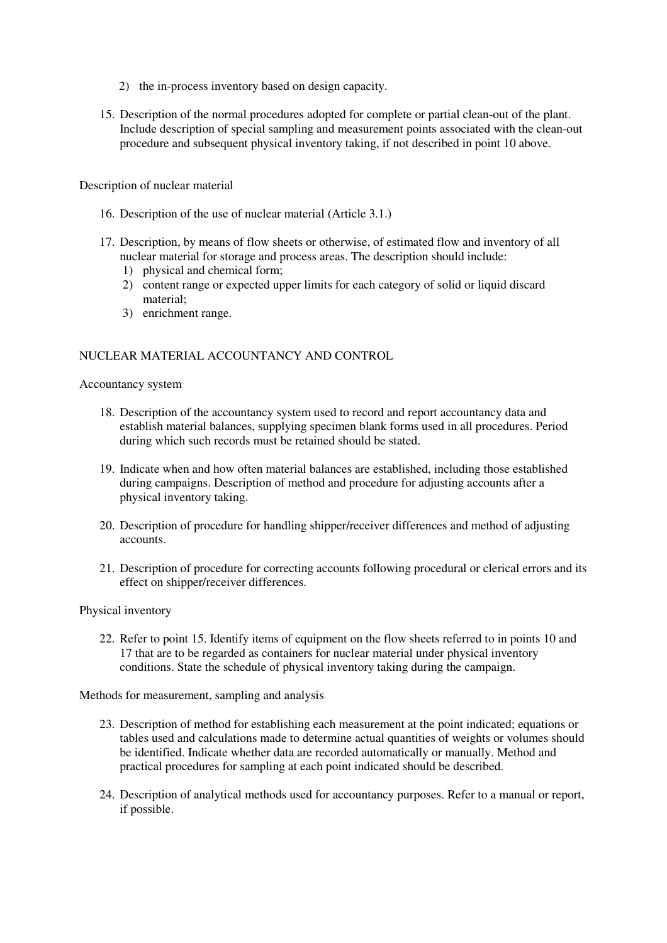- 2) the in-process inventory based on design capacity.
- 15. Description of the normal procedures adopted for complete or partial clean-out of the plant. Include description of special sampling and measurement points associated with the clean-out procedure and subsequent physical inventory taking, if not described in point 10 above.

Description of nuclear material

- 16. Description of the use of nuclear material (Article 3.1.)
- 17. Description, by means of flow sheets or otherwise, of estimated flow and inventory of all nuclear material for storage and process areas. The description should include:
	- 1) physical and chemical form;
	- 2) content range or expected upper limits for each category of solid or liquid discard material;
	- 3) enrichment range.

#### NUCLEAR MATERIAL ACCOUNTANCY AND CONTROL

#### Accountancy system

- 18. Description of the accountancy system used to record and report accountancy data and establish material balances, supplying specimen blank forms used in all procedures. Period during which such records must be retained should be stated.
- 19. Indicate when and how often material balances are established, including those established during campaigns. Description of method and procedure for adjusting accounts after a physical inventory taking.
- 20. Description of procedure for handling shipper/receiver differences and method of adjusting accounts.
- 21. Description of procedure for correcting accounts following procedural or clerical errors and its effect on shipper/receiver differences.

#### Physical inventory

22. Refer to point 15. Identify items of equipment on the flow sheets referred to in points 10 and 17 that are to be regarded as containers for nuclear material under physical inventory conditions. State the schedule of physical inventory taking during the campaign.

Methods for measurement, sampling and analysis

- 23. Description of method for establishing each measurement at the point indicated; equations or tables used and calculations made to determine actual quantities of weights or volumes should be identified. Indicate whether data are recorded automatically or manually. Method and practical procedures for sampling at each point indicated should be described.
- 24. Description of analytical methods used for accountancy purposes. Refer to a manual or report, if possible.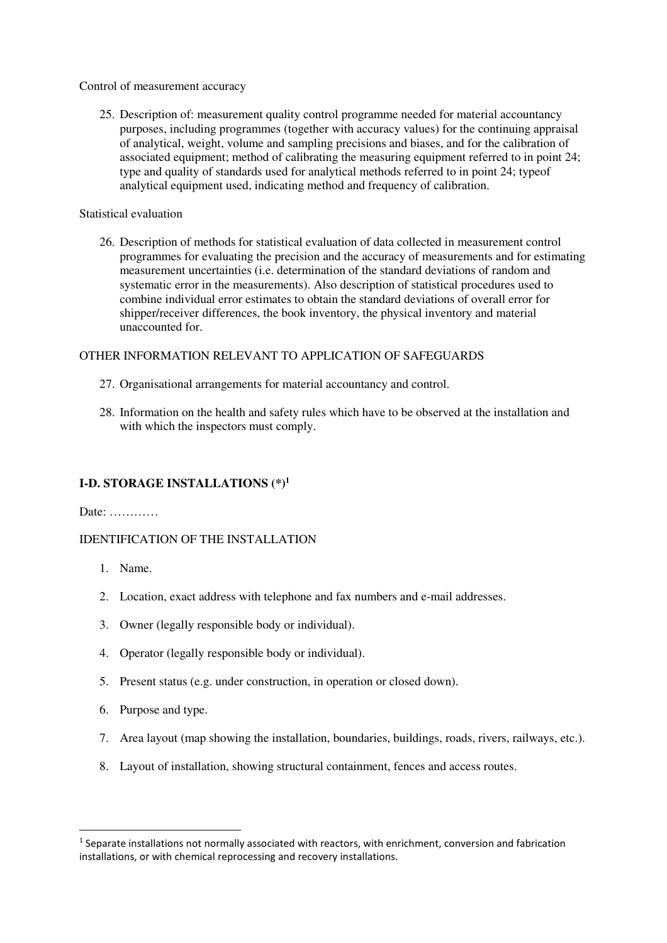Control of measurement accuracy

25. Description of: measurement quality control programme needed for material accountancy purposes, including programmes (together with accuracy values) for the continuing appraisal of analytical, weight, volume and sampling precisions and biases, and for the calibration of associated equipment; method of calibrating the measuring equipment referred to in point 24; type and quality of standards used for analytical methods referred to in point 24; typeof analytical equipment used, indicating method and frequency of calibration.

#### Statistical evaluation

26. Description of methods for statistical evaluation of data collected in measurement control programmes for evaluating the precision and the accuracy of measurements and for estimating measurement uncertainties (i.e. determination of the standard deviations of random and systematic error in the measurements). Also description of statistical procedures used to combine individual error estimates to obtain the standard deviations of overall error for shipper/receiver differences, the book inventory, the physical inventory and material unaccounted for.

#### OTHER INFORMATION RELEVANT TO APPLICATION OF SAFEGUARDS

- 27. Organisational arrangements for material accountancy and control.
- 28. Information on the health and safety rules which have to be observed at the installation and with which the inspectors must comply.

## **I-D. STORAGE INSTALLATIONS (\*)<sup>1</sup>**

Date: …………

#### IDENTIFICATION OF THE INSTALLATION

1. Name.

 $\overline{a}$ 

- 2. Location, exact address with telephone and fax numbers and e-mail addresses.
- 3. Owner (legally responsible body or individual).
- 4. Operator (legally responsible body or individual).
- 5. Present status (e.g. under construction, in operation or closed down).
- 6. Purpose and type.
- 7. Area layout (map showing the installation, boundaries, buildings, roads, rivers, railways, etc.).
- 8. Layout of installation, showing structural containment, fences and access routes.

<sup>&</sup>lt;sup>1</sup> Separate installations not normally associated with reactors, with enrichment, conversion and fabrication installations, or with chemical reprocessing and recovery installations.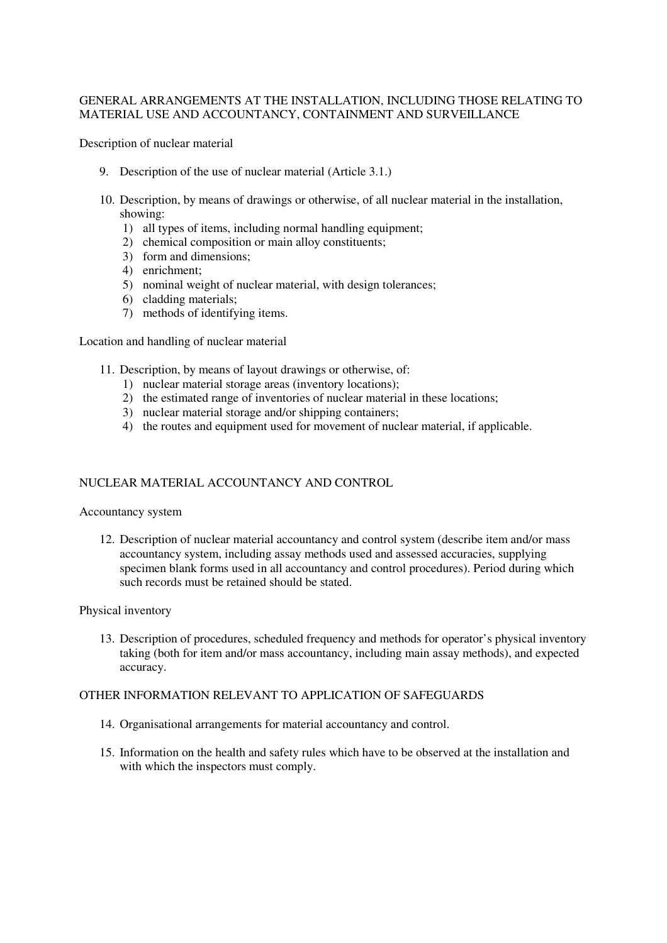#### GENERAL ARRANGEMENTS AT THE INSTALLATION, INCLUDING THOSE RELATING TO MATERIAL USE AND ACCOUNTANCY, CONTAINMENT AND SURVEILLANCE

Description of nuclear material

- 9. Description of the use of nuclear material (Article 3.1.)
- 10. Description, by means of drawings or otherwise, of all nuclear material in the installation, showing:
	- 1) all types of items, including normal handling equipment;
	- 2) chemical composition or main alloy constituents;
	- 3) form and dimensions;
	- 4) enrichment;
	- 5) nominal weight of nuclear material, with design tolerances;
	- 6) cladding materials;
	- 7) methods of identifying items.

Location and handling of nuclear material

- 11. Description, by means of layout drawings or otherwise, of:
	- 1) nuclear material storage areas (inventory locations);
	- 2) the estimated range of inventories of nuclear material in these locations;
	- 3) nuclear material storage and/or shipping containers;
	- 4) the routes and equipment used for movement of nuclear material, if applicable.

#### NUCLEAR MATERIAL ACCOUNTANCY AND CONTROL

#### Accountancy system

12. Description of nuclear material accountancy and control system (describe item and/or mass accountancy system, including assay methods used and assessed accuracies, supplying specimen blank forms used in all accountancy and control procedures). Period during which such records must be retained should be stated.

#### Physical inventory

13. Description of procedures, scheduled frequency and methods for operator's physical inventory taking (both for item and/or mass accountancy, including main assay methods), and expected accuracy.

#### OTHER INFORMATION RELEVANT TO APPLICATION OF SAFEGUARDS

- 14. Organisational arrangements for material accountancy and control.
- 15. Information on the health and safety rules which have to be observed at the installation and with which the inspectors must comply.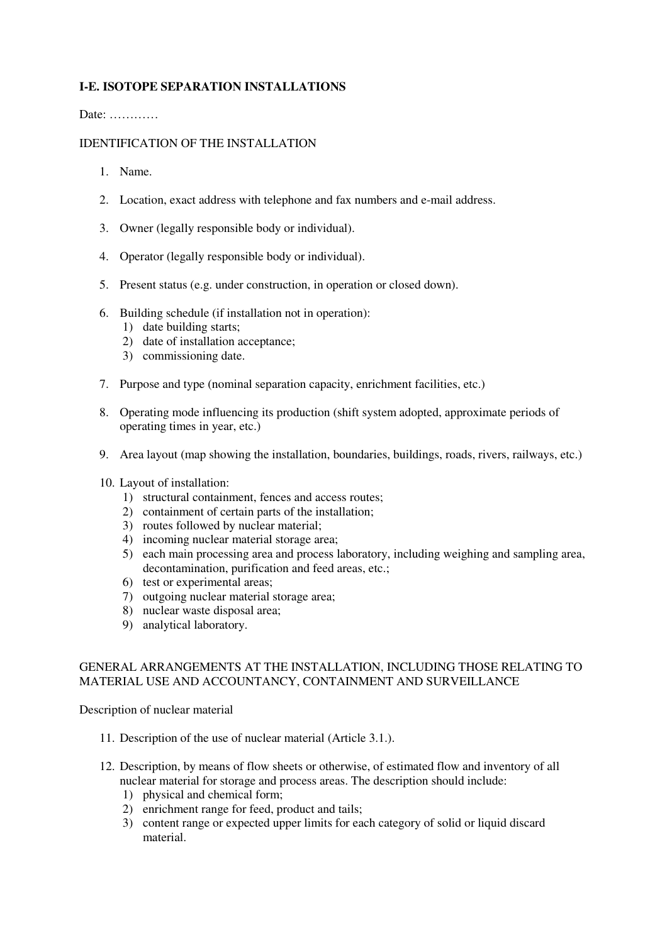# **I-E. ISOTOPE SEPARATION INSTALLATIONS**

Date: …………

## IDENTIFICATION OF THE INSTALLATION

- 1. Name.
- 2. Location, exact address with telephone and fax numbers and e-mail address.
- 3. Owner (legally responsible body or individual).
- 4. Operator (legally responsible body or individual).
- 5. Present status (e.g. under construction, in operation or closed down).
- 6. Building schedule (if installation not in operation):
	- 1) date building starts;
	- 2) date of installation acceptance;
	- 3) commissioning date.
- 7. Purpose and type (nominal separation capacity, enrichment facilities, etc.)
- 8. Operating mode influencing its production (shift system adopted, approximate periods of operating times in year, etc.)
- 9. Area layout (map showing the installation, boundaries, buildings, roads, rivers, railways, etc.)
- 10. Layout of installation:
	- 1) structural containment, fences and access routes;
	- 2) containment of certain parts of the installation;
	- 3) routes followed by nuclear material;
	- 4) incoming nuclear material storage area;
	- 5) each main processing area and process laboratory, including weighing and sampling area, decontamination, purification and feed areas, etc.;
	- 6) test or experimental areas;
	- 7) outgoing nuclear material storage area;
	- 8) nuclear waste disposal area;
	- 9) analytical laboratory.

#### GENERAL ARRANGEMENTS AT THE INSTALLATION, INCLUDING THOSE RELATING TO MATERIAL USE AND ACCOUNTANCY, CONTAINMENT AND SURVEILLANCE

Description of nuclear material

- 11. Description of the use of nuclear material (Article 3.1.).
- 12. Description, by means of flow sheets or otherwise, of estimated flow and inventory of all nuclear material for storage and process areas. The description should include:
	- 1) physical and chemical form;
	- 2) enrichment range for feed, product and tails;
	- 3) content range or expected upper limits for each category of solid or liquid discard material.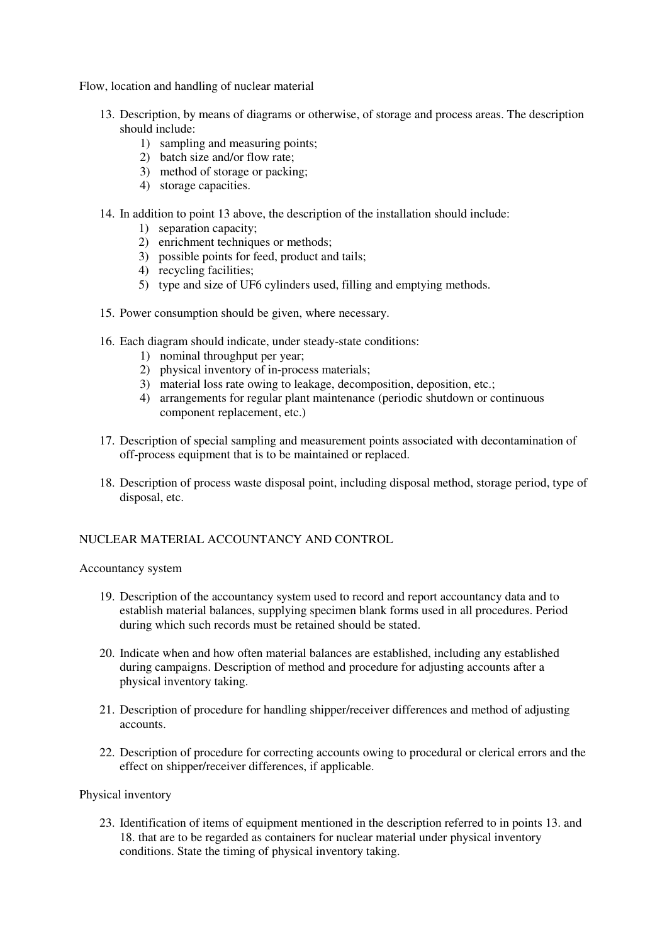Flow, location and handling of nuclear material

- 13. Description, by means of diagrams or otherwise, of storage and process areas. The description should include:
	- 1) sampling and measuring points;
	- 2) batch size and/or flow rate;
	- 3) method of storage or packing;
	- 4) storage capacities.
- 14. In addition to point 13 above, the description of the installation should include:
	- 1) separation capacity;
	- 2) enrichment techniques or methods;
	- 3) possible points for feed, product and tails;
	- 4) recycling facilities;
	- 5) type and size of UF6 cylinders used, filling and emptying methods.
- 15. Power consumption should be given, where necessary.
- 16. Each diagram should indicate, under steady-state conditions:
	- 1) nominal throughput per year;
	- 2) physical inventory of in-process materials;
	- 3) material loss rate owing to leakage, decomposition, deposition, etc.;
	- 4) arrangements for regular plant maintenance (periodic shutdown or continuous component replacement, etc.)
- 17. Description of special sampling and measurement points associated with decontamination of off-process equipment that is to be maintained or replaced.
- 18. Description of process waste disposal point, including disposal method, storage period, type of disposal, etc.

## NUCLEAR MATERIAL ACCOUNTANCY AND CONTROL

Accountancy system

- 19. Description of the accountancy system used to record and report accountancy data and to establish material balances, supplying specimen blank forms used in all procedures. Period during which such records must be retained should be stated.
- 20. Indicate when and how often material balances are established, including any established during campaigns. Description of method and procedure for adjusting accounts after a physical inventory taking.
- 21. Description of procedure for handling shipper/receiver differences and method of adjusting accounts.
- 22. Description of procedure for correcting accounts owing to procedural or clerical errors and the effect on shipper/receiver differences, if applicable.

#### Physical inventory

23. Identification of items of equipment mentioned in the description referred to in points 13. and 18. that are to be regarded as containers for nuclear material under physical inventory conditions. State the timing of physical inventory taking.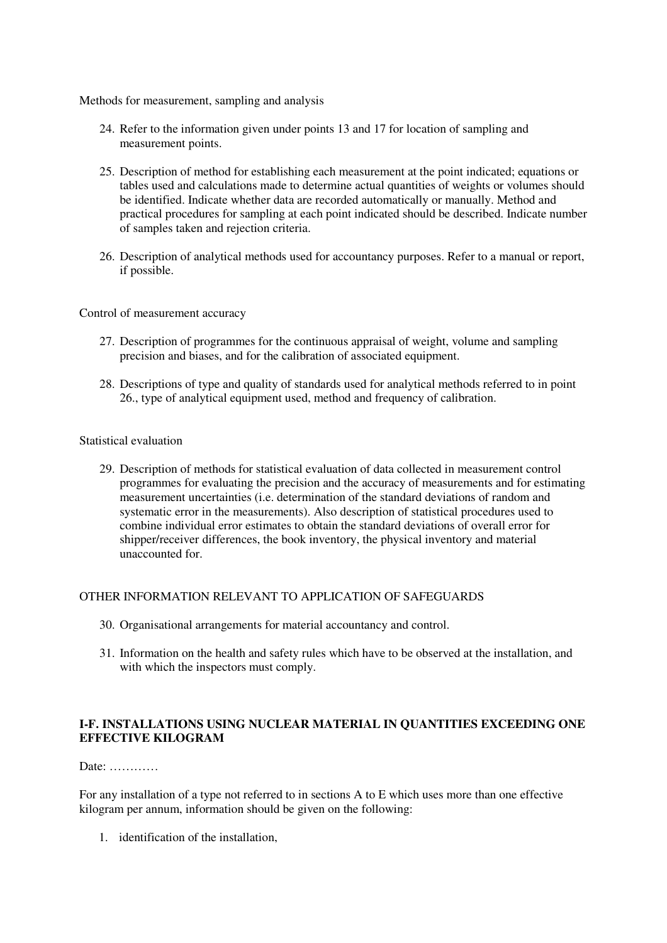Methods for measurement, sampling and analysis

- 24. Refer to the information given under points 13 and 17 for location of sampling and measurement points.
- 25. Description of method for establishing each measurement at the point indicated; equations or tables used and calculations made to determine actual quantities of weights or volumes should be identified. Indicate whether data are recorded automatically or manually. Method and practical procedures for sampling at each point indicated should be described. Indicate number of samples taken and rejection criteria.
- 26. Description of analytical methods used for accountancy purposes. Refer to a manual or report, if possible.

Control of measurement accuracy

- 27. Description of programmes for the continuous appraisal of weight, volume and sampling precision and biases, and for the calibration of associated equipment.
- 28. Descriptions of type and quality of standards used for analytical methods referred to in point 26., type of analytical equipment used, method and frequency of calibration.

#### Statistical evaluation

29. Description of methods for statistical evaluation of data collected in measurement control programmes for evaluating the precision and the accuracy of measurements and for estimating measurement uncertainties (i.e. determination of the standard deviations of random and systematic error in the measurements). Also description of statistical procedures used to combine individual error estimates to obtain the standard deviations of overall error for shipper/receiver differences, the book inventory, the physical inventory and material unaccounted for.

#### OTHER INFORMATION RELEVANT TO APPLICATION OF SAFEGUARDS

- 30. Organisational arrangements for material accountancy and control.
- 31. Information on the health and safety rules which have to be observed at the installation, and with which the inspectors must comply.

## **I-F. INSTALLATIONS USING NUCLEAR MATERIAL IN QUANTITIES EXCEEDING ONE EFFECTIVE KILOGRAM**

Date: …………

For any installation of a type not referred to in sections A to E which uses more than one effective kilogram per annum, information should be given on the following:

1. identification of the installation,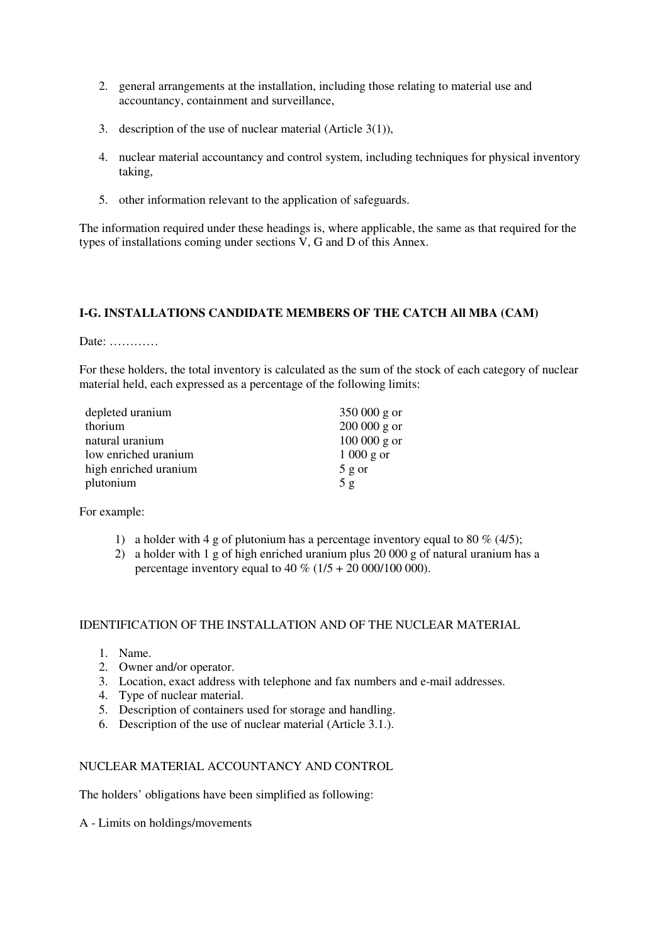- 2. general arrangements at the installation, including those relating to material use and accountancy, containment and surveillance,
- 3. description of the use of nuclear material (Article 3(1)),
- 4. nuclear material accountancy and control system, including techniques for physical inventory taking,
- 5. other information relevant to the application of safeguards.

The information required under these headings is, where applicable, the same as that required for the types of installations coming under sections V, G and D of this Annex.

## **I-G. INSTALLATIONS CANDIDATE MEMBERS OF THE CATCH All MBA (CAM)**

Date: …………

For these holders, the total inventory is calculated as the sum of the stock of each category of nuclear material held, each expressed as a percentage of the following limits:

| depleted uranium      | $350000$ g or |
|-----------------------|---------------|
| thorium               | $200000$ g or |
| natural uranium       | $100000$ g or |
| low enriched uranium  | $1000$ g or   |
| high enriched uranium | $5$ g or      |
| plutonium             | 5g            |

For example:

- 1) a holder with 4 g of plutonium has a percentage inventory equal to 80 % (4/5);
- 2) a holder with 1 g of high enriched uranium plus 20 000 g of natural uranium has a percentage inventory equal to  $40\%$  ( $1/5 + 20\,000/100\,000$ ).

#### IDENTIFICATION OF THE INSTALLATION AND OF THE NUCLEAR MATERIAL

- 1. Name.
- 2. Owner and/or operator.
- 3. Location, exact address with telephone and fax numbers and e-mail addresses.
- 4. Type of nuclear material.
- 5. Description of containers used for storage and handling.
- 6. Description of the use of nuclear material (Article 3.1.).

## NUCLEAR MATERIAL ACCOUNTANCY AND CONTROL

The holders' obligations have been simplified as following:

A - Limits on holdings/movements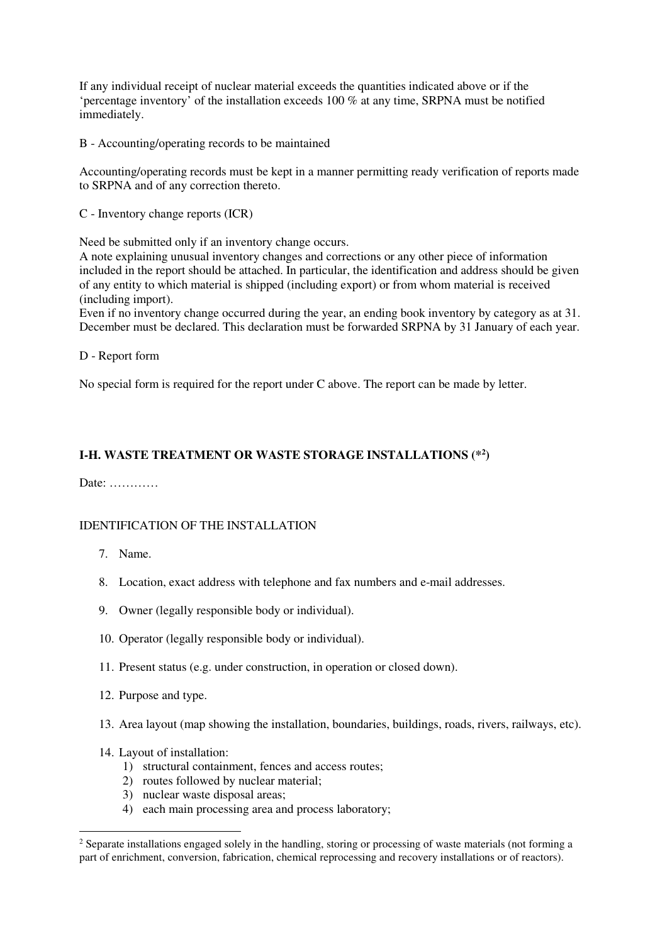If any individual receipt of nuclear material exceeds the quantities indicated above or if the 'percentage inventory' of the installation exceeds 100 % at any time, SRPNA must be notified immediately.

B - Accounting/operating records to be maintained

Accounting/operating records must be kept in a manner permitting ready verification of reports made to SRPNA and of any correction thereto.

C - Inventory change reports (ICR)

Need be submitted only if an inventory change occurs.

A note explaining unusual inventory changes and corrections or any other piece of information included in the report should be attached. In particular, the identification and address should be given of any entity to which material is shipped (including export) or from whom material is received (including import).

Even if no inventory change occurred during the year, an ending book inventory by category as at 31. December must be declared. This declaration must be forwarded SRPNA by 31 January of each year.

## D - Report form

No special form is required for the report under C above. The report can be made by letter.

# **I-H. WASTE TREATMENT OR WASTE STORAGE INSTALLATIONS (\*<sup>2</sup> )**

Date: …………

## IDENTIFICATION OF THE INSTALLATION

- 7. Name.
- 8. Location, exact address with telephone and fax numbers and e-mail addresses.
- 9. Owner (legally responsible body or individual).
- 10. Operator (legally responsible body or individual).
- 11. Present status (e.g. under construction, in operation or closed down).
- 12. Purpose and type.
- 13. Area layout (map showing the installation, boundaries, buildings, roads, rivers, railways, etc).
- 14. Layout of installation:

 $\overline{a}$ 

- 1) structural containment, fences and access routes;
- 2) routes followed by nuclear material;
- 3) nuclear waste disposal areas;
- 4) each main processing area and process laboratory;

<sup>&</sup>lt;sup>2</sup> Separate installations engaged solely in the handling, storing or processing of waste materials (not forming a part of enrichment, conversion, fabrication, chemical reprocessing and recovery installations or of reactors).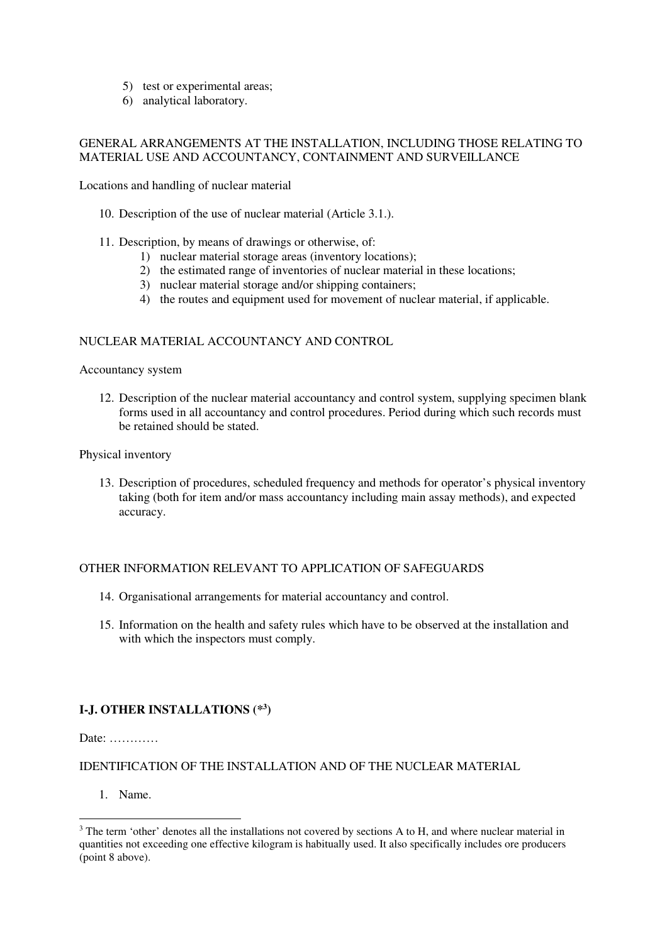- 5) test or experimental areas;
- 6) analytical laboratory.

## GENERAL ARRANGEMENTS AT THE INSTALLATION, INCLUDING THOSE RELATING TO MATERIAL USE AND ACCOUNTANCY, CONTAINMENT AND SURVEILLANCE

Locations and handling of nuclear material

- 10. Description of the use of nuclear material (Article 3.1.).
- 11. Description, by means of drawings or otherwise, of:
	- 1) nuclear material storage areas (inventory locations);
	- 2) the estimated range of inventories of nuclear material in these locations;
	- 3) nuclear material storage and/or shipping containers;
	- 4) the routes and equipment used for movement of nuclear material, if applicable.

## NUCLEAR MATERIAL ACCOUNTANCY AND CONTROL

#### Accountancy system

12. Description of the nuclear material accountancy and control system, supplying specimen blank forms used in all accountancy and control procedures. Period during which such records must be retained should be stated.

Physical inventory

13. Description of procedures, scheduled frequency and methods for operator's physical inventory taking (both for item and/or mass accountancy including main assay methods), and expected accuracy.

#### OTHER INFORMATION RELEVANT TO APPLICATION OF SAFEGUARDS

- 14. Organisational arrangements for material accountancy and control.
- 15. Information on the health and safety rules which have to be observed at the installation and with which the inspectors must comply.

# **I-J. OTHER INSTALLATIONS (\*<sup>3</sup> )**

Date: …………

## IDENTIFICATION OF THE INSTALLATION AND OF THE NUCLEAR MATERIAL

1. Name.

l

 $3$  The term 'other' denotes all the installations not covered by sections A to H, and where nuclear material in quantities not exceeding one effective kilogram is habitually used. It also specifically includes ore producers (point 8 above).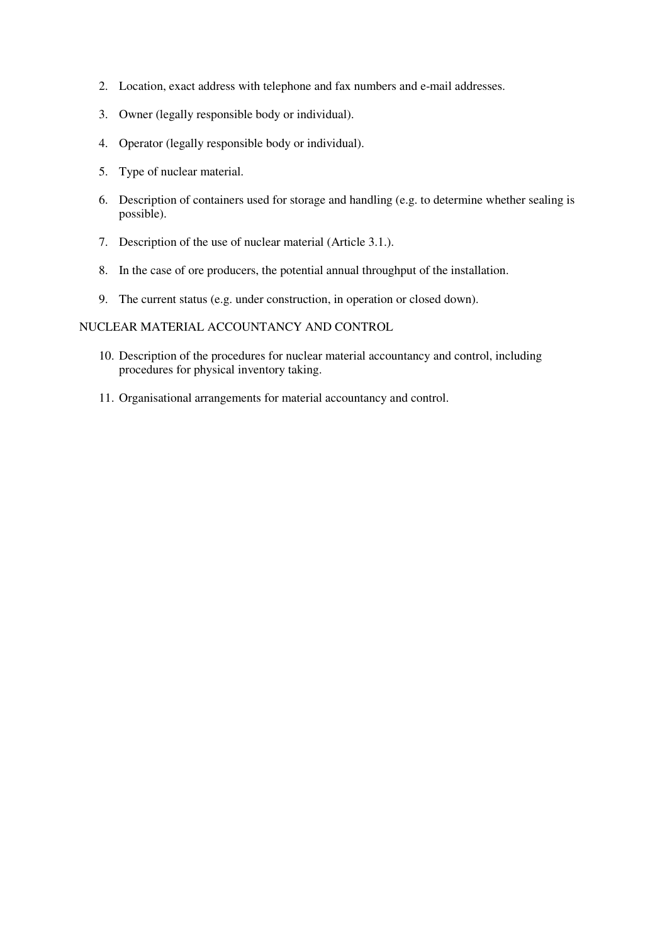- 2. Location, exact address with telephone and fax numbers and e-mail addresses.
- 3. Owner (legally responsible body or individual).
- 4. Operator (legally responsible body or individual).
- 5. Type of nuclear material.
- 6. Description of containers used for storage and handling (e.g. to determine whether sealing is possible).
- 7. Description of the use of nuclear material (Article 3.1.).
- 8. In the case of ore producers, the potential annual throughput of the installation.
- 9. The current status (e.g. under construction, in operation or closed down).

## NUCLEAR MATERIAL ACCOUNTANCY AND CONTROL

- 10. Description of the procedures for nuclear material accountancy and control, including procedures for physical inventory taking.
- 11. Organisational arrangements for material accountancy and control.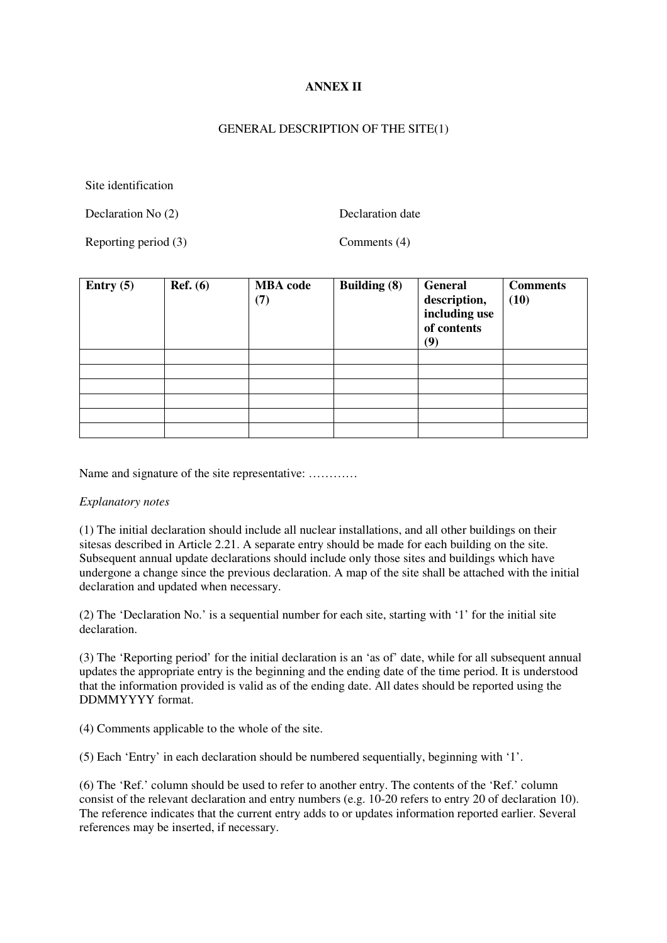## **ANNEX II**

#### GENERAL DESCRIPTION OF THE SITE(1)

Site identification

Declaration No (2) Declaration date

Reporting period (3) Comments (4)

| Entry $(5)$ | Ref. (6) | <b>MBA</b> code<br>(7) | <b>Building (8)</b> | General<br>description,<br>including use<br>of contents<br>(9) | <b>Comments</b><br>(10) |
|-------------|----------|------------------------|---------------------|----------------------------------------------------------------|-------------------------|
|             |          |                        |                     |                                                                |                         |
|             |          |                        |                     |                                                                |                         |
|             |          |                        |                     |                                                                |                         |
|             |          |                        |                     |                                                                |                         |
|             |          |                        |                     |                                                                |                         |
|             |          |                        |                     |                                                                |                         |

Name and signature of the site representative: …………

#### *Explanatory notes*

(1) The initial declaration should include all nuclear installations, and all other buildings on their sitesas described in Article 2.21. A separate entry should be made for each building on the site. Subsequent annual update declarations should include only those sites and buildings which have undergone a change since the previous declaration. A map of the site shall be attached with the initial declaration and updated when necessary.

(2) The 'Declaration No.' is a sequential number for each site, starting with '1' for the initial site declaration.

(3) The 'Reporting period' for the initial declaration is an 'as of' date, while for all subsequent annual updates the appropriate entry is the beginning and the ending date of the time period. It is understood that the information provided is valid as of the ending date. All dates should be reported using the DDMMYYYY format.

(4) Comments applicable to the whole of the site.

(5) Each 'Entry' in each declaration should be numbered sequentially, beginning with '1'.

(6) The 'Ref.' column should be used to refer to another entry. The contents of the 'Ref.' column consist of the relevant declaration and entry numbers (e.g. 10-20 refers to entry 20 of declaration 10). The reference indicates that the current entry adds to or updates information reported earlier. Several references may be inserted, if necessary.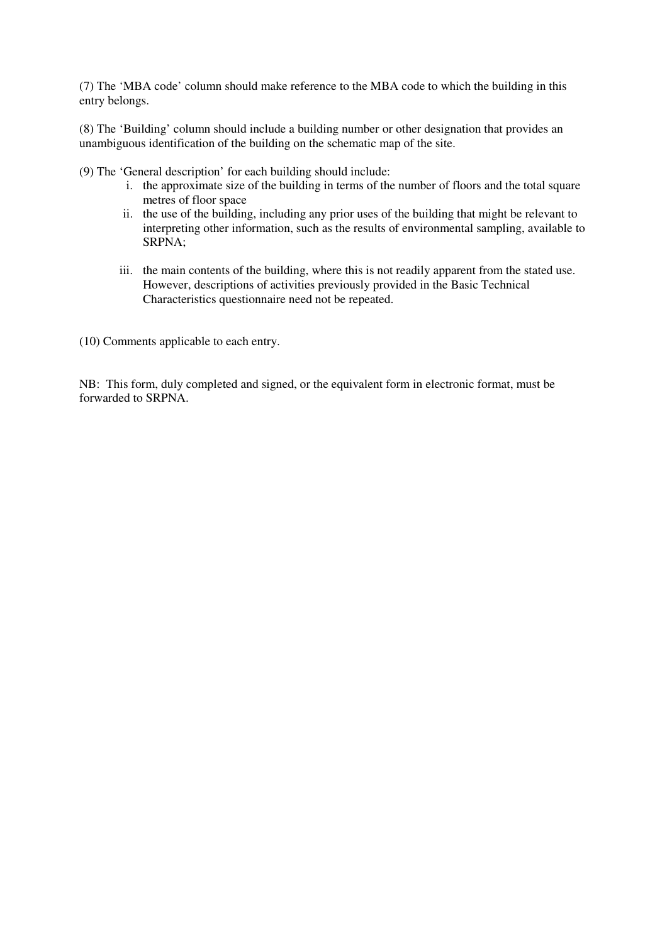(7) The 'MBA code' column should make reference to the MBA code to which the building in this entry belongs.

(8) The 'Building' column should include a building number or other designation that provides an unambiguous identification of the building on the schematic map of the site.

(9) The 'General description' for each building should include:

- i. the approximate size of the building in terms of the number of floors and the total square metres of floor space
- ii. the use of the building, including any prior uses of the building that might be relevant to interpreting other information, such as the results of environmental sampling, available to SRPNA;
- iii. the main contents of the building, where this is not readily apparent from the stated use. However, descriptions of activities previously provided in the Basic Technical Characteristics questionnaire need not be repeated.

(10) Comments applicable to each entry.

NB: This form, duly completed and signed, or the equivalent form in electronic format, must be forwarded to SRPNA.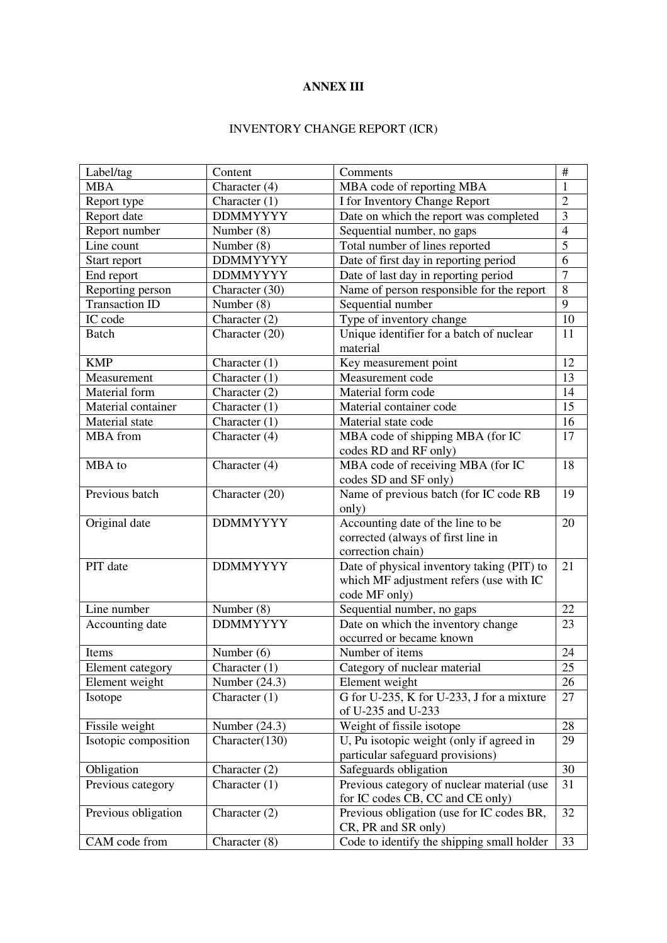## **ANNEX III**

# INVENTORY CHANGE REPORT (ICR)

| Label/tag             | Content                       | Comments                                                                                               | $\#$            |
|-----------------------|-------------------------------|--------------------------------------------------------------------------------------------------------|-----------------|
| <b>MBA</b>            | Character (4)                 | MBA code of reporting MBA                                                                              | 1               |
| Report type           | Character $(1)$               | I for Inventory Change Report                                                                          | $\overline{2}$  |
| Report date           | <b>DDMMYYYY</b>               | Date on which the report was completed                                                                 | 3               |
| Report number         | Number (8)                    | Sequential number, no gaps                                                                             | $\overline{4}$  |
| Line count            | $\overline{\text{Number}}(8)$ | Total number of lines reported                                                                         | $\overline{5}$  |
| Start report          | <b>DDMMYYYY</b>               | Date of first day in reporting period                                                                  | 6               |
| End report            | <b>DDMMYYYY</b>               | Date of last day in reporting period                                                                   | $\overline{7}$  |
| Reporting person      | Character (30)                | Name of person responsible for the report                                                              | 8               |
| <b>Transaction ID</b> | Number (8)                    | Sequential number                                                                                      | 9               |
| IC code               | Character (2)                 | Type of inventory change                                                                               | 10              |
| <b>Batch</b>          | Character (20)                | Unique identifier for a batch of nuclear<br>material                                                   | 11              |
| <b>KMP</b>            | Character $(1)$               | Key measurement point                                                                                  | 12              |
| Measurement           | Character $(1)$               | Measurement code                                                                                       | 13              |
| Material form         | Character (2)                 | Material form code                                                                                     | 14              |
| Material container    | Character $(1)$               | Material container code                                                                                | 15              |
| Material state        | Character (1)                 | Material state code                                                                                    | 16              |
| MBA from              | Character (4)                 | MBA code of shipping MBA (for IC<br>codes RD and RF only)                                              | 17              |
| MBA to                | Character (4)                 | MBA code of receiving MBA (for IC<br>codes SD and SF only)                                             | 18              |
| Previous batch        | Character (20)                | Name of previous batch (for IC code RB<br>only)                                                        | 19              |
| Original date         | <b>DDMMYYYY</b>               | Accounting date of the line to be<br>corrected (always of first line in<br>correction chain)           | 20              |
| PIT date              | <b>DDMMYYYY</b>               | Date of physical inventory taking (PIT) to<br>which MF adjustment refers (use with IC<br>code MF only) | 21              |
| Line number           | Number (8)                    | Sequential number, no gaps                                                                             | 22              |
| Accounting date       | <b>DDMMYYYY</b>               | Date on which the inventory change<br>occurred or became known                                         | 23              |
| Items                 | Number $(6)$                  | Number of items                                                                                        | 24              |
| Element category      | Character (1)                 | Category of nuclear material                                                                           | $\overline{25}$ |
| Element weight        | Number $(24.3)$               | Element weight                                                                                         | 26              |
| Isotope               | Character $(1)$               | G for U-235, K for U-233, J for a mixture<br>of U-235 and U-233                                        | 27              |
| Fissile weight        | Number $(24.3)$               | Weight of fissile isotope                                                                              | 28              |
| Isotopic composition  | Character(130)                | U, Pu isotopic weight (only if agreed in<br>particular safeguard provisions)                           | 29              |
| Obligation            | Character $(2)$               | Safeguards obligation                                                                                  | 30              |
| Previous category     | Character $(1)$               | Previous category of nuclear material (use<br>for IC codes CB, CC and CE only)                         | 31              |
| Previous obligation   | Character $(2)$               | Previous obligation (use for IC codes BR,<br>CR, PR and SR only)                                       | 32              |
| CAM code from         | Character $(8)$               | Code to identify the shipping small holder                                                             | 33              |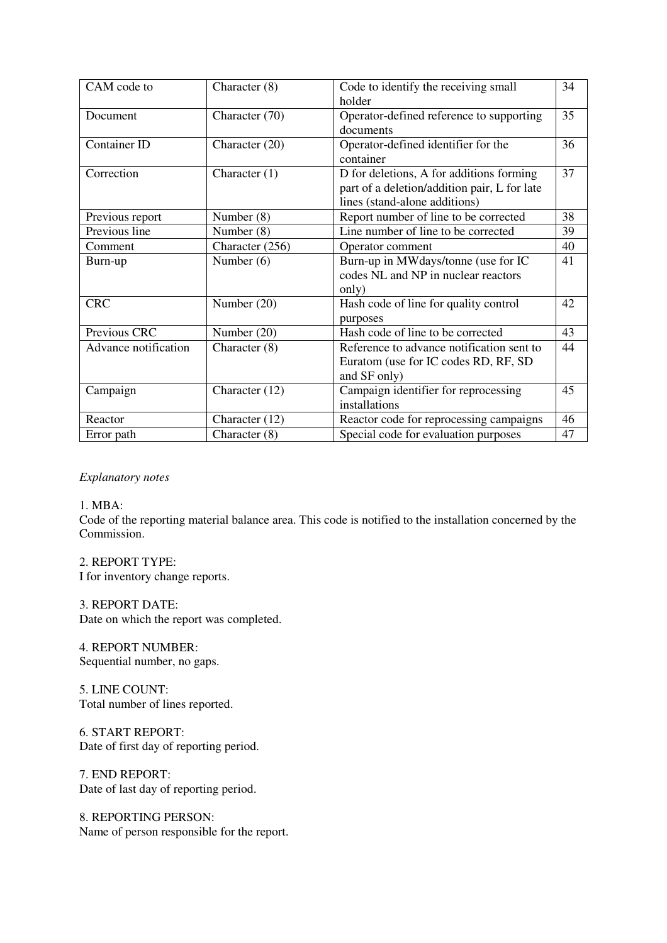| CAM code to          | Character (8)   | Code to identify the receiving small                                                                                      | 34 |
|----------------------|-----------------|---------------------------------------------------------------------------------------------------------------------------|----|
|                      |                 | holder                                                                                                                    |    |
| Document             | Character (70)  | Operator-defined reference to supporting<br>documents                                                                     | 35 |
| Container ID         | Character (20)  | Operator-defined identifier for the<br>container                                                                          | 36 |
| Correction           | Character $(1)$ | D for deletions, A for additions forming<br>part of a deletion/addition pair, L for late<br>lines (stand-alone additions) | 37 |
| Previous report      | Number (8)      | Report number of line to be corrected                                                                                     | 38 |
| Previous line        | Number (8)      | Line number of line to be corrected                                                                                       | 39 |
| Comment              | Character (256) | Operator comment                                                                                                          | 40 |
| Burn-up              | Number $(6)$    | Burn-up in MWdays/tonne (use for IC<br>codes NL and NP in nuclear reactors<br>only)                                       | 41 |
| <b>CRC</b>           | Number $(20)$   | Hash code of line for quality control<br>purposes                                                                         | 42 |
| Previous CRC         | Number (20)     | Hash code of line to be corrected                                                                                         | 43 |
| Advance notification | Character (8)   | Reference to advance notification sent to<br>Euratom (use for IC codes RD, RF, SD<br>and SF only)                         | 44 |
| Campaign             | Character (12)  | Campaign identifier for reprocessing<br>installations                                                                     | 45 |
| Reactor              | Character (12)  | Reactor code for reprocessing campaigns                                                                                   | 46 |
| Error path           | Character (8)   | Special code for evaluation purposes                                                                                      | 47 |

#### *Explanatory notes*

#### 1. MBA:

Code of the reporting material balance area. This code is notified to the installation concerned by the Commission.

## 2. REPORT TYPE:

I for inventory change reports.

#### 3. REPORT DATE:

Date on which the report was completed.

## 4. REPORT NUMBER: Sequential number, no gaps.

5. LINE COUNT:

Total number of lines reported.

6. START REPORT: Date of first day of reporting period.

# 7. END REPORT:

Date of last day of reporting period.

# 8. REPORTING PERSON:

Name of person responsible for the report.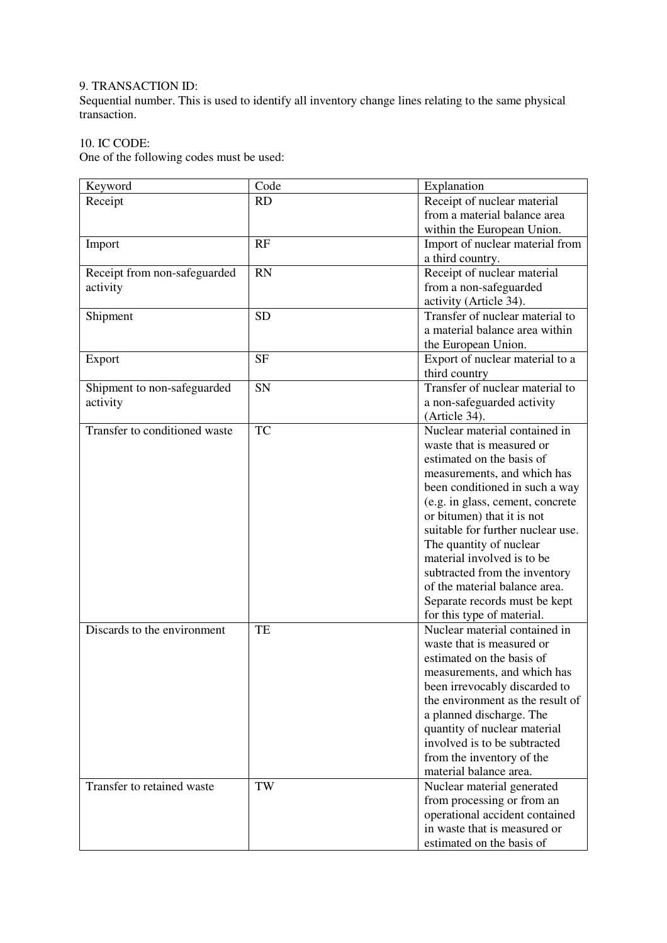# 9. TRANSACTION ID:

Sequential number. This is used to identify all inventory change lines relating to the same physical transaction.

# 10. IC CODE:

One of the following codes must be used:

| Keyword                       | Code      | Explanation                       |  |
|-------------------------------|-----------|-----------------------------------|--|
| Receipt                       | <b>RD</b> | Receipt of nuclear material       |  |
|                               |           | from a material balance area      |  |
|                               |           | within the European Union.        |  |
| Import                        | RF        | Import of nuclear material from   |  |
|                               |           | a third country.                  |  |
| Receipt from non-safeguarded  | <b>RN</b> | Receipt of nuclear material       |  |
| activity                      |           | from a non-safeguarded            |  |
|                               |           | activity (Article 34).            |  |
| Shipment                      | <b>SD</b> | Transfer of nuclear material to   |  |
|                               |           | a material balance area within    |  |
|                               |           | the European Union.               |  |
| Export                        | <b>SF</b> | Export of nuclear material to a   |  |
|                               |           | third country                     |  |
| Shipment to non-safeguarded   | SN        | Transfer of nuclear material to   |  |
| activity                      |           | a non-safeguarded activity        |  |
|                               |           | (Article 34).                     |  |
| Transfer to conditioned waste | TC        | Nuclear material contained in     |  |
|                               |           | waste that is measured or         |  |
|                               |           | estimated on the basis of         |  |
|                               |           | measurements, and which has       |  |
|                               |           | been conditioned in such a way    |  |
|                               |           | (e.g. in glass, cement, concrete  |  |
|                               |           | or bitumen) that it is not        |  |
|                               |           | suitable for further nuclear use. |  |
|                               |           | The quantity of nuclear           |  |
|                               |           | material involved is to be        |  |
|                               |           | subtracted from the inventory     |  |
|                               |           | of the material balance area.     |  |
|                               |           | Separate records must be kept     |  |
|                               |           | for this type of material.        |  |
| Discards to the environment   | TE        | Nuclear material contained in     |  |
|                               |           | waste that is measured or         |  |
|                               |           | estimated on the basis of         |  |
|                               |           | measurements, and which has       |  |
|                               |           | been irrevocably discarded to     |  |
|                               |           | the environment as the result of  |  |
|                               |           | a planned discharge. The          |  |
|                               |           | quantity of nuclear material      |  |
|                               |           | involved is to be subtracted      |  |
|                               |           | from the inventory of the         |  |
|                               |           | material balance area.            |  |
| Transfer to retained waste    | TW        | Nuclear material generated        |  |
|                               |           | from processing or from an        |  |
|                               |           | operational accident contained    |  |
|                               |           | in waste that is measured or      |  |
|                               |           | estimated on the basis of         |  |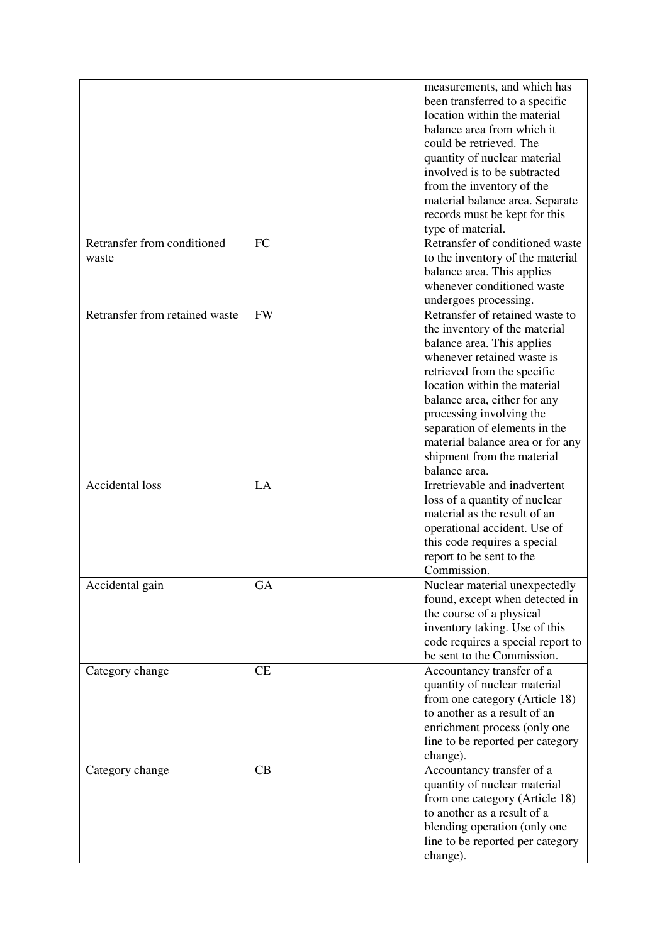|                                      |           | measurements, and which has<br>been transferred to a specific<br>location within the material<br>balance area from which it<br>could be retrieved. The<br>quantity of nuclear material<br>involved is to be subtracted<br>from the inventory of the<br>material balance area. Separate<br>records must be kept for this<br>type of material.                                |
|--------------------------------------|-----------|-----------------------------------------------------------------------------------------------------------------------------------------------------------------------------------------------------------------------------------------------------------------------------------------------------------------------------------------------------------------------------|
| Retransfer from conditioned<br>waste | <b>FC</b> | Retransfer of conditioned waste<br>to the inventory of the material<br>balance area. This applies<br>whenever conditioned waste<br>undergoes processing.                                                                                                                                                                                                                    |
| Retransfer from retained waste       | <b>FW</b> | Retransfer of retained waste to<br>the inventory of the material<br>balance area. This applies<br>whenever retained waste is<br>retrieved from the specific<br>location within the material<br>balance area, either for any<br>processing involving the<br>separation of elements in the<br>material balance area or for any<br>shipment from the material<br>balance area. |
| Accidental loss                      | LA        | Irretrievable and inadvertent<br>loss of a quantity of nuclear<br>material as the result of an<br>operational accident. Use of<br>this code requires a special<br>report to be sent to the<br>Commission.                                                                                                                                                                   |
| Accidental gain                      | GA        | Nuclear material unexpectedly<br>found, except when detected in<br>the course of a physical<br>inventory taking. Use of this<br>code requires a special report to<br>be sent to the Commission.                                                                                                                                                                             |
| Category change                      | CE        | Accountancy transfer of a<br>quantity of nuclear material<br>from one category (Article 18)<br>to another as a result of an<br>enrichment process (only one<br>line to be reported per category<br>change).                                                                                                                                                                 |
| Category change                      | CB        | Accountancy transfer of a<br>quantity of nuclear material<br>from one category (Article 18)<br>to another as a result of a<br>blending operation (only one<br>line to be reported per category<br>change).                                                                                                                                                                  |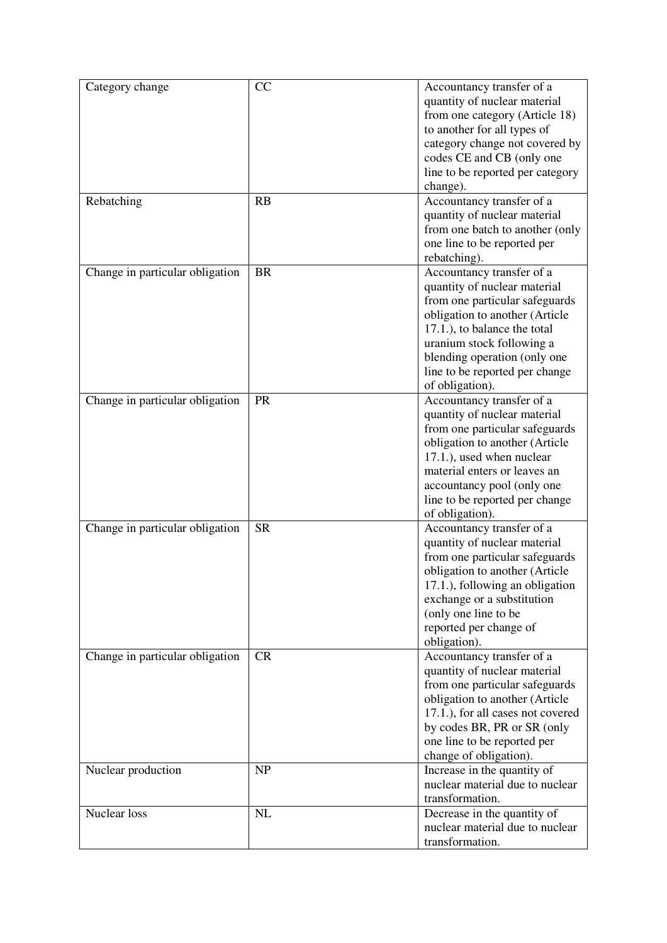| Category change                 | CC        | Accountancy transfer of a<br>quantity of nuclear material<br>from one category (Article 18)<br>to another for all types of<br>category change not covered by<br>codes CE and CB (only one<br>line to be reported per category<br>change).                                       |
|---------------------------------|-----------|---------------------------------------------------------------------------------------------------------------------------------------------------------------------------------------------------------------------------------------------------------------------------------|
| Rebatching                      | RB        | Accountancy transfer of a<br>quantity of nuclear material<br>from one batch to another (only<br>one line to be reported per<br>rebatching).                                                                                                                                     |
| Change in particular obligation | <b>BR</b> | Accountancy transfer of a<br>quantity of nuclear material<br>from one particular safeguards<br>obligation to another (Article<br>17.1.), to balance the total<br>uranium stock following a<br>blending operation (only one<br>line to be reported per change<br>of obligation). |
| Change in particular obligation | PR        | Accountancy transfer of a<br>quantity of nuclear material<br>from one particular safeguards<br>obligation to another (Article<br>17.1.), used when nuclear<br>material enters or leaves an<br>accountancy pool (only one<br>line to be reported per change<br>of obligation).   |
| Change in particular obligation | <b>SR</b> | Accountancy transfer of a<br>quantity of nuclear material<br>from one particular safeguards<br>obligation to another (Article<br>17.1.), following an obligation<br>exchange or a substitution<br>(only one line to be<br>reported per change of<br>obligation).                |
| Change in particular obligation | CR        | Accountancy transfer of a<br>quantity of nuclear material<br>from one particular safeguards<br>obligation to another (Article<br>17.1.), for all cases not covered<br>by codes BR, PR or SR (only<br>one line to be reported per<br>change of obligation).                      |
| Nuclear production              | <b>NP</b> | Increase in the quantity of<br>nuclear material due to nuclear<br>transformation.                                                                                                                                                                                               |
| Nuclear loss                    | NL        | Decrease in the quantity of<br>nuclear material due to nuclear<br>transformation.                                                                                                                                                                                               |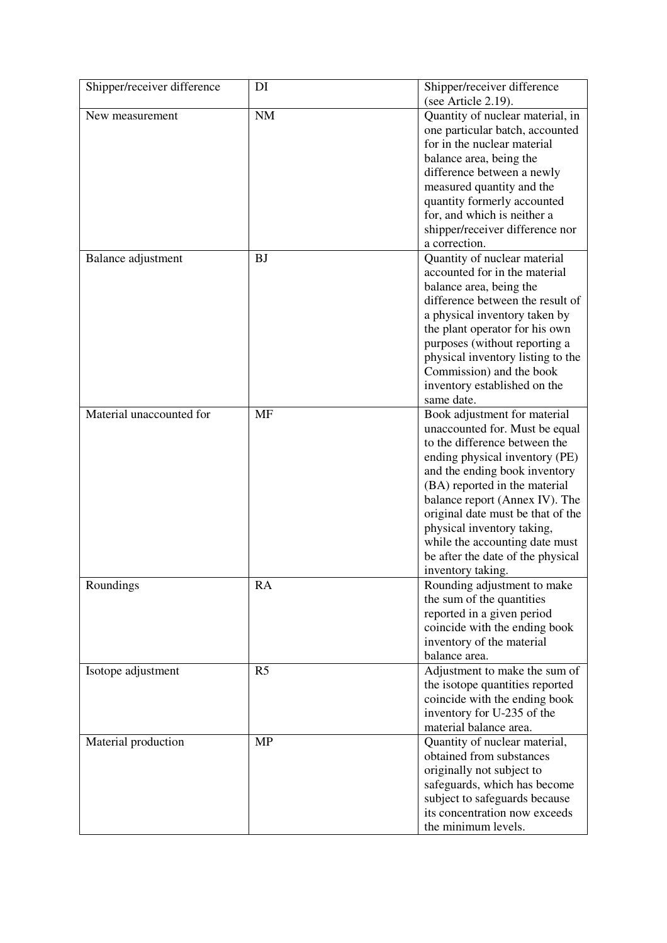| Shipper/receiver difference | DI             | Shipper/receiver difference<br>(see Article 2.19).                                                                                                                                                                                                                                                                                                                                                   |
|-----------------------------|----------------|------------------------------------------------------------------------------------------------------------------------------------------------------------------------------------------------------------------------------------------------------------------------------------------------------------------------------------------------------------------------------------------------------|
| New measurement             | <b>NM</b>      | Quantity of nuclear material, in<br>one particular batch, accounted<br>for in the nuclear material<br>balance area, being the<br>difference between a newly<br>measured quantity and the<br>quantity formerly accounted<br>for, and which is neither a<br>shipper/receiver difference nor<br>a correction.                                                                                           |
| Balance adjustment          | <b>BJ</b>      | Quantity of nuclear material<br>accounted for in the material<br>balance area, being the<br>difference between the result of<br>a physical inventory taken by<br>the plant operator for his own<br>purposes (without reporting a<br>physical inventory listing to the<br>Commission) and the book<br>inventory established on the<br>same date.                                                      |
| Material unaccounted for    | MF             | Book adjustment for material<br>unaccounted for. Must be equal<br>to the difference between the<br>ending physical inventory (PE)<br>and the ending book inventory<br>(BA) reported in the material<br>balance report (Annex IV). The<br>original date must be that of the<br>physical inventory taking,<br>while the accounting date must<br>be after the date of the physical<br>inventory taking. |
| Roundings                   | RA             | Rounding adjustment to make<br>the sum of the quantities<br>reported in a given period<br>coincide with the ending book<br>inventory of the material<br>balance area.                                                                                                                                                                                                                                |
| Isotope adjustment          | R <sub>5</sub> | Adjustment to make the sum of<br>the isotope quantities reported<br>coincide with the ending book<br>inventory for U-235 of the<br>material balance area.                                                                                                                                                                                                                                            |
| Material production         | <b>MP</b>      | Quantity of nuclear material,<br>obtained from substances<br>originally not subject to<br>safeguards, which has become<br>subject to safeguards because<br>its concentration now exceeds<br>the minimum levels.                                                                                                                                                                                      |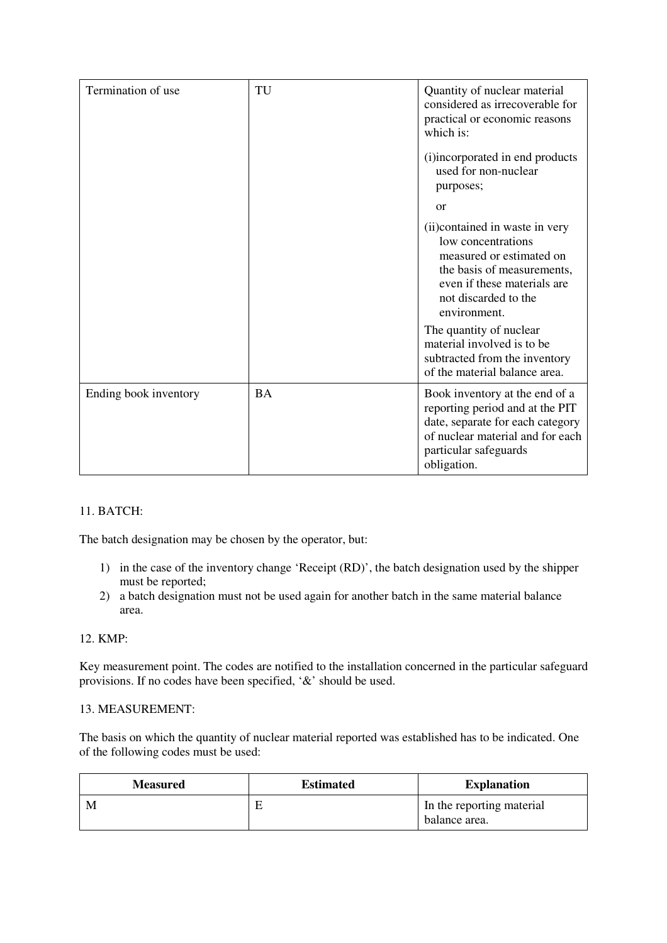| Termination of use    | TU        | Quantity of nuclear material<br>considered as irrecoverable for<br>practical or economic reasons<br>which is:                                                                          |
|-----------------------|-----------|----------------------------------------------------------------------------------------------------------------------------------------------------------------------------------------|
|                       |           | (i)incorporated in end products<br>used for non-nuclear<br>purposes;<br><b>or</b>                                                                                                      |
|                       |           | (ii) contained in waste in very<br>low concentrations<br>measured or estimated on<br>the basis of measurements,<br>even if these materials are<br>not discarded to the<br>environment. |
|                       |           | The quantity of nuclear<br>material involved is to be<br>subtracted from the inventory<br>of the material balance area.                                                                |
| Ending book inventory | <b>BA</b> | Book inventory at the end of a<br>reporting period and at the PIT<br>date, separate for each category<br>of nuclear material and for each<br>particular safeguards<br>obligation.      |

# 11. BATCH:

The batch designation may be chosen by the operator, but:

- 1) in the case of the inventory change 'Receipt (RD)', the batch designation used by the shipper must be reported;
- 2) a batch designation must not be used again for another batch in the same material balance area.

# 12. KMP:

Key measurement point. The codes are notified to the installation concerned in the particular safeguard provisions. If no codes have been specified, '&' should be used.

# 13. MEASUREMENT:

The basis on which the quantity of nuclear material reported was established has to be indicated. One of the following codes must be used:

| <b>Measured</b> | <b>Estimated</b> | <b>Explanation</b>                         |
|-----------------|------------------|--------------------------------------------|
| M               | Е                | In the reporting material<br>balance area. |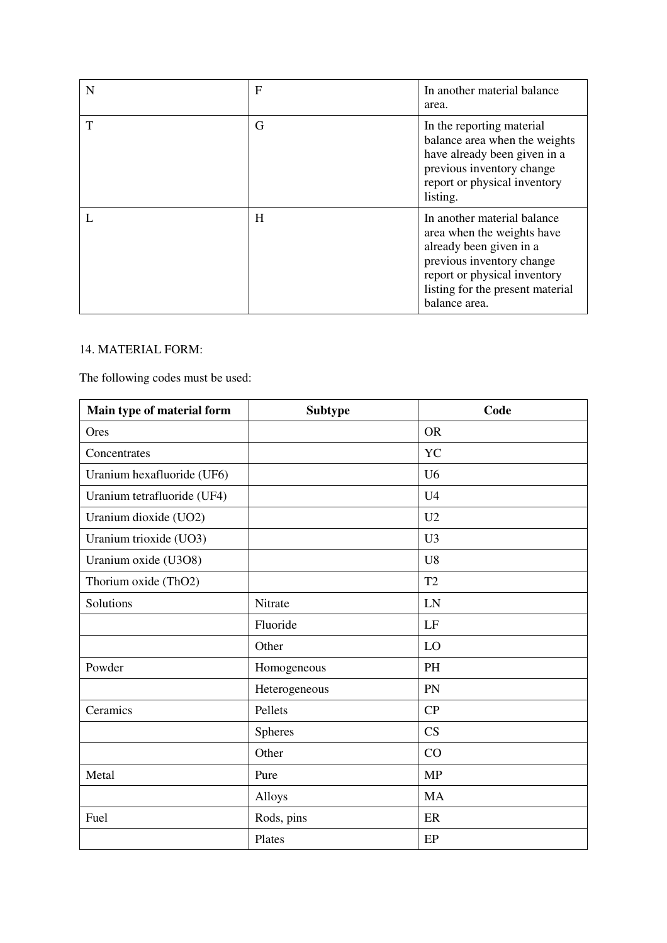| N | $\mathbf{F}$ | In another material balance<br>area.                                                                                                                                                                   |
|---|--------------|--------------------------------------------------------------------------------------------------------------------------------------------------------------------------------------------------------|
| T | G            | In the reporting material<br>balance area when the weights<br>have already been given in a<br>previous inventory change<br>report or physical inventory<br>listing.                                    |
|   | H            | In another material balance<br>area when the weights have<br>already been given in a<br>previous inventory change<br>report or physical inventory<br>listing for the present material<br>balance area. |

# 14. MATERIAL FORM:

The following codes must be used:

| Main type of material form  | <b>Subtype</b> | Code           |
|-----------------------------|----------------|----------------|
| Ores                        |                | <b>OR</b>      |
| Concentrates                |                | YC             |
| Uranium hexafluoride (UF6)  |                | U <sub>6</sub> |
| Uranium tetrafluoride (UF4) |                | U <sub>4</sub> |
| Uranium dioxide (UO2)       |                | U <sub>2</sub> |
| Uranium trioxide (UO3)      |                | U <sub>3</sub> |
| Uranium oxide (U3O8)        |                | U <sub>8</sub> |
| Thorium oxide (ThO2)        |                | T <sub>2</sub> |
| Solutions                   | Nitrate        | LN             |
|                             | Fluoride       | LF             |
|                             | Other          | LO             |
| Powder                      | Homogeneous    | PH             |
|                             | Heterogeneous  | PN             |
| Ceramics                    | Pellets        | CP             |
|                             | <b>Spheres</b> | CS             |
|                             | Other          | CO             |
| Metal                       | Pure           | <b>MP</b>      |
|                             | Alloys         | <b>MA</b>      |
| Fuel                        | Rods, pins     | ER             |
|                             | Plates         | EP             |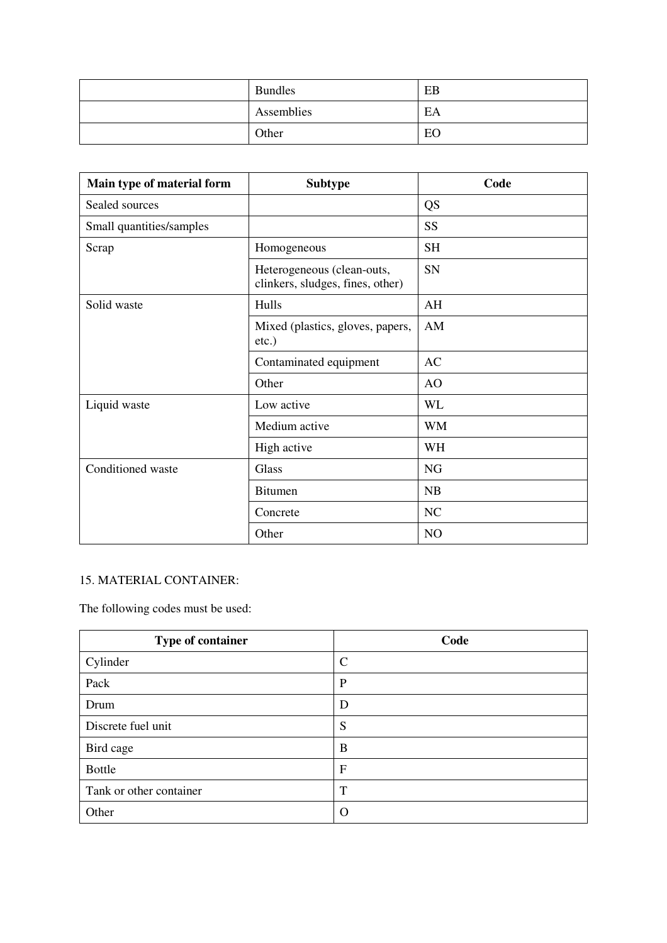| <b>Bundles</b> | EB |
|----------------|----|
| Assemblies     | EA |
| Other          | EO |

| Main type of material form | <b>Subtype</b>                                                 | Code      |
|----------------------------|----------------------------------------------------------------|-----------|
| Sealed sources             |                                                                | <b>QS</b> |
| Small quantities/samples   |                                                                | <b>SS</b> |
| Scrap                      | Homogeneous                                                    | <b>SH</b> |
|                            | Heterogeneous (clean-outs,<br>clinkers, sludges, fines, other) | SN        |
| Solid waste                | Hulls                                                          | AH        |
|                            | Mixed (plastics, gloves, papers,<br>$etc.$ )                   | AM        |
|                            | Contaminated equipment                                         | <b>AC</b> |
|                            | Other                                                          | AO        |
| Liquid waste               | Low active                                                     | <b>WL</b> |
|                            | Medium active                                                  | <b>WM</b> |
|                            | High active                                                    | WH        |
| Conditioned waste          | Glass                                                          | <b>NG</b> |
|                            | <b>Bitumen</b>                                                 | NB        |
|                            | Concrete                                                       | <b>NC</b> |
|                            | Other                                                          | NO        |

# 15. MATERIAL CONTAINER:

The following codes must be used:

| Type of container       | Code        |
|-------------------------|-------------|
| Cylinder                | C           |
| Pack                    | P           |
| Drum                    | D           |
| Discrete fuel unit      | S           |
| Bird cage               | B           |
| <b>Bottle</b>           | $\mathbf F$ |
| Tank or other container | T           |
| Other                   | $\Omega$    |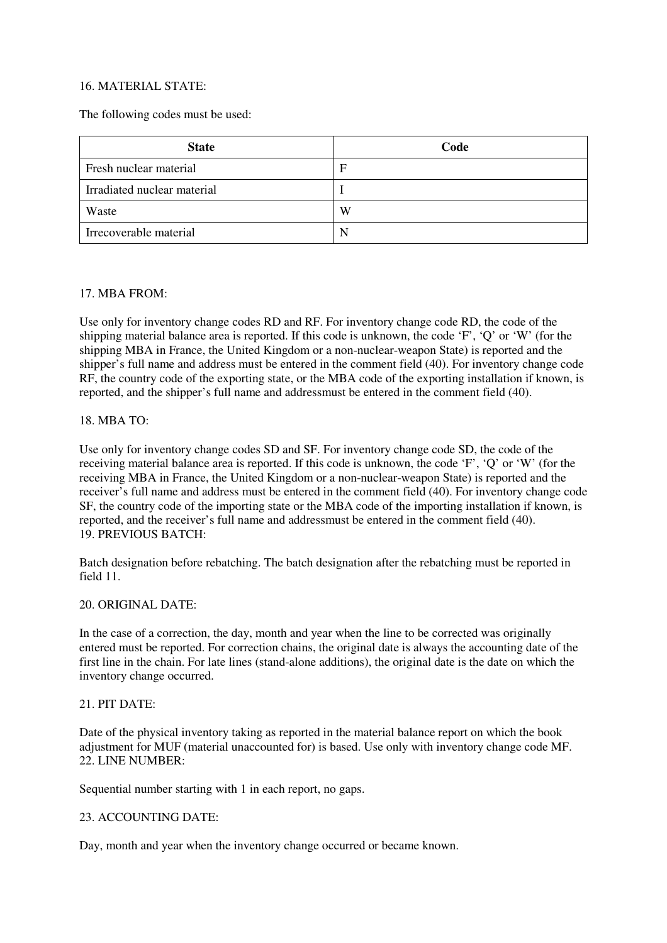# 16. MATERIAL STATE:

The following codes must be used:

| <b>State</b>                | Code        |
|-----------------------------|-------------|
| Fresh nuclear material      | $\mathbf F$ |
| Irradiated nuclear material |             |
| Waste                       | W           |
| Irrecoverable material      |             |

### 17. MBA FROM:

Use only for inventory change codes RD and RF. For inventory change code RD, the code of the shipping material balance area is reported. If this code is unknown, the code 'F', 'Q' or 'W' (for the shipping MBA in France, the United Kingdom or a non-nuclear-weapon State) is reported and the shipper's full name and address must be entered in the comment field (40). For inventory change code RF, the country code of the exporting state, or the MBA code of the exporting installation if known, is reported, and the shipper's full name and addressmust be entered in the comment field (40).

### 18. MBA TO:

Use only for inventory change codes SD and SF. For inventory change code SD, the code of the receiving material balance area is reported. If this code is unknown, the code 'F', 'Q' or 'W' (for the receiving MBA in France, the United Kingdom or a non-nuclear-weapon State) is reported and the receiver's full name and address must be entered in the comment field (40). For inventory change code SF, the country code of the importing state or the MBA code of the importing installation if known, is reported, and the receiver's full name and addressmust be entered in the comment field (40). 19. PREVIOUS BATCH:

Batch designation before rebatching. The batch designation after the rebatching must be reported in field 11.

#### 20. ORIGINAL DATE:

In the case of a correction, the day, month and year when the line to be corrected was originally entered must be reported. For correction chains, the original date is always the accounting date of the first line in the chain. For late lines (stand-alone additions), the original date is the date on which the inventory change occurred.

### 21. PIT DATE:

Date of the physical inventory taking as reported in the material balance report on which the book adjustment for MUF (material unaccounted for) is based. Use only with inventory change code MF. 22. LINE NUMBER:

Sequential number starting with 1 in each report, no gaps.

### 23. ACCOUNTING DATE:

Day, month and year when the inventory change occurred or became known.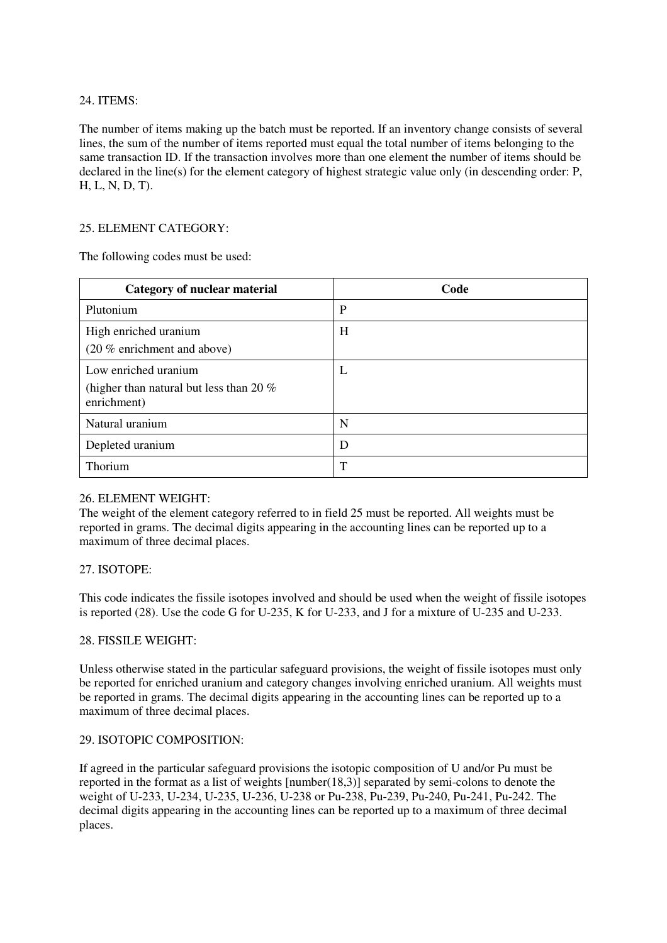# 24. ITEMS:

The number of items making up the batch must be reported. If an inventory change consists of several lines, the sum of the number of items reported must equal the total number of items belonging to the same transaction ID. If the transaction involves more than one element the number of items should be declared in the line(s) for the element category of highest strategic value only (in descending order: P, H, L, N, D, T).

# 25. ELEMENT CATEGORY:

The following codes must be used:

| Category of nuclear material                                                     | Code        |
|----------------------------------------------------------------------------------|-------------|
| Plutonium                                                                        | $\mathbf P$ |
| High enriched uranium<br>(20 % enrichment and above)                             | H           |
| Low enriched uranium<br>(higher than natural but less than 20 $%$<br>enrichment) | L           |
| Natural uranium                                                                  | N           |
| Depleted uranium                                                                 | D           |
| Thorium                                                                          | T           |

### 26. ELEMENT WEIGHT:

The weight of the element category referred to in field 25 must be reported. All weights must be reported in grams. The decimal digits appearing in the accounting lines can be reported up to a maximum of three decimal places.

### 27. ISOTOPE:

This code indicates the fissile isotopes involved and should be used when the weight of fissile isotopes is reported (28). Use the code G for U-235, K for U-233, and J for a mixture of U-235 and U-233.

### 28. FISSILE WEIGHT:

Unless otherwise stated in the particular safeguard provisions, the weight of fissile isotopes must only be reported for enriched uranium and category changes involving enriched uranium. All weights must be reported in grams. The decimal digits appearing in the accounting lines can be reported up to a maximum of three decimal places.

### 29. ISOTOPIC COMPOSITION:

If agreed in the particular safeguard provisions the isotopic composition of U and/or Pu must be reported in the format as a list of weights [number(18,3)] separated by semi-colons to denote the weight of U-233, U-234, U-235, U-236, U-238 or Pu-238, Pu-239, Pu-240, Pu-241, Pu-242. The decimal digits appearing in the accounting lines can be reported up to a maximum of three decimal places.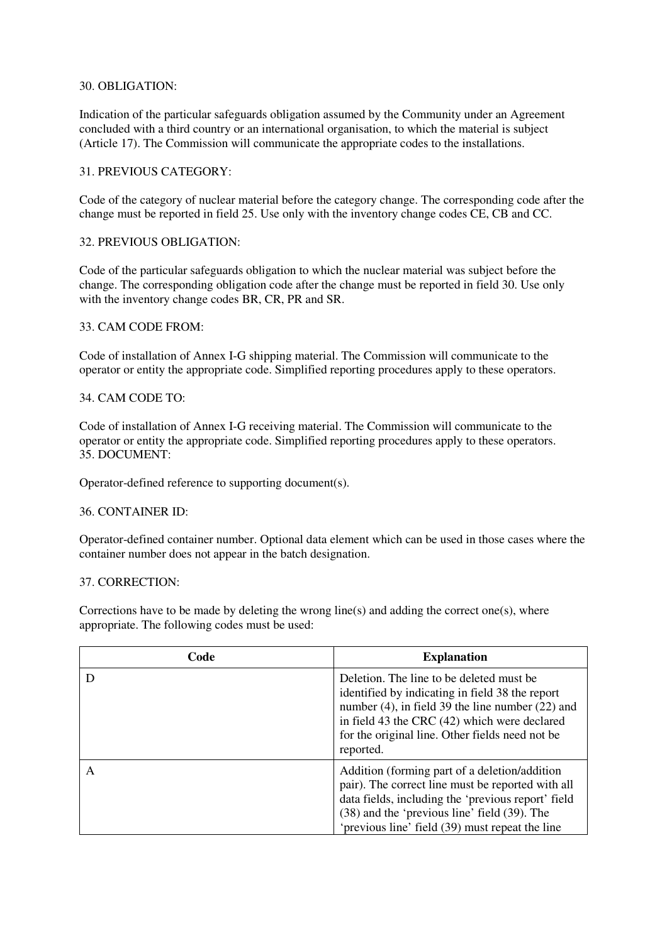### 30. OBLIGATION:

Indication of the particular safeguards obligation assumed by the Community under an Agreement concluded with a third country or an international organisation, to which the material is subject (Article 17). The Commission will communicate the appropriate codes to the installations.

### 31. PREVIOUS CATEGORY:

Code of the category of nuclear material before the category change. The corresponding code after the change must be reported in field 25. Use only with the inventory change codes CE, CB and CC.

### 32. PREVIOUS OBLIGATION:

Code of the particular safeguards obligation to which the nuclear material was subject before the change. The corresponding obligation code after the change must be reported in field 30. Use only with the inventory change codes BR, CR, PR and SR.

### 33. CAM CODE FROM:

Code of installation of Annex I-G shipping material. The Commission will communicate to the operator or entity the appropriate code. Simplified reporting procedures apply to these operators.

# 34. CAM CODE TO:

Code of installation of Annex I-G receiving material. The Commission will communicate to the operator or entity the appropriate code. Simplified reporting procedures apply to these operators. 35. DOCUMENT:

Operator-defined reference to supporting document(s).

### 36. CONTAINER ID:

Operator-defined container number. Optional data element which can be used in those cases where the container number does not appear in the batch designation.

### 37. CORRECTION:

Corrections have to be made by deleting the wrong line(s) and adding the correct one(s), where appropriate. The following codes must be used:

| Code | <b>Explanation</b>                                                                                                                                                                                                                                                   |
|------|----------------------------------------------------------------------------------------------------------------------------------------------------------------------------------------------------------------------------------------------------------------------|
|      | Deletion. The line to be deleted must be<br>identified by indicating in field 38 the report<br>number $(4)$ , in field 39 the line number $(22)$ and<br>in field 43 the CRC (42) which were declared<br>for the original line. Other fields need not be<br>reported. |
| А    | Addition (forming part of a deletion/addition)<br>pair). The correct line must be reported with all<br>data fields, including the 'previous report' field<br>(38) and the 'previous line' field (39). The<br>'previous line' field (39) must repeat the line         |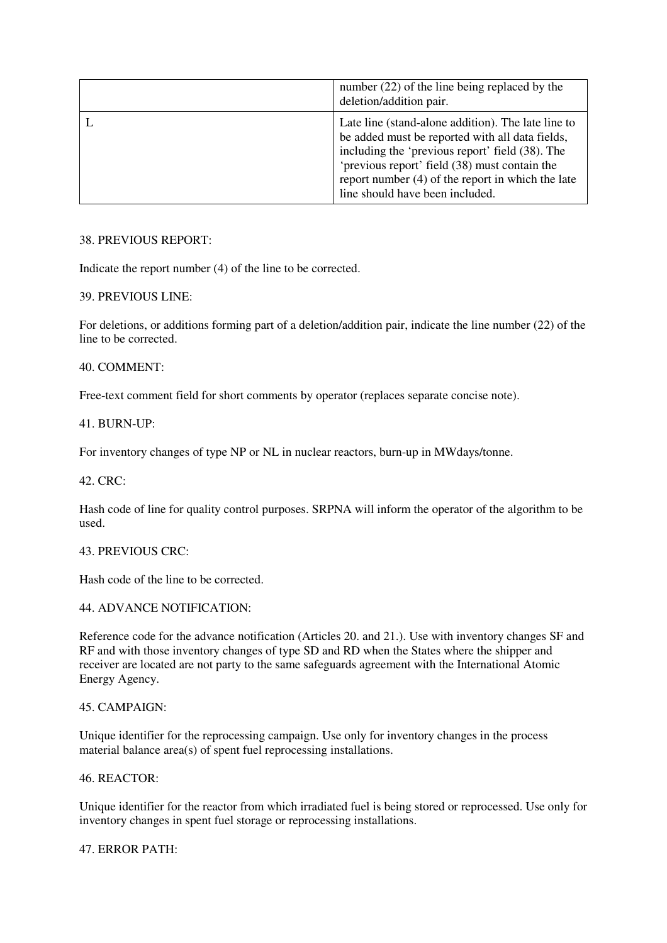| number $(22)$ of the line being replaced by the<br>deletion/addition pair.                                                                                                                                                                                                                          |
|-----------------------------------------------------------------------------------------------------------------------------------------------------------------------------------------------------------------------------------------------------------------------------------------------------|
| Late line (stand-alone addition). The late line to<br>be added must be reported with all data fields,<br>including the 'previous report' field (38). The<br>'previous report' field (38) must contain the<br>report number $(4)$ of the report in which the late<br>line should have been included. |

# 38. PREVIOUS REPORT:

Indicate the report number (4) of the line to be corrected.

# 39. PREVIOUS LINE:

For deletions, or additions forming part of a deletion/addition pair, indicate the line number (22) of the line to be corrected.

### 40. COMMENT:

Free-text comment field for short comments by operator (replaces separate concise note).

### 41. BURN-UP:

For inventory changes of type NP or NL in nuclear reactors, burn-up in MWdays/tonne.

### 42. CRC:

Hash code of line for quality control purposes. SRPNA will inform the operator of the algorithm to be used.

### 43. PREVIOUS CRC:

Hash code of the line to be corrected.

# 44. ADVANCE NOTIFICATION:

Reference code for the advance notification (Articles 20. and 21.). Use with inventory changes SF and RF and with those inventory changes of type SD and RD when the States where the shipper and receiver are located are not party to the same safeguards agreement with the International Atomic Energy Agency.

### 45. CAMPAIGN:

Unique identifier for the reprocessing campaign. Use only for inventory changes in the process material balance area(s) of spent fuel reprocessing installations.

### 46. REACTOR:

Unique identifier for the reactor from which irradiated fuel is being stored or reprocessed. Use only for inventory changes in spent fuel storage or reprocessing installations.

### 47. ERROR PATH: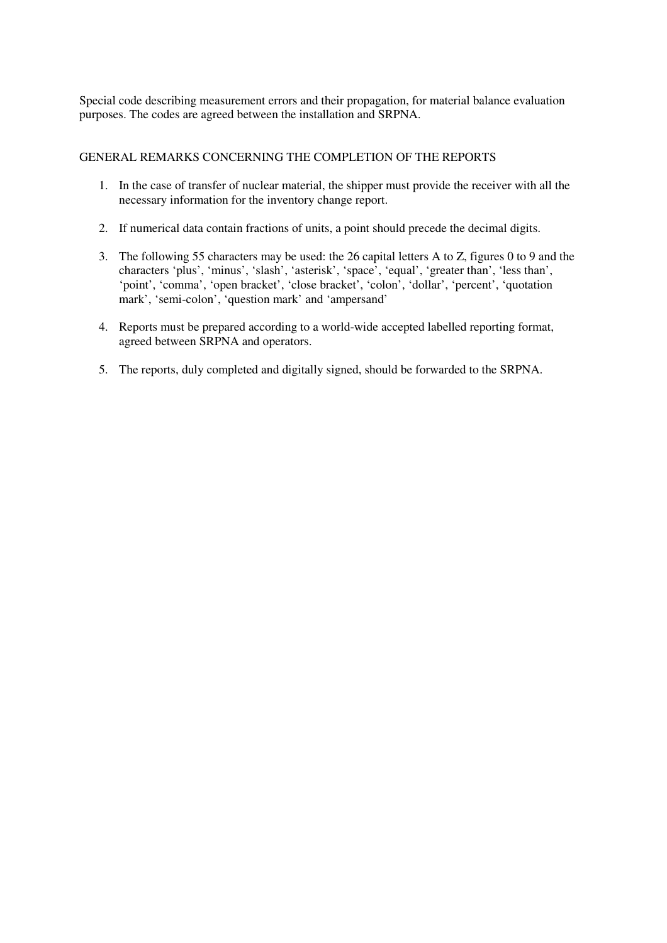Special code describing measurement errors and their propagation, for material balance evaluation purposes. The codes are agreed between the installation and SRPNA.

### GENERAL REMARKS CONCERNING THE COMPLETION OF THE REPORTS

- 1. In the case of transfer of nuclear material, the shipper must provide the receiver with all the necessary information for the inventory change report.
- 2. If numerical data contain fractions of units, a point should precede the decimal digits.
- 3. The following 55 characters may be used: the 26 capital letters A to Z, figures 0 to 9 and the characters 'plus', 'minus', 'slash', 'asterisk', 'space', 'equal', 'greater than', 'less than', 'point', 'comma', 'open bracket', 'close bracket', 'colon', 'dollar', 'percent', 'quotation mark', 'semi-colon', 'question mark' and 'ampersand'
- 4. Reports must be prepared according to a world-wide accepted labelled reporting format, agreed between SRPNA and operators.
- 5. The reports, duly completed and digitally signed, should be forwarded to the SRPNA.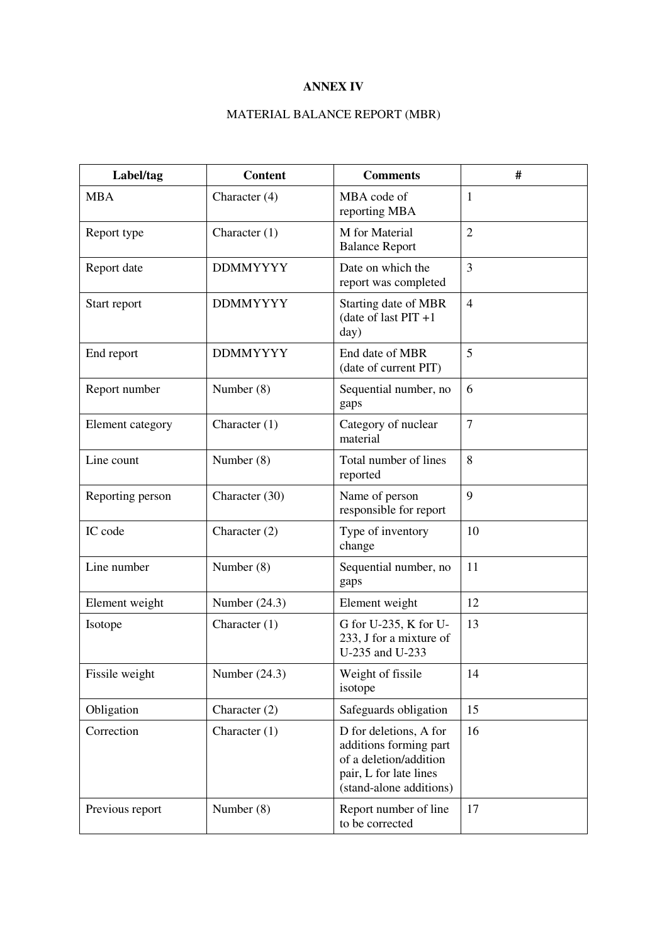# **ANNEX IV**

# MATERIAL BALANCE REPORT (MBR)

| Label/tag        | <b>Content</b>  | <b>Comments</b>                                                                                                                 | #              |
|------------------|-----------------|---------------------------------------------------------------------------------------------------------------------------------|----------------|
| <b>MBA</b>       | Character (4)   | MBA code of<br>reporting MBA                                                                                                    | 1              |
| Report type      | Character $(1)$ | M for Material<br><b>Balance Report</b>                                                                                         | $\overline{2}$ |
| Report date      | <b>DDMMYYYY</b> | Date on which the<br>report was completed                                                                                       | 3              |
| Start report     | <b>DDMMYYYY</b> | Starting date of MBR<br>(date of last $PIT +1$<br>day)                                                                          | $\overline{4}$ |
| End report       | <b>DDMMYYYY</b> | End date of MBR<br>(date of current PIT)                                                                                        | 5              |
| Report number    | Number $(8)$    | Sequential number, no<br>gaps                                                                                                   | 6              |
| Element category | Character $(1)$ | Category of nuclear<br>material                                                                                                 | $\overline{7}$ |
| Line count       | Number (8)      | Total number of lines<br>reported                                                                                               | 8              |
| Reporting person | Character (30)  | Name of person<br>responsible for report                                                                                        | 9              |
| IC code          | Character $(2)$ | Type of inventory<br>change                                                                                                     | 10             |
| Line number      | Number (8)      | Sequential number, no<br>gaps                                                                                                   | 11             |
| Element weight   | Number $(24.3)$ | Element weight                                                                                                                  | 12             |
| Isotope          | Character $(1)$ | G for U-235, K for U-<br>233, J for a mixture of<br>U-235 and U-233                                                             | 13             |
| Fissile weight   | Number $(24.3)$ | Weight of fissile<br>isotope                                                                                                    | 14             |
| Obligation       | Character (2)   | Safeguards obligation                                                                                                           | 15             |
| Correction       | Character $(1)$ | D for deletions, A for<br>additions forming part<br>of a deletion/addition<br>pair, L for late lines<br>(stand-alone additions) | 16             |
| Previous report  | Number (8)      | Report number of line<br>to be corrected                                                                                        | 17             |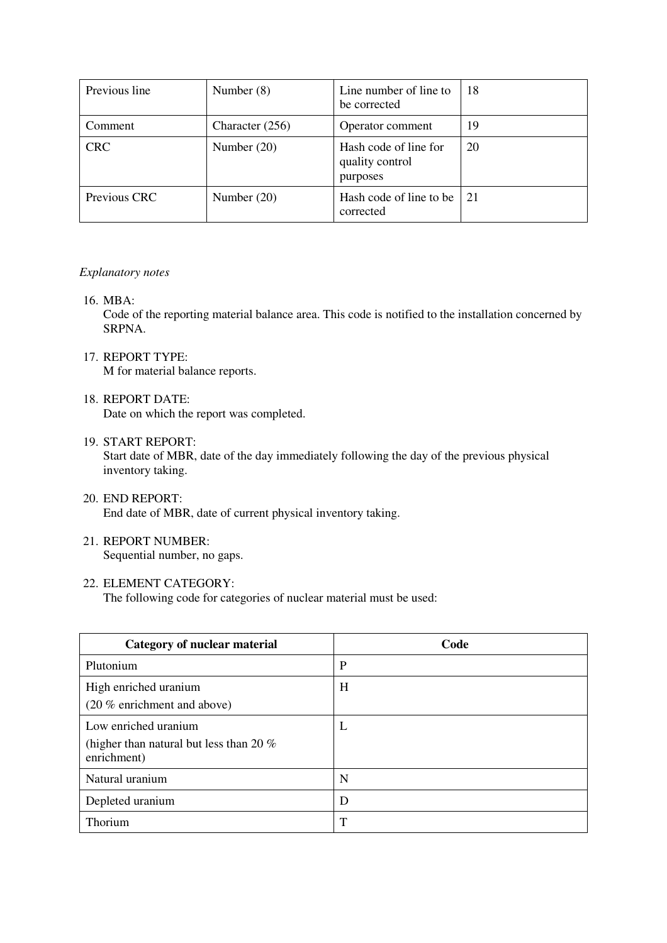| Previous line | Number $(8)$      | Line number of line to<br>be corrected               | 18 |
|---------------|-------------------|------------------------------------------------------|----|
| Comment       | Character $(256)$ | Operator comment                                     | 19 |
| <b>CRC</b>    | Number $(20)$     | Hash code of line for<br>quality control<br>purposes | 20 |
| Previous CRC  | Number $(20)$     | Hash code of line to be<br>corrected                 | 21 |

### *Explanatory notes*

16. MBA:

Code of the reporting material balance area. This code is notified to the installation concerned by SRPNA.

- 17. REPORT TYPE: M for material balance reports.
- 18. REPORT DATE: Date on which the report was completed.
- 19. START REPORT:

Start date of MBR, date of the day immediately following the day of the previous physical inventory taking.

- 20. END REPORT: End date of MBR, date of current physical inventory taking.
- 21. REPORT NUMBER: Sequential number, no gaps.

# 22. ELEMENT CATEGORY:

The following code for categories of nuclear material must be used:

| <b>Category of nuclear material</b>                                              | Code |
|----------------------------------------------------------------------------------|------|
| Plutonium                                                                        | P    |
| High enriched uranium<br>(20 % enrichment and above)                             | H    |
| Low enriched uranium<br>(higher than natural but less than 20 $%$<br>enrichment) | L    |
| Natural uranium                                                                  | N    |
| Depleted uranium                                                                 | D    |
| Thorium                                                                          | T    |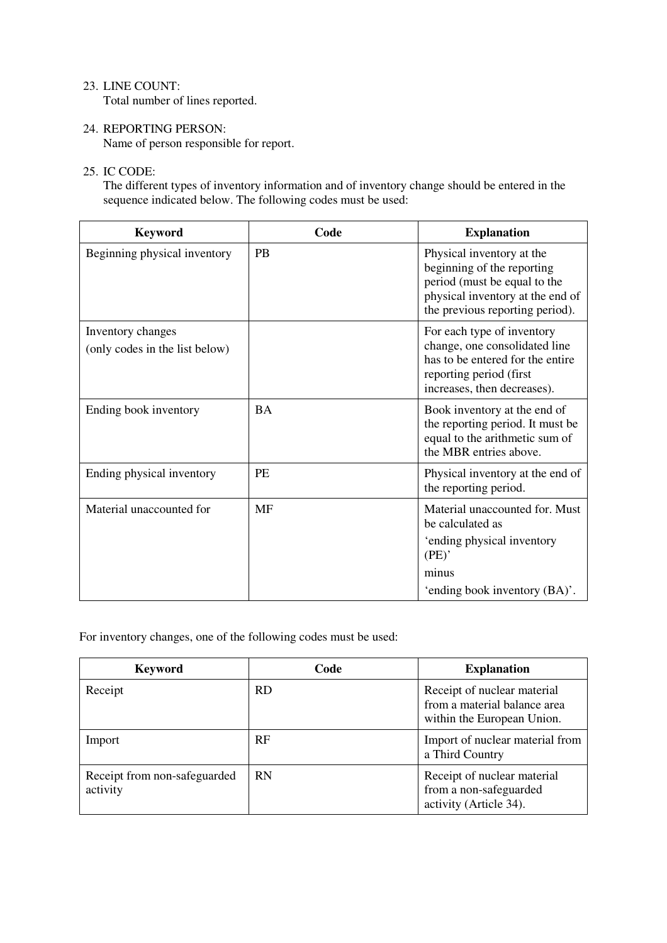# 23. LINE COUNT:

Total number of lines reported.

24. REPORTING PERSON: Name of person responsible for report.

# 25. IC CODE:

The different types of inventory information and of inventory change should be entered in the sequence indicated below. The following codes must be used:

| <b>Keyword</b>                                      | Code      | <b>Explanation</b>                                                                                                                                             |
|-----------------------------------------------------|-----------|----------------------------------------------------------------------------------------------------------------------------------------------------------------|
| Beginning physical inventory                        | <b>PB</b> | Physical inventory at the<br>beginning of the reporting<br>period (must be equal to the<br>physical inventory at the end of<br>the previous reporting period). |
| Inventory changes<br>(only codes in the list below) |           | For each type of inventory<br>change, one consolidated line<br>has to be entered for the entire<br>reporting period (first<br>increases, then decreases).      |
| Ending book inventory                               | <b>BA</b> | Book inventory at the end of<br>the reporting period. It must be<br>equal to the arithmetic sum of<br>the MBR entries above.                                   |
| Ending physical inventory                           | <b>PE</b> | Physical inventory at the end of<br>the reporting period.                                                                                                      |
| Material unaccounted for                            | <b>MF</b> | Material unaccounted for. Must<br>be calculated as                                                                                                             |
|                                                     |           | 'ending physical inventory<br>(PE)                                                                                                                             |
|                                                     |           | minus                                                                                                                                                          |
|                                                     |           | 'ending book inventory (BA)'.                                                                                                                                  |

For inventory changes, one of the following codes must be used:

| <b>Keyword</b>                           | Code      | <b>Explanation</b>                                                                        |
|------------------------------------------|-----------|-------------------------------------------------------------------------------------------|
| Receipt                                  | <b>RD</b> | Receipt of nuclear material<br>from a material balance area<br>within the European Union. |
| Import                                   | <b>RF</b> | Import of nuclear material from<br>a Third Country                                        |
| Receipt from non-safeguarded<br>activity | <b>RN</b> | Receipt of nuclear material<br>from a non-safeguarded<br>activity (Article 34).           |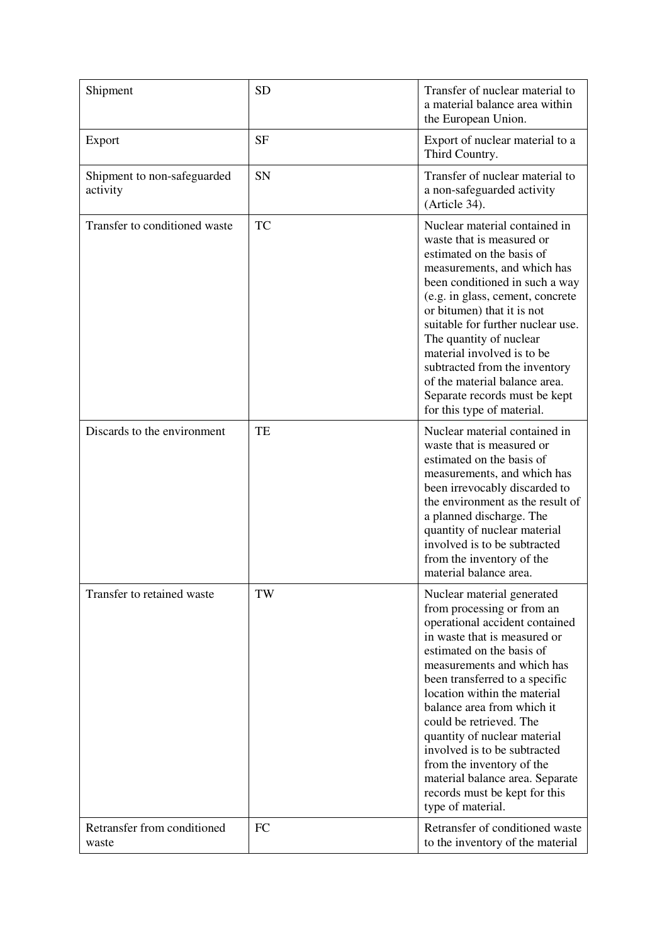| Shipment                                | <b>SD</b> | Transfer of nuclear material to<br>a material balance area within<br>the European Union.                                                                                                                                                                                                                                                                                                                                                                                                               |
|-----------------------------------------|-----------|--------------------------------------------------------------------------------------------------------------------------------------------------------------------------------------------------------------------------------------------------------------------------------------------------------------------------------------------------------------------------------------------------------------------------------------------------------------------------------------------------------|
| Export                                  | <b>SF</b> | Export of nuclear material to a<br>Third Country.                                                                                                                                                                                                                                                                                                                                                                                                                                                      |
| Shipment to non-safeguarded<br>activity | <b>SN</b> | Transfer of nuclear material to<br>a non-safeguarded activity<br>(Article 34).                                                                                                                                                                                                                                                                                                                                                                                                                         |
| Transfer to conditioned waste           | <b>TC</b> | Nuclear material contained in<br>waste that is measured or<br>estimated on the basis of<br>measurements, and which has<br>been conditioned in such a way<br>(e.g. in glass, cement, concrete<br>or bitumen) that it is not<br>suitable for further nuclear use.<br>The quantity of nuclear<br>material involved is to be<br>subtracted from the inventory<br>of the material balance area.<br>Separate records must be kept<br>for this type of material.                                              |
| Discards to the environment             | TE        | Nuclear material contained in<br>waste that is measured or<br>estimated on the basis of<br>measurements, and which has<br>been irrevocably discarded to<br>the environment as the result of<br>a planned discharge. The<br>quantity of nuclear material<br>involved is to be subtracted<br>from the inventory of the<br>material balance area.                                                                                                                                                         |
| Transfer to retained waste              | TW        | Nuclear material generated<br>from processing or from an<br>operational accident contained<br>in waste that is measured or<br>estimated on the basis of<br>measurements and which has<br>been transferred to a specific<br>location within the material<br>balance area from which it<br>could be retrieved. The<br>quantity of nuclear material<br>involved is to be subtracted<br>from the inventory of the<br>material balance area. Separate<br>records must be kept for this<br>type of material. |
| Retransfer from conditioned<br>waste    | <b>FC</b> | Retransfer of conditioned waste<br>to the inventory of the material                                                                                                                                                                                                                                                                                                                                                                                                                                    |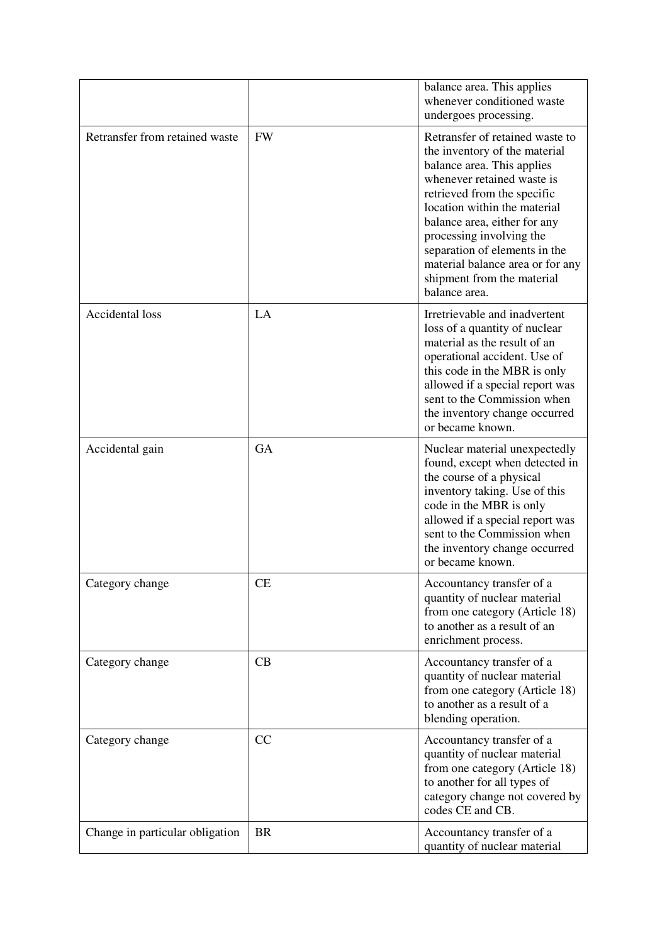|                                 |           | balance area. This applies<br>whenever conditioned waste<br>undergoes processing.                                                                                                                                                                                                                                                                                           |
|---------------------------------|-----------|-----------------------------------------------------------------------------------------------------------------------------------------------------------------------------------------------------------------------------------------------------------------------------------------------------------------------------------------------------------------------------|
| Retransfer from retained waste  | <b>FW</b> | Retransfer of retained waste to<br>the inventory of the material<br>balance area. This applies<br>whenever retained waste is<br>retrieved from the specific<br>location within the material<br>balance area, either for any<br>processing involving the<br>separation of elements in the<br>material balance area or for any<br>shipment from the material<br>balance area. |
| <b>Accidental loss</b>          | LA        | Irretrievable and inadvertent<br>loss of a quantity of nuclear<br>material as the result of an<br>operational accident. Use of<br>this code in the MBR is only<br>allowed if a special report was<br>sent to the Commission when<br>the inventory change occurred<br>or became known.                                                                                       |
| Accidental gain                 | <b>GA</b> | Nuclear material unexpectedly<br>found, except when detected in<br>the course of a physical<br>inventory taking. Use of this<br>code in the MBR is only<br>allowed if a special report was<br>sent to the Commission when<br>the inventory change occurred<br>or became known.                                                                                              |
| Category change                 | <b>CE</b> | Accountancy transfer of a<br>quantity of nuclear material<br>from one category (Article 18)<br>to another as a result of an<br>enrichment process.                                                                                                                                                                                                                          |
| Category change                 | CB        | Accountancy transfer of a<br>quantity of nuclear material<br>from one category (Article 18)<br>to another as a result of a<br>blending operation.                                                                                                                                                                                                                           |
| Category change                 | CC        | Accountancy transfer of a<br>quantity of nuclear material<br>from one category (Article 18)<br>to another for all types of<br>category change not covered by<br>codes CE and CB.                                                                                                                                                                                            |
| Change in particular obligation | <b>BR</b> | Accountancy transfer of a<br>quantity of nuclear material                                                                                                                                                                                                                                                                                                                   |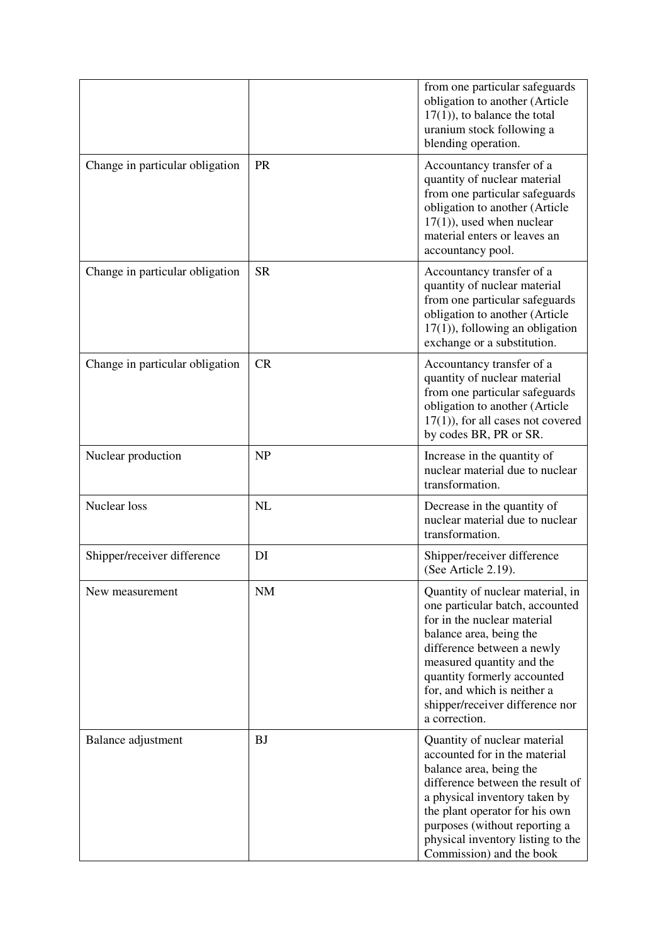|                                 |           | from one particular safeguards<br>obligation to another (Article<br>$17(1)$ , to balance the total<br>uranium stock following a<br>blending operation.                                                                                                                                                     |  |
|---------------------------------|-----------|------------------------------------------------------------------------------------------------------------------------------------------------------------------------------------------------------------------------------------------------------------------------------------------------------------|--|
| Change in particular obligation | <b>PR</b> | Accountancy transfer of a<br>quantity of nuclear material<br>from one particular safeguards<br>obligation to another (Article<br>$17(1)$ , used when nuclear<br>material enters or leaves an<br>accountancy pool.                                                                                          |  |
| Change in particular obligation | <b>SR</b> | Accountancy transfer of a<br>quantity of nuclear material<br>from one particular safeguards<br>obligation to another (Article<br>$17(1)$ , following an obligation<br>exchange or a substitution.                                                                                                          |  |
| Change in particular obligation | CR        | Accountancy transfer of a<br>quantity of nuclear material<br>from one particular safeguards<br>obligation to another (Article<br>$17(1)$ , for all cases not covered<br>by codes BR, PR or SR.                                                                                                             |  |
| Nuclear production              | <b>NP</b> | Increase in the quantity of<br>nuclear material due to nuclear<br>transformation.                                                                                                                                                                                                                          |  |
| Nuclear loss                    | NL        | Decrease in the quantity of<br>nuclear material due to nuclear<br>transformation.                                                                                                                                                                                                                          |  |
| Shipper/receiver difference     | DI        | Shipper/receiver difference<br>(See Article 2.19).                                                                                                                                                                                                                                                         |  |
| New measurement                 | <b>NM</b> | Quantity of nuclear material, in<br>one particular batch, accounted<br>for in the nuclear material<br>balance area, being the<br>difference between a newly<br>measured quantity and the<br>quantity formerly accounted<br>for, and which is neither a<br>shipper/receiver difference nor<br>a correction. |  |
| Balance adjustment              | BJ        | Quantity of nuclear material<br>accounted for in the material<br>balance area, being the<br>difference between the result of<br>a physical inventory taken by<br>the plant operator for his own<br>purposes (without reporting a<br>physical inventory listing to the<br>Commission) and the book          |  |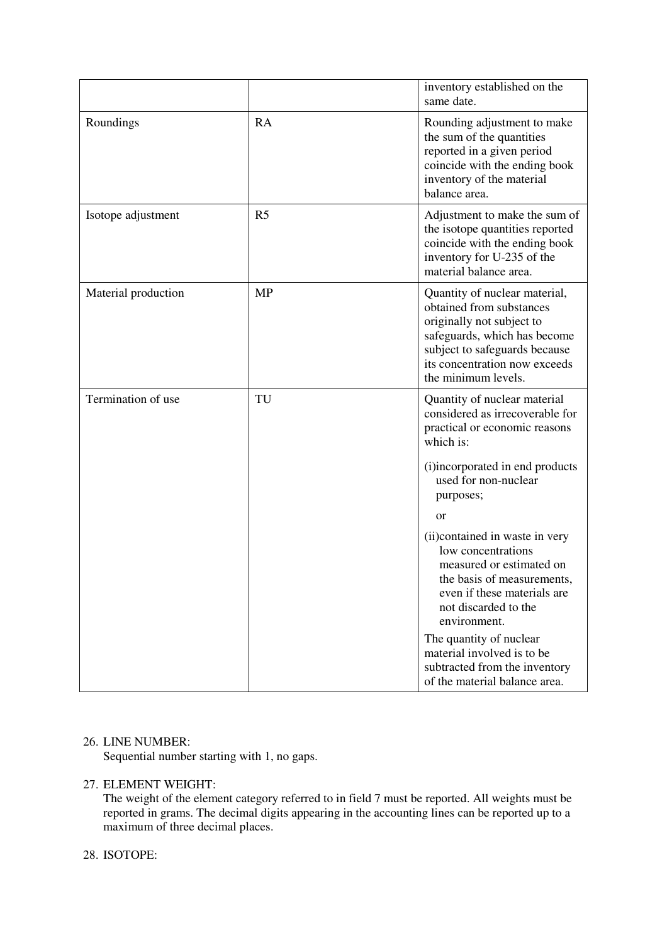|                     |                | inventory established on the<br>same date.                                                                                                                                                                      |
|---------------------|----------------|-----------------------------------------------------------------------------------------------------------------------------------------------------------------------------------------------------------------|
| Roundings           | <b>RA</b>      | Rounding adjustment to make<br>the sum of the quantities<br>reported in a given period<br>coincide with the ending book<br>inventory of the material<br>balance area.                                           |
| Isotope adjustment  | R <sub>5</sub> | Adjustment to make the sum of<br>the isotope quantities reported<br>coincide with the ending book<br>inventory for U-235 of the<br>material balance area.                                                       |
| Material production | <b>MP</b>      | Quantity of nuclear material,<br>obtained from substances<br>originally not subject to<br>safeguards, which has become<br>subject to safeguards because<br>its concentration now exceeds<br>the minimum levels. |
| Termination of use  | TU             | Quantity of nuclear material<br>considered as irrecoverable for<br>practical or economic reasons<br>which is:                                                                                                   |
|                     |                | (i)incorporated in end products<br>used for non-nuclear<br>purposes;                                                                                                                                            |
|                     |                | <b>or</b>                                                                                                                                                                                                       |
|                     |                | (ii) contained in waste in very<br>low concentrations<br>measured or estimated on<br>the basis of measurements,<br>even if these materials are<br>not discarded to the<br>environment.                          |
|                     |                | The quantity of nuclear<br>material involved is to be<br>subtracted from the inventory<br>of the material balance area.                                                                                         |

### 26. LINE NUMBER:

Sequential number starting with 1, no gaps.

# 27. ELEMENT WEIGHT:

The weight of the element category referred to in field 7 must be reported. All weights must be reported in grams. The decimal digits appearing in the accounting lines can be reported up to a maximum of three decimal places.

# 28. ISOTOPE: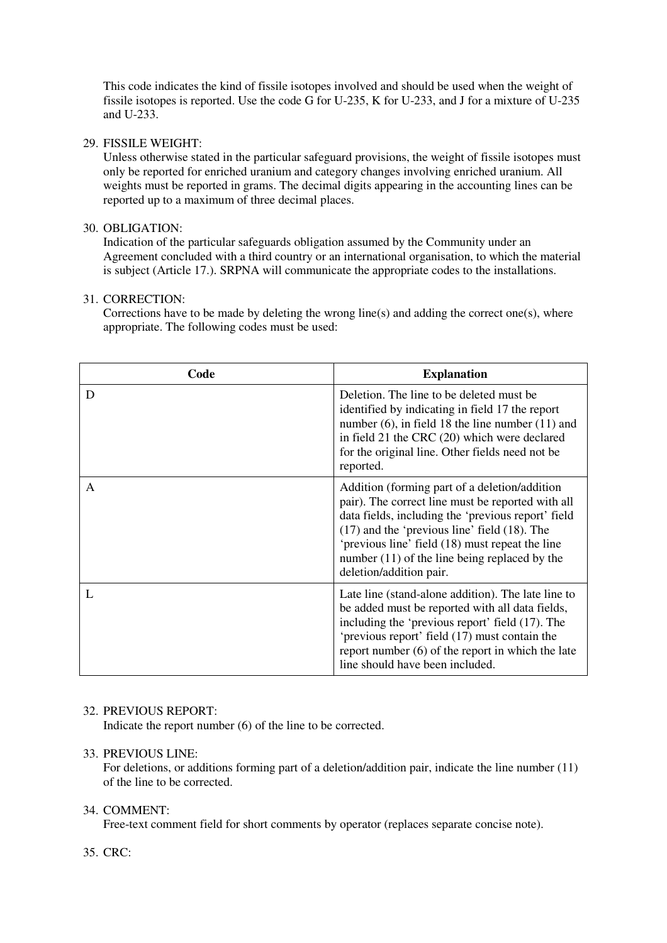This code indicates the kind of fissile isotopes involved and should be used when the weight of fissile isotopes is reported. Use the code G for U-235, K for U-233, and J for a mixture of U-235 and U-233.

# 29. FISSILE WEIGHT:

Unless otherwise stated in the particular safeguard provisions, the weight of fissile isotopes must only be reported for enriched uranium and category changes involving enriched uranium. All weights must be reported in grams. The decimal digits appearing in the accounting lines can be reported up to a maximum of three decimal places.

# 30. OBLIGATION:

Indication of the particular safeguards obligation assumed by the Community under an Agreement concluded with a third country or an international organisation, to which the material is subject (Article 17.). SRPNA will communicate the appropriate codes to the installations.

# 31. CORRECTION:

Corrections have to be made by deleting the wrong line(s) and adding the correct one(s), where appropriate. The following codes must be used:

| Code | <b>Explanation</b>                                                                                                                                                                                                                                                                                                                             |
|------|------------------------------------------------------------------------------------------------------------------------------------------------------------------------------------------------------------------------------------------------------------------------------------------------------------------------------------------------|
| D    | Deletion. The line to be deleted must be<br>identified by indicating in field 17 the report<br>number $(6)$ , in field 18 the line number $(11)$ and<br>in field 21 the CRC (20) which were declared<br>for the original line. Other fields need not be<br>reported.                                                                           |
| A    | Addition (forming part of a deletion/addition<br>pair). The correct line must be reported with all<br>data fields, including the 'previous report' field<br>$(17)$ and the 'previous line' field $(18)$ . The<br>'previous line' field (18) must repeat the line<br>number $(11)$ of the line being replaced by the<br>deletion/addition pair. |
| L    | Late line (stand-alone addition). The late line to<br>be added must be reported with all data fields,<br>including the 'previous report' field (17). The<br>'previous report' field (17) must contain the<br>report number $(6)$ of the report in which the late<br>line should have been included.                                            |

# 32. PREVIOUS REPORT:

Indicate the report number (6) of the line to be corrected.

### 33. PREVIOUS LINE:

For deletions, or additions forming part of a deletion/addition pair, indicate the line number (11) of the line to be corrected.

### 34. COMMENT:

Free-text comment field for short comments by operator (replaces separate concise note).

# 35. CRC: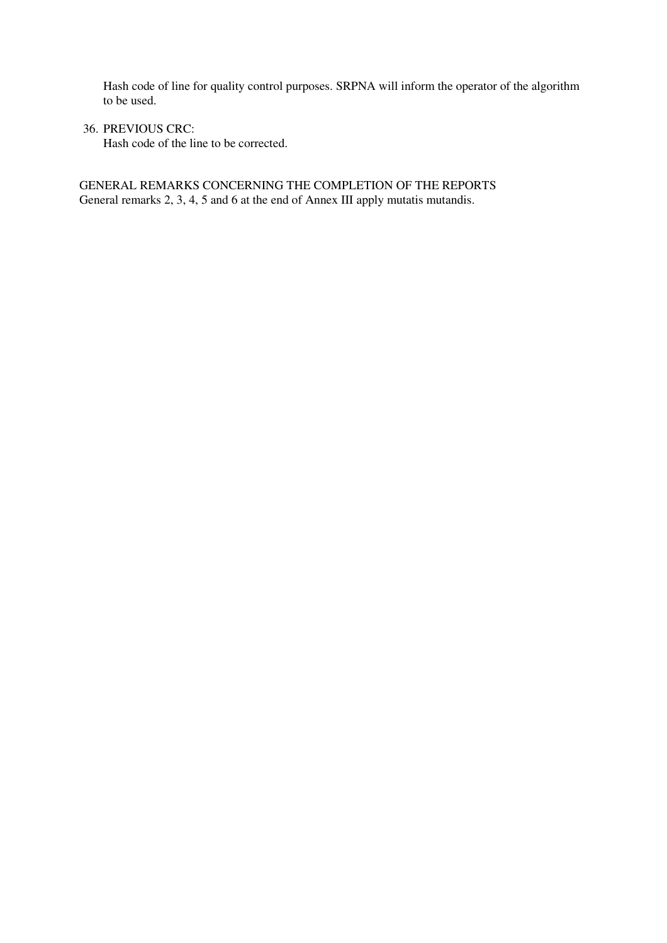Hash code of line for quality control purposes. SRPNA will inform the operator of the algorithm to be used.

36. PREVIOUS CRC:

Hash code of the line to be corrected.

GENERAL REMARKS CONCERNING THE COMPLETION OF THE REPORTS General remarks 2, 3, 4, 5 and 6 at the end of Annex III apply mutatis mutandis.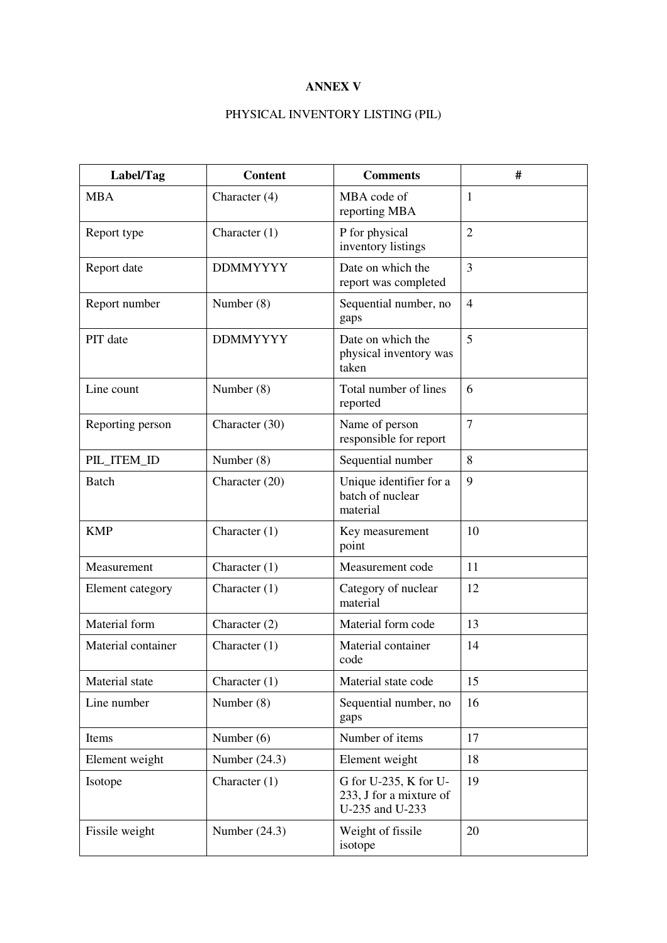# **ANNEX V**

# PHYSICAL INVENTORY LISTING (PIL)

| Label/Tag          | <b>Content</b>  | <b>Comments</b>                                                     | #              |
|--------------------|-----------------|---------------------------------------------------------------------|----------------|
| <b>MBA</b>         | Character $(4)$ | MBA code of<br>reporting MBA                                        | $\mathbf{1}$   |
| Report type        | Character $(1)$ | P for physical<br>inventory listings                                | $\overline{2}$ |
| Report date        | <b>DDMMYYYY</b> | Date on which the<br>report was completed                           | 3              |
| Report number      | Number $(8)$    | Sequential number, no<br>gaps                                       | $\overline{4}$ |
| PIT date           | <b>DDMMYYYY</b> | Date on which the<br>physical inventory was<br>taken                | 5              |
| Line count         | Number $(8)$    | Total number of lines<br>reported                                   | 6              |
| Reporting person   | Character (30)  | Name of person<br>responsible for report                            | $\overline{7}$ |
| PIL_ITEM_ID        | Number $(8)$    | Sequential number                                                   | 8              |
| <b>Batch</b>       | Character (20)  | Unique identifier for a<br>batch of nuclear<br>material             | 9              |
| <b>KMP</b>         | Character $(1)$ | Key measurement<br>point                                            | 10             |
| Measurement        | Character $(1)$ | Measurement code                                                    | 11             |
| Element category   | Character $(1)$ | Category of nuclear<br>material                                     | 12             |
| Material form      | Character $(2)$ | Material form code                                                  | 13             |
| Material container | Character $(1)$ | Material container<br>code                                          | 14             |
| Material state     | Character $(1)$ | Material state code                                                 | 15             |
| Line number        | Number $(8)$    | Sequential number, no<br>gaps                                       | 16             |
| Items              | Number $(6)$    | Number of items                                                     | 17             |
| Element weight     | Number $(24.3)$ | Element weight                                                      | 18             |
| Isotope            | Character $(1)$ | G for U-235, K for U-<br>233, J for a mixture of<br>U-235 and U-233 | 19             |
| Fissile weight     | Number $(24.3)$ | Weight of fissile<br>isotope                                        | 20             |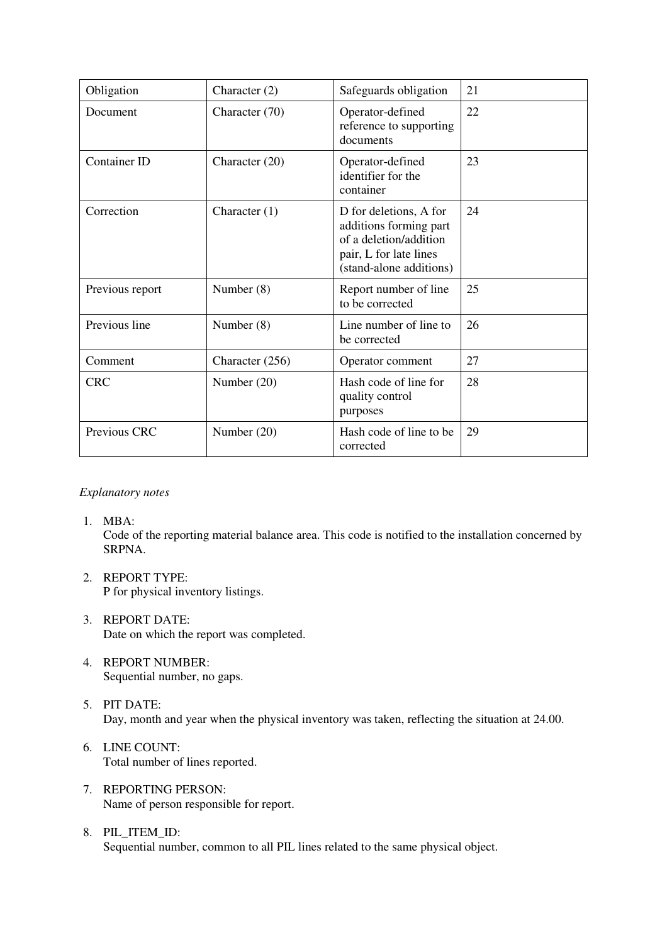| Obligation      | Character $(2)$                                                             | Safeguards obligation                                                                                                           | 21 |  |
|-----------------|-----------------------------------------------------------------------------|---------------------------------------------------------------------------------------------------------------------------------|----|--|
| Document        | Character (70)                                                              | 22                                                                                                                              |    |  |
| Container ID    | 23<br>Character (20)<br>Operator-defined<br>identifier for the<br>container |                                                                                                                                 |    |  |
| Correction      | Character $(1)$                                                             | D for deletions, A for<br>additions forming part<br>of a deletion/addition<br>pair, L for late lines<br>(stand-alone additions) | 24 |  |
| Previous report | Number $(8)$                                                                | Report number of line<br>to be corrected                                                                                        | 25 |  |
| Previous line   | Number $(8)$                                                                | Line number of line to<br>be corrected                                                                                          | 26 |  |
| Comment         | Character (256)                                                             | Operator comment                                                                                                                | 27 |  |
| <b>CRC</b>      | Number $(20)$                                                               | Hash code of line for<br>quality control<br>purposes                                                                            | 28 |  |
| Previous CRC    | Number $(20)$                                                               | Hash code of line to be<br>corrected                                                                                            | 29 |  |

# *Explanatory notes*

1. MBA:

Code of the reporting material balance area. This code is notified to the installation concerned by SRPNA.

- 2. REPORT TYPE: P for physical inventory listings.
- 3. REPORT DATE: Date on which the report was completed.
- 4. REPORT NUMBER: Sequential number, no gaps.
- 5. PIT DATE: Day, month and year when the physical inventory was taken, reflecting the situation at 24.00.
- 6. LINE COUNT: Total number of lines reported.
- 7. REPORTING PERSON: Name of person responsible for report.
- 8. PIL\_ITEM\_ID: Sequential number, common to all PIL lines related to the same physical object.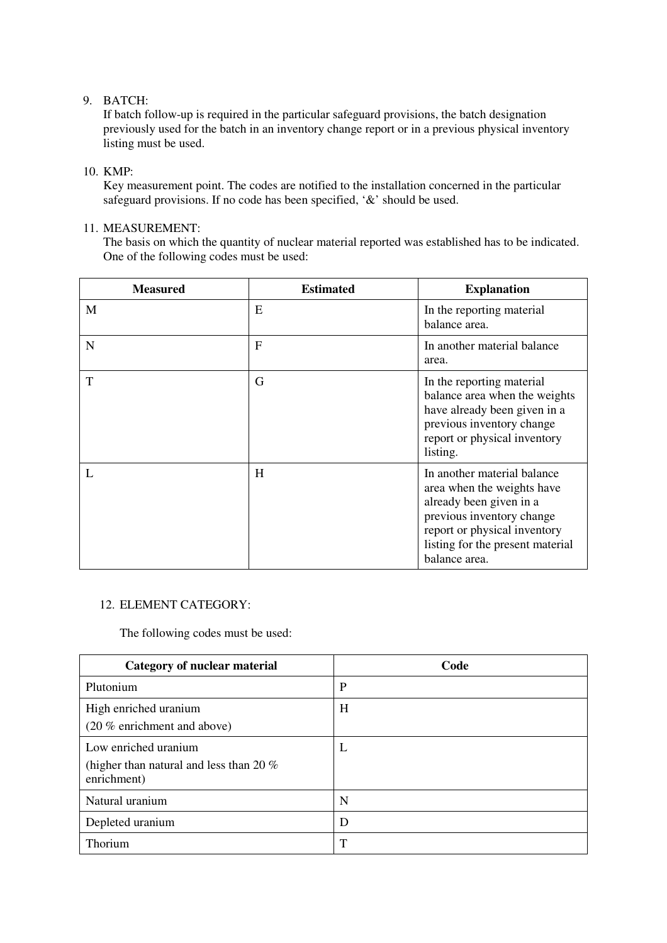# 9. BATCH:

If batch follow-up is required in the particular safeguard provisions, the batch designation previously used for the batch in an inventory change report or in a previous physical inventory listing must be used.

# 10. KMP:

Key measurement point. The codes are notified to the installation concerned in the particular safeguard provisions. If no code has been specified, '&' should be used.

# 11. MEASUREMENT:

The basis on which the quantity of nuclear material reported was established has to be indicated. One of the following codes must be used:

| <b>Measured</b> | <b>Estimated</b> | <b>Explanation</b>                                                                                                                                                                                     |
|-----------------|------------------|--------------------------------------------------------------------------------------------------------------------------------------------------------------------------------------------------------|
| M               | E                | In the reporting material<br>balance area.                                                                                                                                                             |
| N               | F                | In another material balance<br>area.                                                                                                                                                                   |
| T               | G                | In the reporting material<br>balance area when the weights<br>have already been given in a<br>previous inventory change<br>report or physical inventory<br>listing.                                    |
|                 | H                | In another material balance<br>area when the weights have<br>already been given in a<br>previous inventory change<br>report or physical inventory<br>listing for the present material<br>balance area. |

# 12. ELEMENT CATEGORY:

The following codes must be used:

| <b>Category of nuclear material</b>                                               | Code |
|-----------------------------------------------------------------------------------|------|
| Plutonium                                                                         | P    |
| High enriched uranium<br>(20 % enrichment and above)                              | H    |
| Low enriched uranium<br>(higher than natural and less than 20 $\%$<br>enrichment) | L    |
| Natural uranium                                                                   | N    |
| Depleted uranium                                                                  | D    |
| Thorium                                                                           | T    |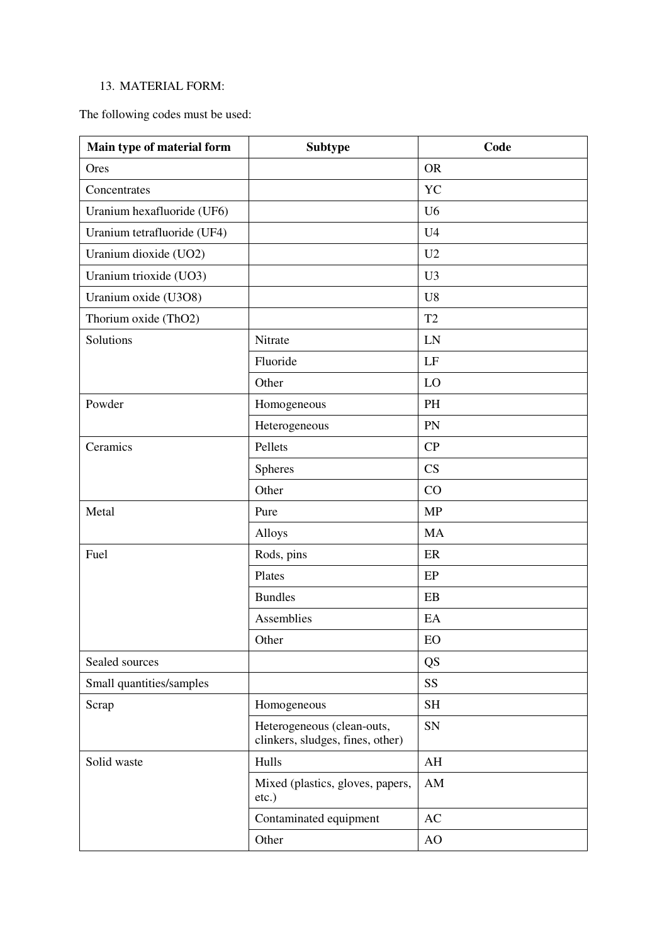# 13. MATERIAL FORM:

The following codes must be used:

| Main type of material form  | <b>Subtype</b>                                                 | Code                   |  |  |
|-----------------------------|----------------------------------------------------------------|------------------------|--|--|
| Ores                        |                                                                | <b>OR</b>              |  |  |
| Concentrates                |                                                                | <b>YC</b>              |  |  |
| Uranium hexafluoride (UF6)  |                                                                | U <sub>6</sub>         |  |  |
| Uranium tetrafluoride (UF4) |                                                                | U <sub>4</sub>         |  |  |
| Uranium dioxide (UO2)       |                                                                | U2                     |  |  |
| Uranium trioxide (UO3)      |                                                                | U <sub>3</sub>         |  |  |
| Uranium oxide (U3O8)        |                                                                | U <sub>8</sub>         |  |  |
| Thorium oxide (ThO2)        |                                                                | T2                     |  |  |
| Solutions                   | Nitrate                                                        | LN                     |  |  |
|                             | Fluoride                                                       | LF                     |  |  |
|                             | Other                                                          | LO                     |  |  |
| Powder                      | Homogeneous                                                    | <b>PH</b>              |  |  |
|                             | Heterogeneous                                                  | PN                     |  |  |
| Ceramics                    | Pellets                                                        | CP                     |  |  |
|                             | <b>Spheres</b>                                                 | CS                     |  |  |
|                             | Other                                                          | CO                     |  |  |
| Metal                       | Pure                                                           | <b>MP</b>              |  |  |
|                             | Alloys                                                         | <b>MA</b>              |  |  |
| Fuel                        | Rods, pins                                                     | ER                     |  |  |
|                             | Plates                                                         | EP                     |  |  |
|                             | <b>Bundles</b>                                                 | EB                     |  |  |
|                             | Assemblies                                                     | EA                     |  |  |
|                             | Other                                                          | EO                     |  |  |
| Sealed sources              |                                                                | QS                     |  |  |
| Small quantities/samples    |                                                                | <b>SS</b>              |  |  |
| Scrap                       | Homogeneous                                                    | <b>SH</b>              |  |  |
|                             | Heterogeneous (clean-outs,<br>clinkers, sludges, fines, other) | SN                     |  |  |
| Solid waste                 | Hulls                                                          | $\mathbf{A}\mathbf{H}$ |  |  |
|                             | Mixed (plastics, gloves, papers,<br>etc.)                      | $\mathbf{A}\mathbf{M}$ |  |  |
|                             | Contaminated equipment                                         | AC                     |  |  |
|                             | Other                                                          | AO                     |  |  |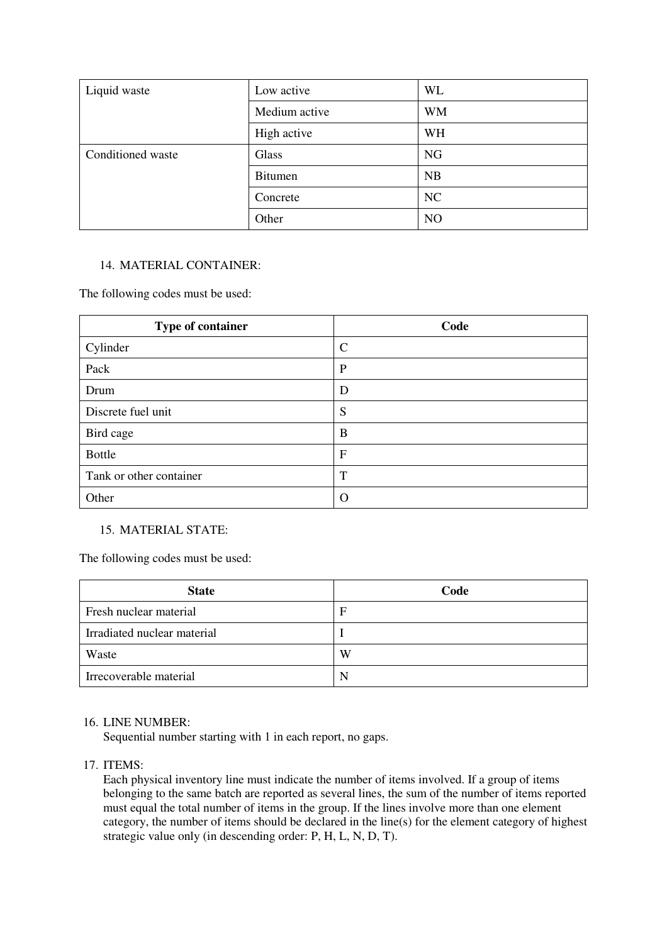| Liquid waste      | Low active     | WL        |
|-------------------|----------------|-----------|
|                   | Medium active  | <b>WM</b> |
|                   | High active    | WH        |
| Conditioned waste | Glass          | <b>NG</b> |
|                   | <b>Bitumen</b> | <b>NB</b> |
|                   | Concrete       | NC        |
|                   | Other          | NO        |

# 14. MATERIAL CONTAINER:

The following codes must be used:

| Type of container       | Code          |  |  |  |
|-------------------------|---------------|--|--|--|
| Cylinder                | $\mathcal{C}$ |  |  |  |
| Pack                    | $\mathbf{P}$  |  |  |  |
| Drum                    | D             |  |  |  |
| Discrete fuel unit      | S             |  |  |  |
| Bird cage               | B             |  |  |  |
| <b>Bottle</b>           | $\mathbf{F}$  |  |  |  |
| Tank or other container | T             |  |  |  |
| Other                   | $\Omega$      |  |  |  |

# 15. MATERIAL STATE:

The following codes must be used:

| <b>State</b>                | Code |
|-----------------------------|------|
| Fresh nuclear material      |      |
| Irradiated nuclear material |      |
| Waste                       | W    |
| Irrecoverable material      | N    |

### 16. LINE NUMBER:

Sequential number starting with 1 in each report, no gaps.

17. ITEMS:

Each physical inventory line must indicate the number of items involved. If a group of items belonging to the same batch are reported as several lines, the sum of the number of items reported must equal the total number of items in the group. If the lines involve more than one element category, the number of items should be declared in the line(s) for the element category of highest strategic value only (in descending order: P, H, L, N, D, T).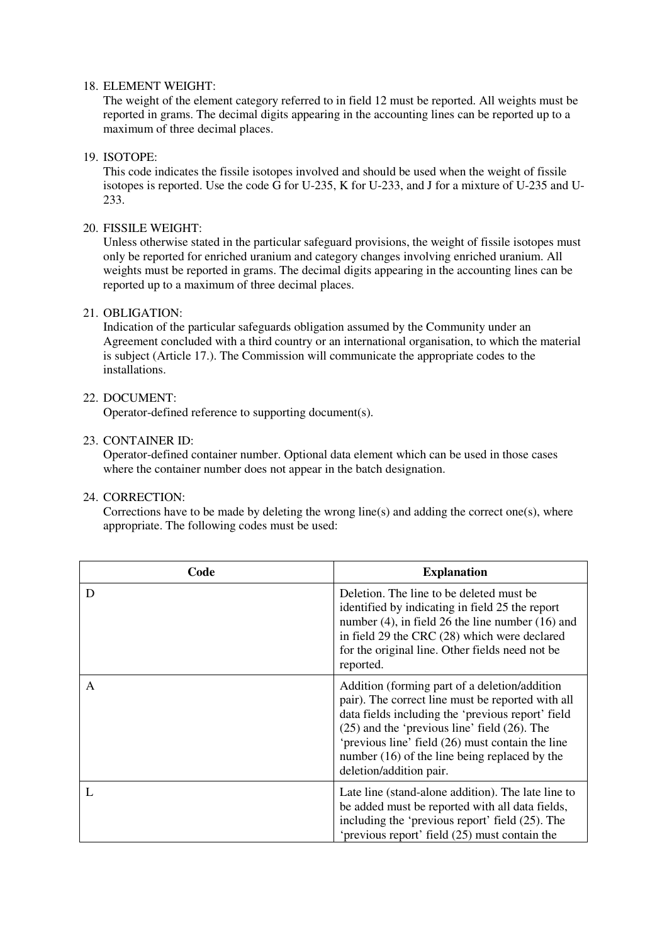### 18. ELEMENT WEIGHT:

The weight of the element category referred to in field 12 must be reported. All weights must be reported in grams. The decimal digits appearing in the accounting lines can be reported up to a maximum of three decimal places.

### 19. ISOTOPE:

This code indicates the fissile isotopes involved and should be used when the weight of fissile isotopes is reported. Use the code G for U-235, K for U-233, and J for a mixture of U-235 and U-233.

### 20. FISSILE WEIGHT:

Unless otherwise stated in the particular safeguard provisions, the weight of fissile isotopes must only be reported for enriched uranium and category changes involving enriched uranium. All weights must be reported in grams. The decimal digits appearing in the accounting lines can be reported up to a maximum of three decimal places.

### 21. OBLIGATION:

Indication of the particular safeguards obligation assumed by the Community under an Agreement concluded with a third country or an international organisation, to which the material is subject (Article 17.). The Commission will communicate the appropriate codes to the installations.

### 22. DOCUMENT:

Operator-defined reference to supporting document(s).

### 23. CONTAINER ID:

Operator-defined container number. Optional data element which can be used in those cases where the container number does not appear in the batch designation.

### 24. CORRECTION:

Corrections have to be made by deleting the wrong line(s) and adding the correct one(s), where appropriate. The following codes must be used:

| Code | <b>Explanation</b>                                                                                                                                                                                                                                                                                                                            |
|------|-----------------------------------------------------------------------------------------------------------------------------------------------------------------------------------------------------------------------------------------------------------------------------------------------------------------------------------------------|
| D    | Deletion. The line to be deleted must be<br>identified by indicating in field 25 the report<br>number $(4)$ , in field 26 the line number $(16)$ and<br>in field 29 the CRC (28) which were declared<br>for the original line. Other fields need not be<br>reported.                                                                          |
| A    | Addition (forming part of a deletion/addition)<br>pair). The correct line must be reported with all<br>data fields including the 'previous report' field<br>$(25)$ and the 'previous line' field $(26)$ . The<br>'previous line' field (26) must contain the line<br>number (16) of the line being replaced by the<br>deletion/addition pair. |
|      | Late line (stand-alone addition). The late line to<br>be added must be reported with all data fields,<br>including the 'previous report' field (25). The<br>'previous report' field (25) must contain the                                                                                                                                     |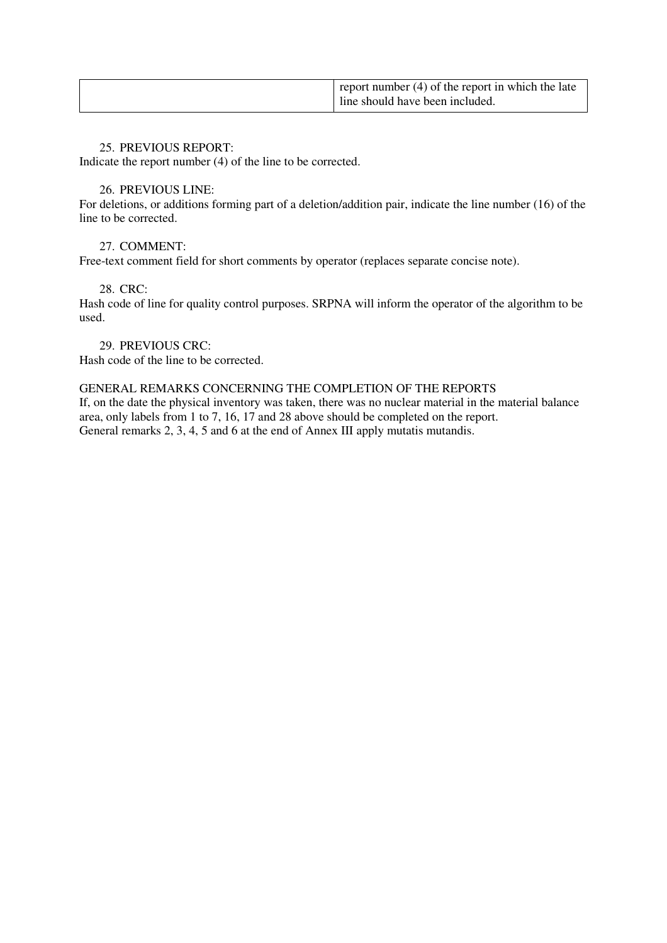| report number $(4)$ of the report in which the late<br>line should have been included. |
|----------------------------------------------------------------------------------------|
|----------------------------------------------------------------------------------------|

### 25. PREVIOUS REPORT:

Indicate the report number (4) of the line to be corrected.

# 26. PREVIOUS LINE:

For deletions, or additions forming part of a deletion/addition pair, indicate the line number (16) of the line to be corrected.

# 27. COMMENT:

Free-text comment field for short comments by operator (replaces separate concise note).

# 28. CRC:

Hash code of line for quality control purposes. SRPNA will inform the operator of the algorithm to be used.

29. PREVIOUS CRC:

Hash code of the line to be corrected.

# GENERAL REMARKS CONCERNING THE COMPLETION OF THE REPORTS

If, on the date the physical inventory was taken, there was no nuclear material in the material balance area, only labels from 1 to 7, 16, 17 and 28 above should be completed on the report. General remarks 2, 3, 4, 5 and 6 at the end of Annex III apply mutatis mutandis.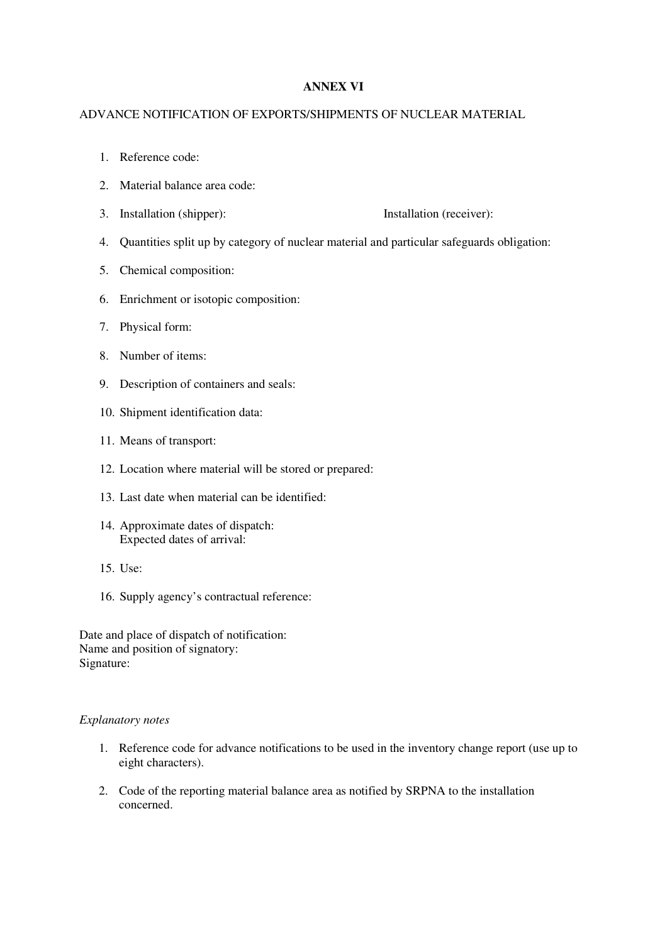# **ANNEX VI**

### ADVANCE NOTIFICATION OF EXPORTS/SHIPMENTS OF NUCLEAR MATERIAL

- 1. Reference code:
- 2. Material balance area code:
- 3. Installation (shipper): Installation (receiver):
- 4. Quantities split up by category of nuclear material and particular safeguards obligation:
- 5. Chemical composition:
- 6. Enrichment or isotopic composition:
- 7. Physical form:
- 8. Number of items:
- 9. Description of containers and seals:
- 10. Shipment identification data:
- 11. Means of transport:
- 12. Location where material will be stored or prepared:
- 13. Last date when material can be identified:
- 14. Approximate dates of dispatch: Expected dates of arrival:
- 15. Use:
- 16. Supply agency's contractual reference:

Date and place of dispatch of notification: Name and position of signatory: Signature:

#### *Explanatory notes*

- 1. Reference code for advance notifications to be used in the inventory change report (use up to eight characters).
- 2. Code of the reporting material balance area as notified by SRPNA to the installation concerned.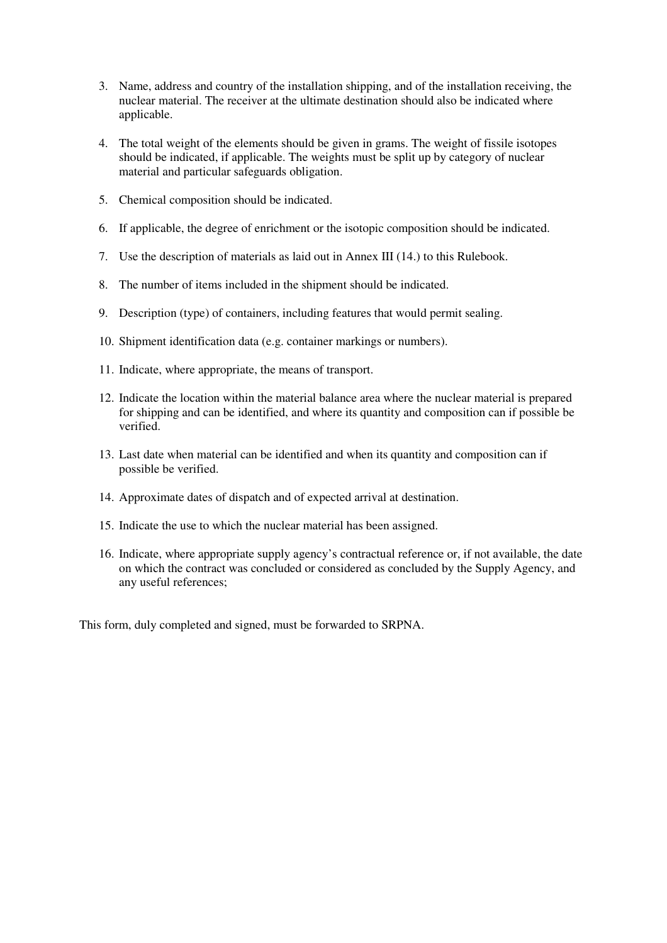- 3. Name, address and country of the installation shipping, and of the installation receiving, the nuclear material. The receiver at the ultimate destination should also be indicated where applicable.
- 4. The total weight of the elements should be given in grams. The weight of fissile isotopes should be indicated, if applicable. The weights must be split up by category of nuclear material and particular safeguards obligation.
- 5. Chemical composition should be indicated.
- 6. If applicable, the degree of enrichment or the isotopic composition should be indicated.
- 7. Use the description of materials as laid out in Annex III (14.) to this Rulebook.
- 8. The number of items included in the shipment should be indicated.
- 9. Description (type) of containers, including features that would permit sealing.
- 10. Shipment identification data (e.g. container markings or numbers).
- 11. Indicate, where appropriate, the means of transport.
- 12. Indicate the location within the material balance area where the nuclear material is prepared for shipping and can be identified, and where its quantity and composition can if possible be verified.
- 13. Last date when material can be identified and when its quantity and composition can if possible be verified.
- 14. Approximate dates of dispatch and of expected arrival at destination.
- 15. Indicate the use to which the nuclear material has been assigned.
- 16. Indicate, where appropriate supply agency's contractual reference or, if not available, the date on which the contract was concluded or considered as concluded by the Supply Agency, and any useful references;

This form, duly completed and signed, must be forwarded to SRPNA.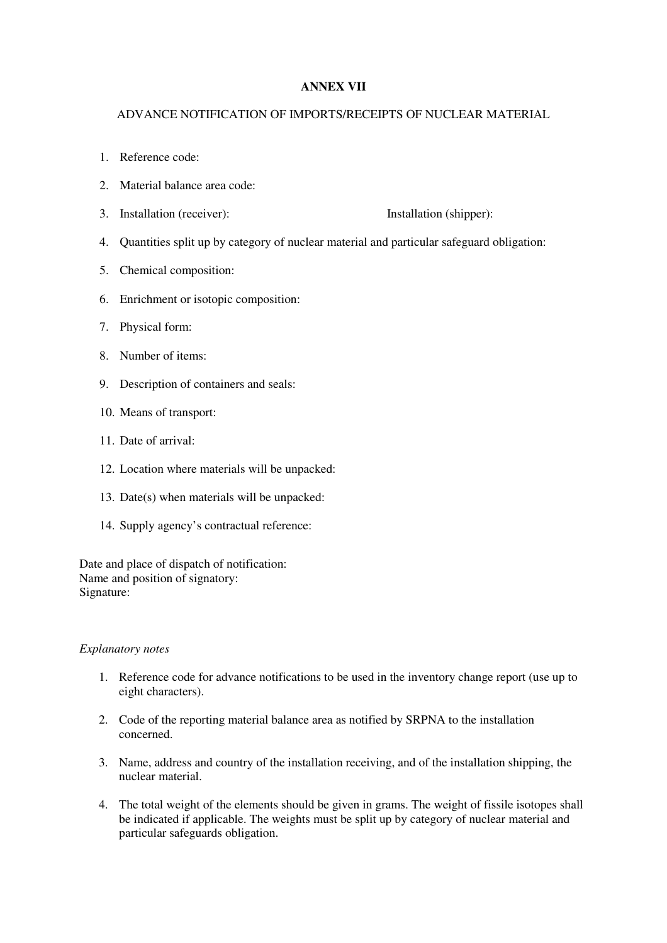# **ANNEX VII**

### ADVANCE NOTIFICATION OF IMPORTS/RECEIPTS OF NUCLEAR MATERIAL

- 1. Reference code:
- 2. Material balance area code:
- 3. Installation (receiver): Installation (shipper):

- 4. Quantities split up by category of nuclear material and particular safeguard obligation:
- 5. Chemical composition:
- 6. Enrichment or isotopic composition:
- 7. Physical form:
- 8. Number of items:
- 9. Description of containers and seals:
- 10. Means of transport:
- 11. Date of arrival:
- 12. Location where materials will be unpacked:
- 13. Date(s) when materials will be unpacked:
- 14. Supply agency's contractual reference:

Date and place of dispatch of notification: Name and position of signatory: Signature:

#### *Explanatory notes*

- 1. Reference code for advance notifications to be used in the inventory change report (use up to eight characters).
- 2. Code of the reporting material balance area as notified by SRPNA to the installation concerned.
- 3. Name, address and country of the installation receiving, and of the installation shipping, the nuclear material.
- 4. The total weight of the elements should be given in grams. The weight of fissile isotopes shall be indicated if applicable. The weights must be split up by category of nuclear material and particular safeguards obligation.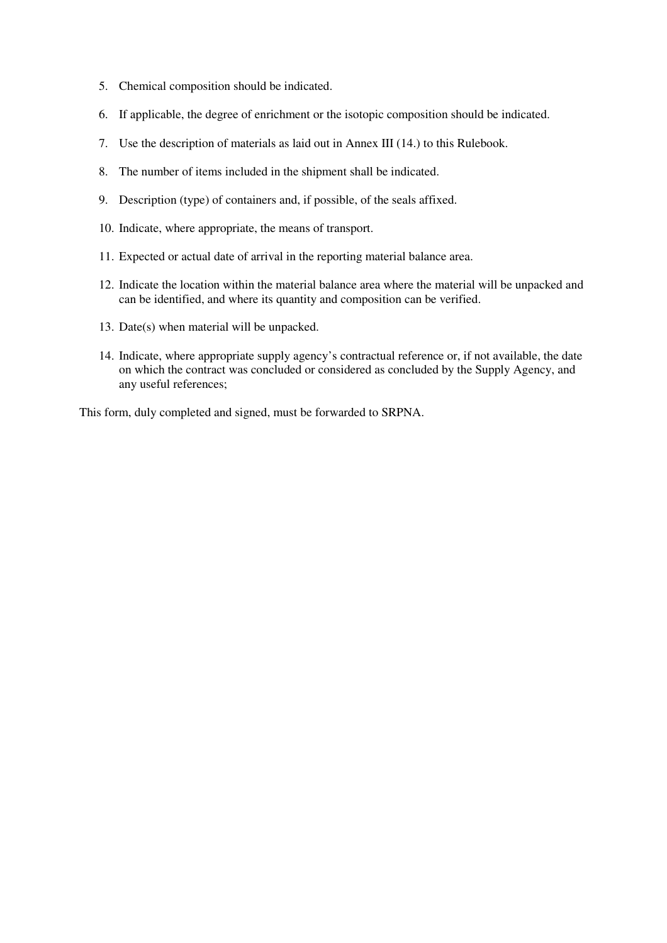- 5. Chemical composition should be indicated.
- 6. If applicable, the degree of enrichment or the isotopic composition should be indicated.
- 7. Use the description of materials as laid out in Annex III (14.) to this Rulebook.
- 8. The number of items included in the shipment shall be indicated.
- 9. Description (type) of containers and, if possible, of the seals affixed.
- 10. Indicate, where appropriate, the means of transport.
- 11. Expected or actual date of arrival in the reporting material balance area.
- 12. Indicate the location within the material balance area where the material will be unpacked and can be identified, and where its quantity and composition can be verified.
- 13. Date(s) when material will be unpacked.
- 14. Indicate, where appropriate supply agency's contractual reference or, if not available, the date on which the contract was concluded or considered as concluded by the Supply Agency, and any useful references;

This form, duly completed and signed, must be forwarded to SRPNA.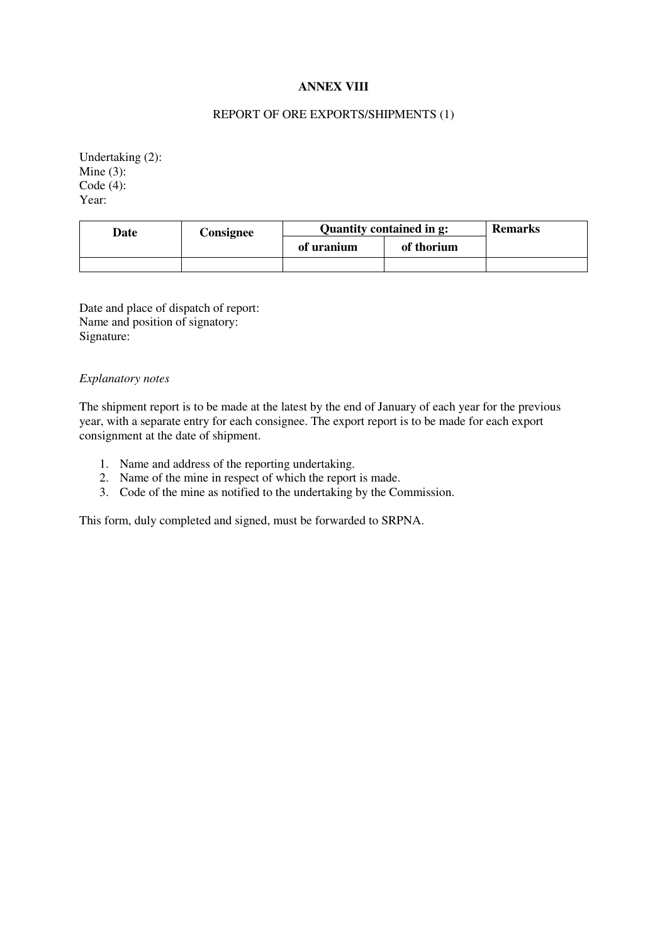# **ANNEX VIII**

### REPORT OF ORE EXPORTS/SHIPMENTS (1)

Undertaking (2): Mine  $(3)$ : Code (4): Year:

| Date | Consignee | Quantity contained in g: | <b>Remarks</b> |  |
|------|-----------|--------------------------|----------------|--|
|      |           | of uranium               | of thorium     |  |
|      |           |                          |                |  |

Date and place of dispatch of report: Name and position of signatory: Signature:

### *Explanatory notes*

The shipment report is to be made at the latest by the end of January of each year for the previous year, with a separate entry for each consignee. The export report is to be made for each export consignment at the date of shipment.

- 1. Name and address of the reporting undertaking.
- 2. Name of the mine in respect of which the report is made.
- 3. Code of the mine as notified to the undertaking by the Commission.

This form, duly completed and signed, must be forwarded to SRPNA.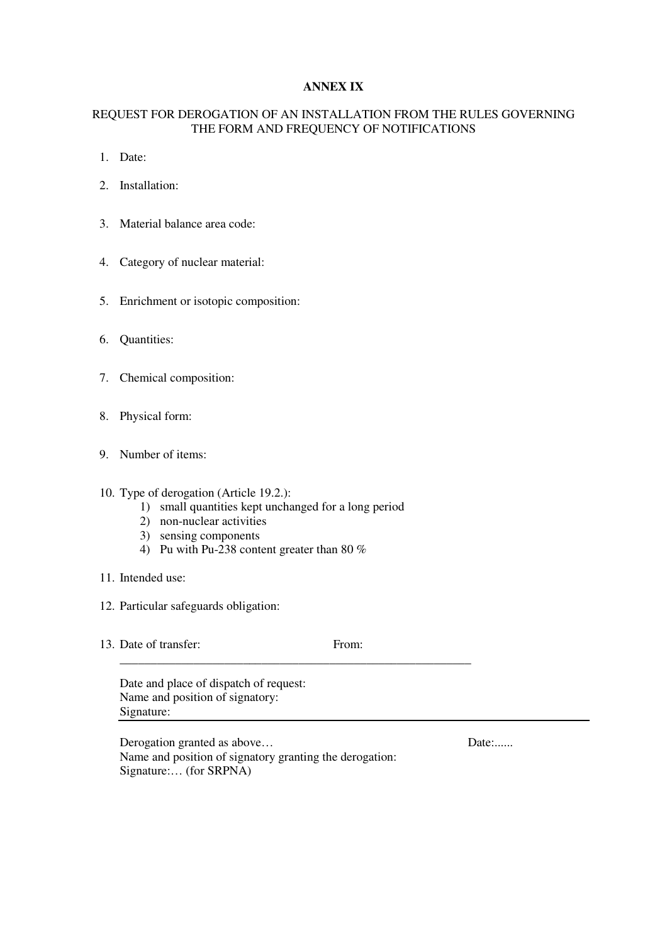# **ANNEX IX**

# REQUEST FOR DEROGATION OF AN INSTALLATION FROM THE RULES GOVERNING THE FORM AND FREQUENCY OF NOTIFICATIONS

- 1. Date:
- 2. Installation:
- 3. Material balance area code:
- 4. Category of nuclear material:
- 5. Enrichment or isotopic composition:
- 6. Quantities:
- 7. Chemical composition:
- 8. Physical form:
- 9. Number of items:
- 10. Type of derogation (Article 19.2.):
	- 1) small quantities kept unchanged for a long period

\_\_\_\_\_\_\_\_\_\_\_\_\_\_\_\_\_\_\_\_\_\_\_\_\_\_\_\_\_\_\_\_\_\_\_\_\_\_\_\_\_\_\_\_\_\_\_\_\_\_\_\_\_\_\_\_\_

- 2) non-nuclear activities
- 3) sensing components
- 4) Pu with Pu-238 content greater than 80 %
- 11. Intended use:
- 12. Particular safeguards obligation:
- 13. Date of transfer: From:

Date and place of dispatch of request: Name and position of signatory: Signature:

Derogation granted as above... Date:...... Name and position of signatory granting the derogation: Signature:… (for SRPNA)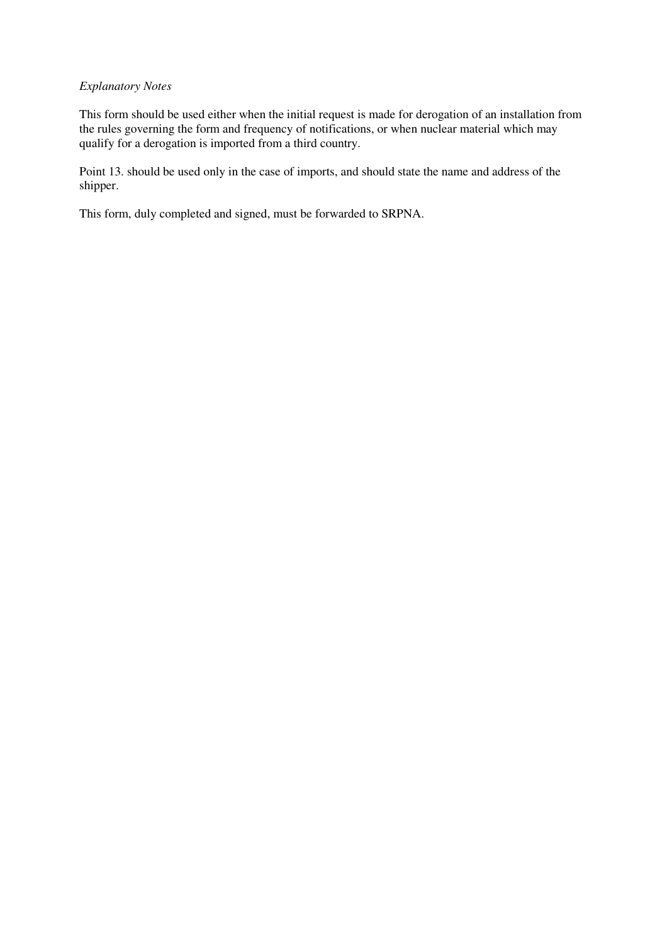### *Explanatory Notes*

This form should be used either when the initial request is made for derogation of an installation from the rules governing the form and frequency of notifications, or when nuclear material which may qualify for a derogation is imported from a third country.

Point 13. should be used only in the case of imports, and should state the name and address of the shipper.

This form, duly completed and signed, must be forwarded to SRPNA.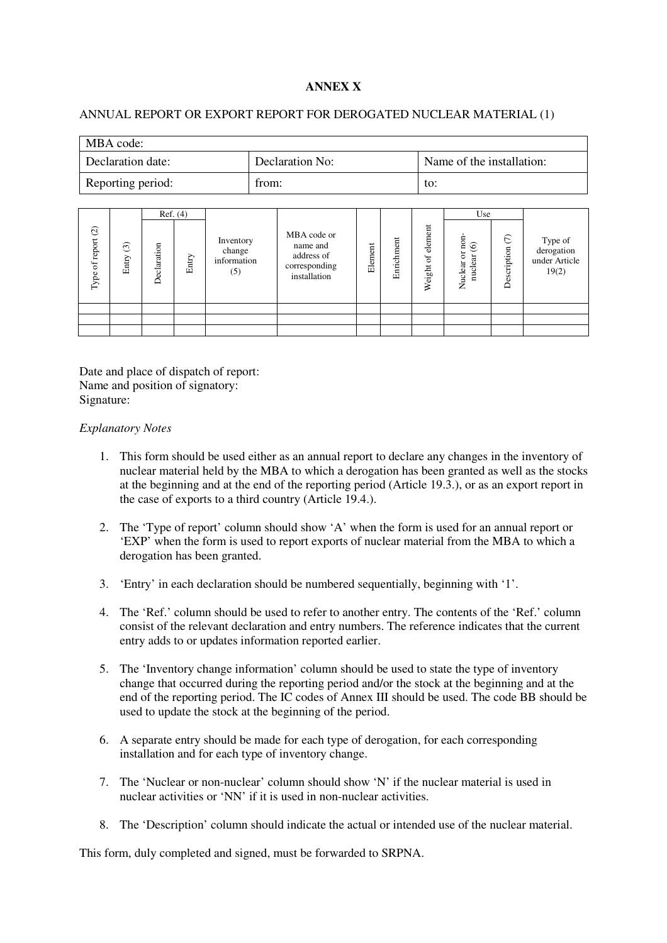# **ANNEX X**

### ANNUAL REPORT OR EXPORT REPORT FOR DEROGATED NUCLEAR MATERIAL (1)

| MBA code:         |                 |                           |
|-------------------|-----------------|---------------------------|
| Declaration date: | Declaration No: | Name of the installation: |
| Reporting period: | from:           | to:                       |

|                       |                  |             | Ref. (4) |                                           |                                                                        |         |            |                        | Use                                  |                           |                                                 |
|-----------------------|------------------|-------------|----------|-------------------------------------------|------------------------------------------------------------------------|---------|------------|------------------------|--------------------------------------|---------------------------|-------------------------------------------------|
| of report (2)<br>Type | $\odot$<br>Entry | Declaration | Entry    | Inventory<br>change<br>information<br>(5) | MBA code or<br>name and<br>address of<br>corresponding<br>installation | Element | Enrichment | element<br>ď<br>Weight | non<br>$\odot$<br>nuclear<br>Nuclear | $\epsilon$<br>Description | Type of<br>derogation<br>under Article<br>19(2) |
|                       |                  |             |          |                                           |                                                                        |         |            |                        |                                      |                           |                                                 |
|                       |                  |             |          |                                           |                                                                        |         |            |                        |                                      |                           |                                                 |
|                       |                  |             |          |                                           |                                                                        |         |            |                        |                                      |                           |                                                 |

Date and place of dispatch of report: Name and position of signatory: Signature:

### *Explanatory Notes*

- 1. This form should be used either as an annual report to declare any changes in the inventory of nuclear material held by the MBA to which a derogation has been granted as well as the stocks at the beginning and at the end of the reporting period (Article 19.3.), or as an export report in the case of exports to a third country (Article 19.4.).
- 2. The 'Type of report' column should show 'A' when the form is used for an annual report or 'EXP' when the form is used to report exports of nuclear material from the MBA to which a derogation has been granted.
- 3. 'Entry' in each declaration should be numbered sequentially, beginning with '1'.
- 4. The 'Ref.' column should be used to refer to another entry. The contents of the 'Ref.' column consist of the relevant declaration and entry numbers. The reference indicates that the current entry adds to or updates information reported earlier.
- 5. The 'Inventory change information' column should be used to state the type of inventory change that occurred during the reporting period and/or the stock at the beginning and at the end of the reporting period. The IC codes of Annex III should be used. The code BB should be used to update the stock at the beginning of the period.
- 6. A separate entry should be made for each type of derogation, for each corresponding installation and for each type of inventory change.
- 7. The 'Nuclear or non-nuclear' column should show 'N' if the nuclear material is used in nuclear activities or 'NN' if it is used in non-nuclear activities.
- 8. The 'Description' column should indicate the actual or intended use of the nuclear material.

This form, duly completed and signed, must be forwarded to SRPNA.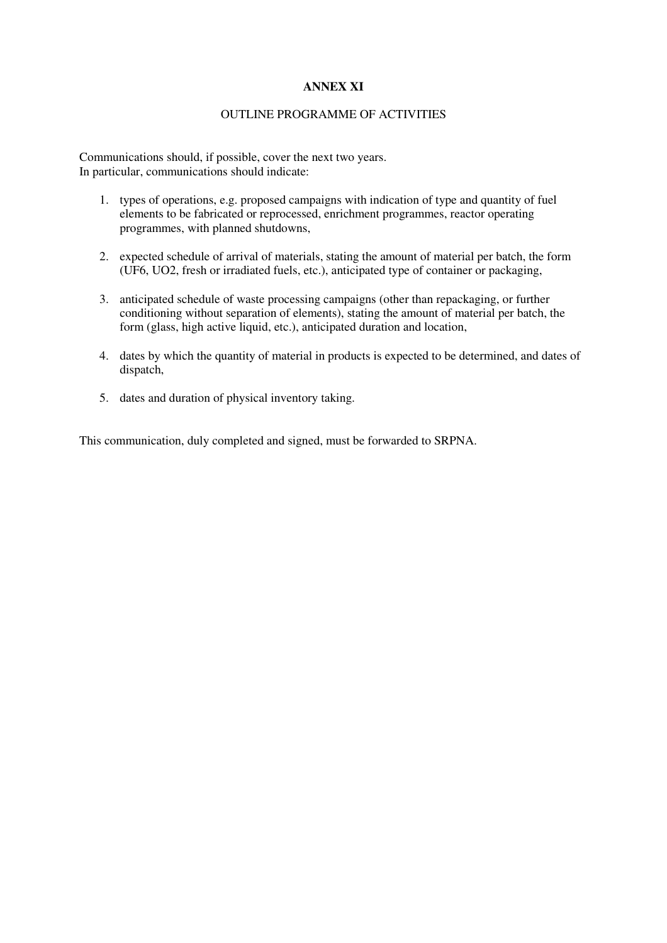# **ANNEX XI**

### OUTLINE PROGRAMME OF ACTIVITIES

Communications should, if possible, cover the next two years. In particular, communications should indicate:

- 1. types of operations, e.g. proposed campaigns with indication of type and quantity of fuel elements to be fabricated or reprocessed, enrichment programmes, reactor operating programmes, with planned shutdowns,
- 2. expected schedule of arrival of materials, stating the amount of material per batch, the form (UF6, UO2, fresh or irradiated fuels, etc.), anticipated type of container or packaging,
- 3. anticipated schedule of waste processing campaigns (other than repackaging, or further conditioning without separation of elements), stating the amount of material per batch, the form (glass, high active liquid, etc.), anticipated duration and location,
- 4. dates by which the quantity of material in products is expected to be determined, and dates of dispatch,
- 5. dates and duration of physical inventory taking.

This communication, duly completed and signed, must be forwarded to SRPNA.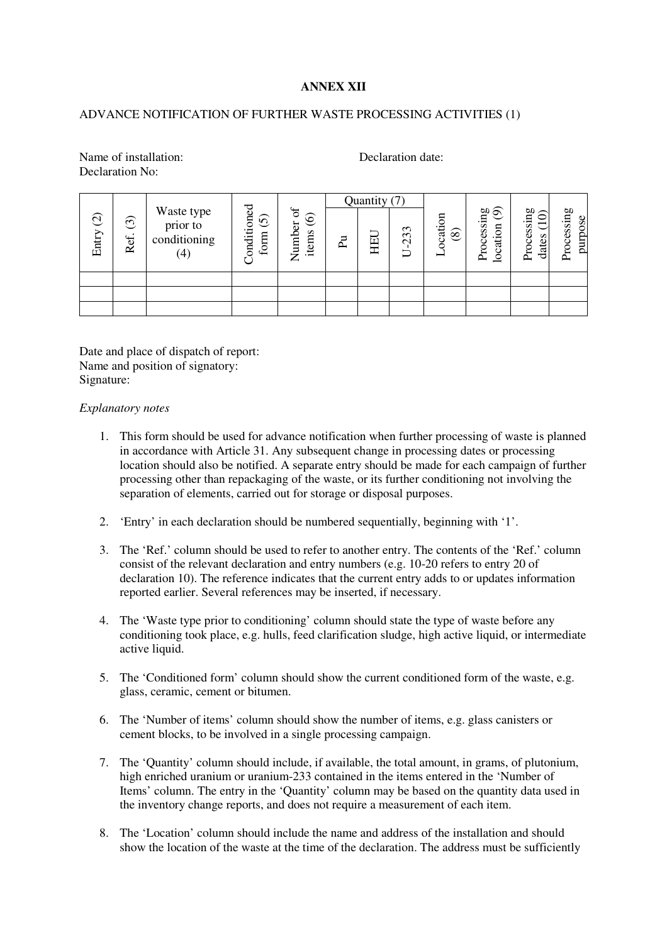# **ANNEX XII**

### ADVANCE NOTIFICATION OF FURTHER WASTE PROCESSING ACTIVITIES (1)

Name of installation: Declaration date: Declaration No<sup>.</sup>

| $\odot$<br>Entry | $\odot$<br>Ref. | Waste type<br>prior to<br>conditioning<br>(4) | onditioned<br>$\odot$<br>form | ЪÇ<br>$\odot$<br>Vumber<br>items<br>∠ | ዺ | Quantity (7)<br>HEL | $\mathfrak{c}$<br>$\omega$<br>$\mathbf{\sim}$<br>コ | cation<br>$\circledS$ | Processing<br>$\lim_{n \to \pi}$ (9)<br>location | Processing<br>$\frac{1}{2}$<br>dates | Processing<br>purpose |
|------------------|-----------------|-----------------------------------------------|-------------------------------|---------------------------------------|---|---------------------|----------------------------------------------------|-----------------------|--------------------------------------------------|--------------------------------------|-----------------------|
|                  |                 |                                               |                               |                                       |   |                     |                                                    |                       |                                                  |                                      |                       |
|                  |                 |                                               |                               |                                       |   |                     |                                                    |                       |                                                  |                                      |                       |
|                  |                 |                                               |                               |                                       |   |                     |                                                    |                       |                                                  |                                      |                       |

Date and place of dispatch of report: Name and position of signatory: Signature:

### *Explanatory notes*

- 1. This form should be used for advance notification when further processing of waste is planned in accordance with Article 31. Any subsequent change in processing dates or processing location should also be notified. A separate entry should be made for each campaign of further processing other than repackaging of the waste, or its further conditioning not involving the separation of elements, carried out for storage or disposal purposes.
- 2. 'Entry' in each declaration should be numbered sequentially, beginning with '1'.
- 3. The 'Ref.' column should be used to refer to another entry. The contents of the 'Ref.' column consist of the relevant declaration and entry numbers (e.g. 10-20 refers to entry 20 of declaration 10). The reference indicates that the current entry adds to or updates information reported earlier. Several references may be inserted, if necessary.
- 4. The 'Waste type prior to conditioning' column should state the type of waste before any conditioning took place, e.g. hulls, feed clarification sludge, high active liquid, or intermediate active liquid.
- 5. The 'Conditioned form' column should show the current conditioned form of the waste, e.g. glass, ceramic, cement or bitumen.
- 6. The 'Number of items' column should show the number of items, e.g. glass canisters or cement blocks, to be involved in a single processing campaign.
- 7. The 'Quantity' column should include, if available, the total amount, in grams, of plutonium, high enriched uranium or uranium-233 contained in the items entered in the 'Number of Items' column. The entry in the 'Quantity' column may be based on the quantity data used in the inventory change reports, and does not require a measurement of each item.
- 8. The 'Location' column should include the name and address of the installation and should show the location of the waste at the time of the declaration. The address must be sufficiently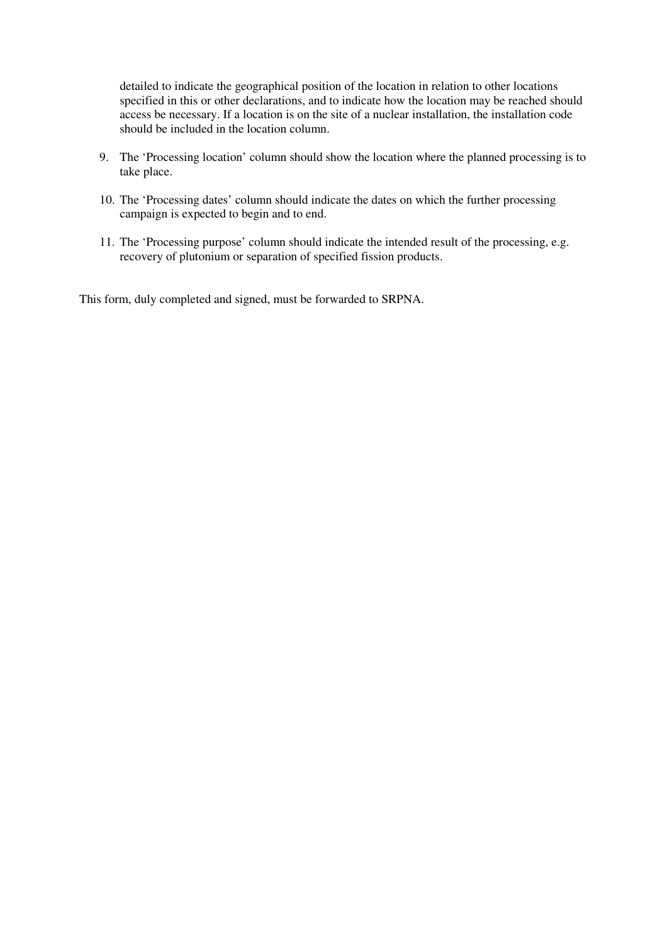detailed to indicate the geographical position of the location in relation to other locations specified in this or other declarations, and to indicate how the location may be reached should access be necessary. If a location is on the site of a nuclear installation, the installation code should be included in the location column.

- 9. The 'Processing location' column should show the location where the planned processing is to take place.
- 10. The 'Processing dates' column should indicate the dates on which the further processing campaign is expected to begin and to end.
- 11. The 'Processing purpose' column should indicate the intended result of the processing, e.g. recovery of plutonium or separation of specified fission products.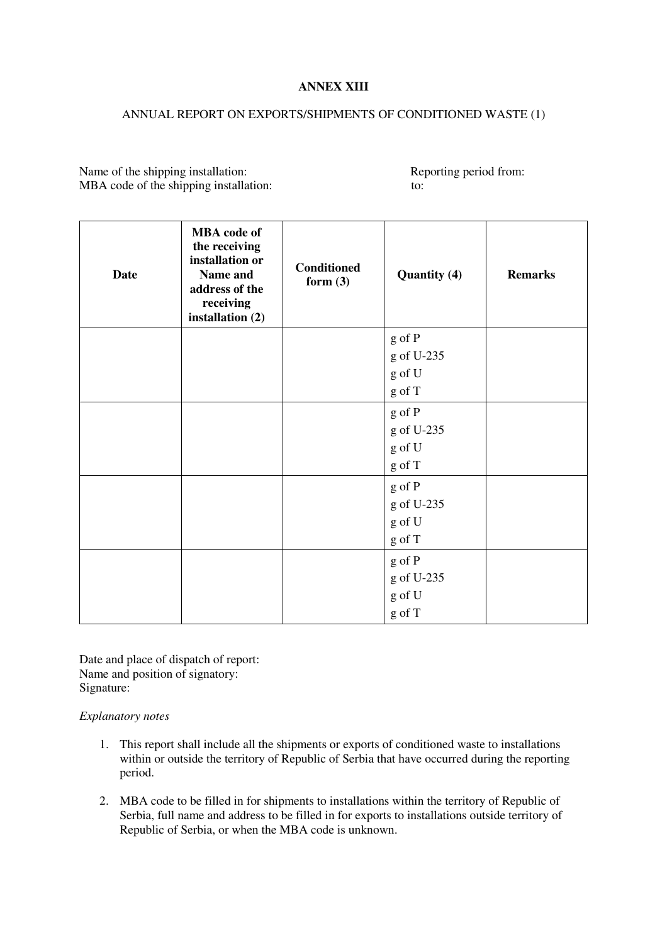## **ANNEX XIII**

### ANNUAL REPORT ON EXPORTS/SHIPMENTS OF CONDITIONED WASTE (1)

Name of the shipping installation: Reporting period from: MBA code of the shipping installation: to:

| <b>Date</b> | <b>MBA</b> code of<br>the receiving<br>installation or<br>Name and<br>address of the<br>receiving<br>installation (2) | <b>Conditioned</b><br>form $(3)$ | <b>Quantity (4)</b> | <b>Remarks</b> |  |
|-------------|-----------------------------------------------------------------------------------------------------------------------|----------------------------------|---------------------|----------------|--|
|             |                                                                                                                       |                                  | g of P              |                |  |
|             |                                                                                                                       |                                  | g of U-235          |                |  |
|             |                                                                                                                       |                                  | g of U              |                |  |
|             |                                                                                                                       |                                  | g of T              |                |  |
|             |                                                                                                                       |                                  | g of P              |                |  |
|             |                                                                                                                       |                                  | g of U-235          |                |  |
|             |                                                                                                                       |                                  | g of U              |                |  |
|             |                                                                                                                       |                                  | g of T              |                |  |
|             |                                                                                                                       |                                  | g of P              |                |  |
|             |                                                                                                                       |                                  | g of U-235          |                |  |
|             |                                                                                                                       |                                  | g of U              |                |  |
|             |                                                                                                                       |                                  | g of T              |                |  |
|             |                                                                                                                       |                                  | g of P              |                |  |
|             |                                                                                                                       |                                  | g of U-235          |                |  |
|             |                                                                                                                       |                                  | g of U              |                |  |
|             |                                                                                                                       |                                  | $g$ of T            |                |  |

Date and place of dispatch of report: Name and position of signatory: Signature:

## *Explanatory notes*

- 1. This report shall include all the shipments or exports of conditioned waste to installations within or outside the territory of Republic of Serbia that have occurred during the reporting period.
- 2. MBA code to be filled in for shipments to installations within the territory of Republic of Serbia, full name and address to be filled in for exports to installations outside territory of Republic of Serbia, or when the MBA code is unknown.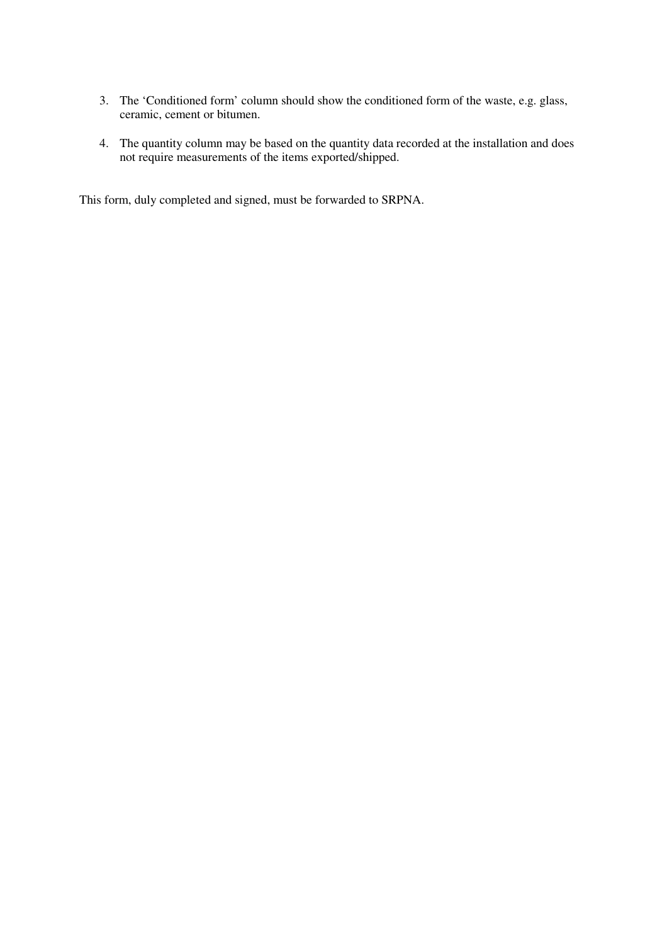- 3. The 'Conditioned form' column should show the conditioned form of the waste, e.g. glass, ceramic, cement or bitumen.
- 4. The quantity column may be based on the quantity data recorded at the installation and does not require measurements of the items exported/shipped.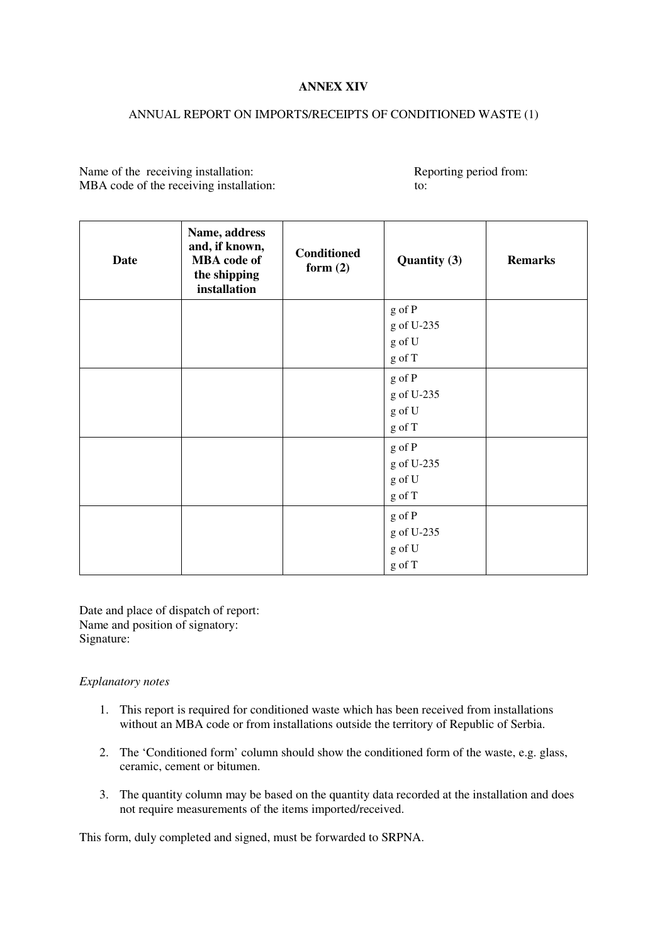## **ANNEX XIV**

## ANNUAL REPORT ON IMPORTS/RECEIPTS OF CONDITIONED WASTE (1)

Name of the receiving installation: Reporting period from: MBA code of the receiving installation: to:

| <b>Date</b> | Name, address<br>and, if known,<br><b>MBA</b> code of<br>the shipping<br>installation | <b>Conditioned</b><br>form $(2)$ | <b>Quantity (3)</b> | <b>Remarks</b> |  |
|-------------|---------------------------------------------------------------------------------------|----------------------------------|---------------------|----------------|--|
|             |                                                                                       |                                  | g of P              |                |  |
|             |                                                                                       |                                  | g of U-235          |                |  |
|             |                                                                                       |                                  | g of U              |                |  |
|             |                                                                                       |                                  | g of T              |                |  |
|             |                                                                                       |                                  | g of P              |                |  |
|             |                                                                                       |                                  | g of U-235          |                |  |
|             |                                                                                       |                                  | g of U              |                |  |
|             |                                                                                       |                                  | g of T              |                |  |
|             |                                                                                       |                                  | g of P              |                |  |
|             |                                                                                       |                                  | g of U-235          |                |  |
|             |                                                                                       |                                  | g of U              |                |  |
|             |                                                                                       |                                  | g of T              |                |  |
|             |                                                                                       |                                  | g of P              |                |  |
|             |                                                                                       |                                  | g of U-235          |                |  |
|             |                                                                                       |                                  | g of U              |                |  |
|             |                                                                                       |                                  | g of T              |                |  |

Date and place of dispatch of report: Name and position of signatory: Signature:

#### *Explanatory notes*

- 1. This report is required for conditioned waste which has been received from installations without an MBA code or from installations outside the territory of Republic of Serbia.
- 2. The 'Conditioned form' column should show the conditioned form of the waste, e.g. glass, ceramic, cement or bitumen.
- 3. The quantity column may be based on the quantity data recorded at the installation and does not require measurements of the items imported/received.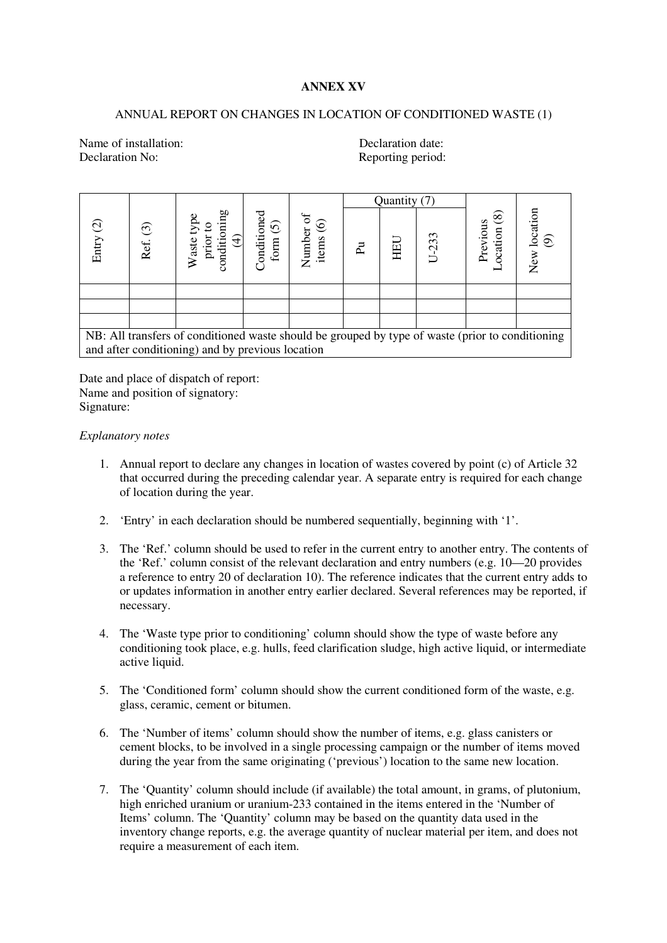## **ANNEX XV**

# ANNUAL REPORT ON CHANGES IN LOCATION OF CONDITIONED WASTE (1)

Name of installation: Declaration date: Declaration No: Reporting period:

|           |          |                                                                                                                                                      |                                     |                             | Quantity (7) |     |           |                                      |                                           |
|-----------|----------|------------------------------------------------------------------------------------------------------------------------------------------------------|-------------------------------------|-----------------------------|--------------|-----|-----------|--------------------------------------|-------------------------------------------|
| Entry (2) | Ref. (3) | sum<br>╤                                                                                                                                             | onditioned<br>$\widehat{c}$<br>form | ಕ<br>Number of<br>items (6) | ፈ            | HEU | $U - 233$ | $\circledcirc$<br>Previous<br>cation | ocation<br>$\widehat{\mathcal{P}}$<br>New |
|           |          |                                                                                                                                                      |                                     |                             |              |     |           |                                      |                                           |
|           |          |                                                                                                                                                      |                                     |                             |              |     |           |                                      |                                           |
|           |          |                                                                                                                                                      |                                     |                             |              |     |           |                                      |                                           |
|           |          | NB: All transfers of conditioned waste should be grouped by type of waste (prior to conditioning<br>and after conditioning) and by previous location |                                     |                             |              |     |           |                                      |                                           |

Date and place of dispatch of report: Name and position of signatory: Signature:

#### *Explanatory notes*

- 1. Annual report to declare any changes in location of wastes covered by point (c) of Article 32 that occurred during the preceding calendar year. A separate entry is required for each change of location during the year.
- 2. 'Entry' in each declaration should be numbered sequentially, beginning with '1'.
- 3. The 'Ref.' column should be used to refer in the current entry to another entry. The contents of the 'Ref.' column consist of the relevant declaration and entry numbers (e.g. 10—20 provides a reference to entry 20 of declaration 10). The reference indicates that the current entry adds to or updates information in another entry earlier declared. Several references may be reported, if necessary.
- 4. The 'Waste type prior to conditioning' column should show the type of waste before any conditioning took place, e.g. hulls, feed clarification sludge, high active liquid, or intermediate active liquid.
- 5. The 'Conditioned form' column should show the current conditioned form of the waste, e.g. glass, ceramic, cement or bitumen.
- 6. The 'Number of items' column should show the number of items, e.g. glass canisters or cement blocks, to be involved in a single processing campaign or the number of items moved during the year from the same originating ('previous') location to the same new location.
- 7. The 'Quantity' column should include (if available) the total amount, in grams, of plutonium, high enriched uranium or uranium-233 contained in the items entered in the 'Number of Items' column. The 'Quantity' column may be based on the quantity data used in the inventory change reports, e.g. the average quantity of nuclear material per item, and does not require a measurement of each item.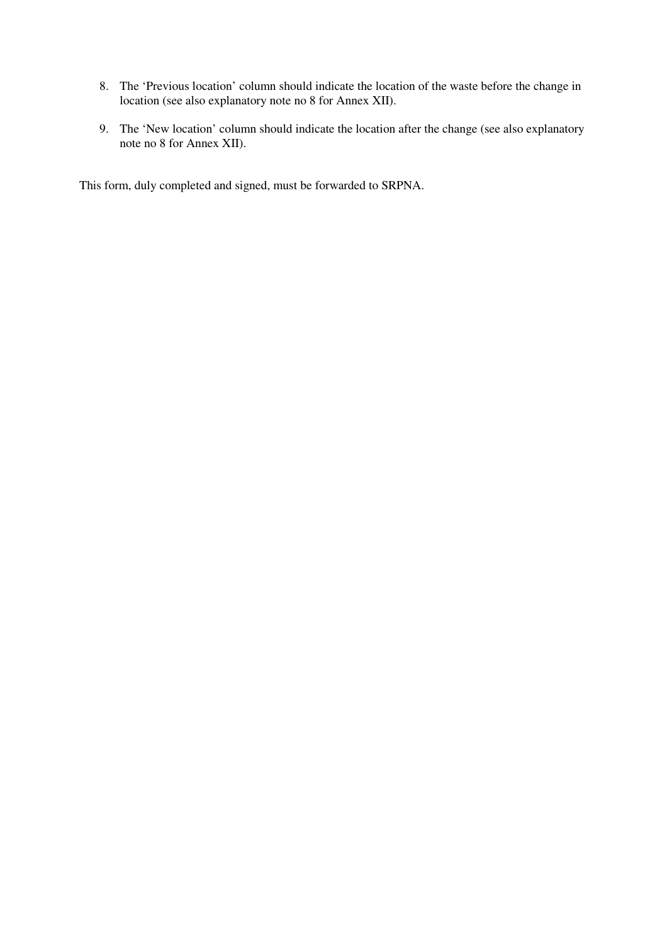- 8. The 'Previous location' column should indicate the location of the waste before the change in location (see also explanatory note no 8 for Annex XII).
- 9. The 'New location' column should indicate the location after the change (see also explanatory note no 8 for Annex XII).